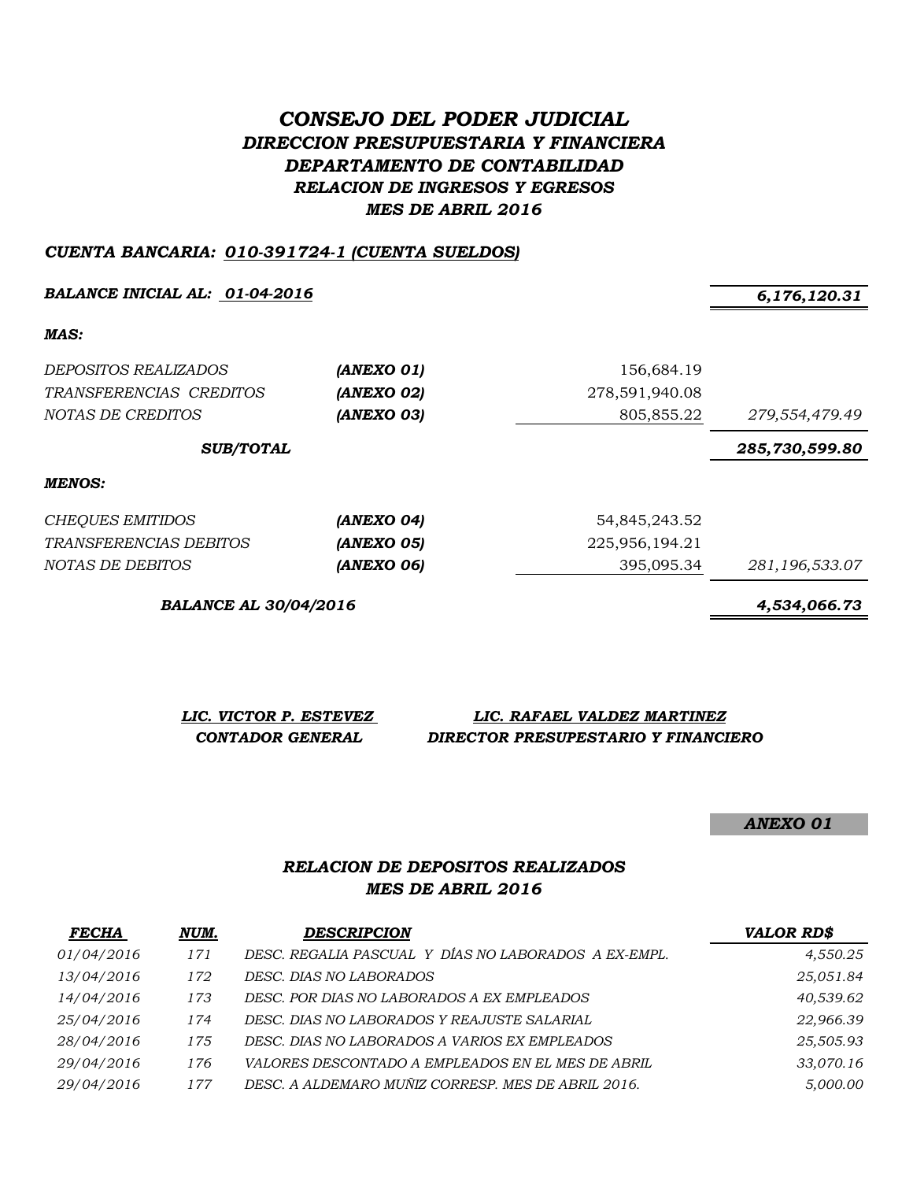# *CONSEJO DEL PODER JUDICIAL DIRECCION PRESUPUESTARIA Y FINANCIERA DEPARTAMENTO DE CONTABILIDAD RELACION DE INGRESOS Y EGRESOS MES DE ABRIL 2016*

#### *CUENTA BANCARIA: 010-391724-1 (CUENTA SUELDOS)*

*BALANCE INICIAL AL: 01-04-2016 6,176,120.31*

*MAS:*

| <i>DEPOSITOS REALIZADOS</i><br>TRANSFERENCIAS CREDITOS<br>NOTAS DE CREDITOS | (ANEXO 01)<br>(ANEXO 02)<br>(ANEXO 03) | 156,684.19<br>278,591,940.08<br>805,855.22 | 279,554,479.49 |
|-----------------------------------------------------------------------------|----------------------------------------|--------------------------------------------|----------------|
| <b>SUB/TOTAL</b>                                                            |                                        |                                            | 285,730,599.80 |
| <b>MENOS:</b>                                                               |                                        |                                            |                |
| CHEQUES EMITIDOS                                                            | (ANEXO 04)                             | 54,845,243.52                              |                |
| <i>TRANSFERENCIAS DEBITOS</i>                                               | (ANEXO 05)                             | 225,956,194.21                             |                |
| NOTAS DE DEBITOS                                                            | (ANEXO 06)                             | 395,095.34                                 | 281,196,533.07 |

*BALANCE AL 30/04/2016 4,534,066.73*

*LIC. VICTOR P. ESTEVEZ LIC. RAFAEL VALDEZ MARTINEZ CONTADOR GENERAL DIRECTOR PRESUPESTARIO Y FINANCIERO*

*ANEXO 01*

## *RELACION DE DEPOSITOS REALIZADOS MES DE ABRIL 2016*

| <b>FECHA</b> | NUM. | <b>DESCRIPCION</b>                                   | <b>VALOR RD\$</b> |
|--------------|------|------------------------------------------------------|-------------------|
| 01/04/2016   | 171  | DESC. REGALIA PASCUAL Y DÍAS NO LABORADOS A EX-EMPL. | 4,550.25          |
| 13/04/2016   | 172  | DESC. DIAS NO LABORADOS                              | 25,051.84         |
| 14/04/2016   | 173  | DESC. POR DIAS NO LABORADOS A EX EMPLEADOS           | 40,539.62         |
| 25/04/2016   | 174  | DESC. DIAS NO LABORADOS Y REAJUSTE SALARIAL          | 22,966.39         |
| 28/04/2016   | 175  | DESC. DIAS NO LABORADOS A VARIOS EX EMPLEADOS        | 25,505.93         |
| 29/04/2016   | 176  | VALORES DESCONTADO A EMPLEADOS EN EL MES DE ABRIL    | 33,070.16         |
| 29/04/2016   | 177  | DESC. A ALDEMARO MUÑIZ CORRESP. MES DE ABRIL 2016.   | 5,000.00          |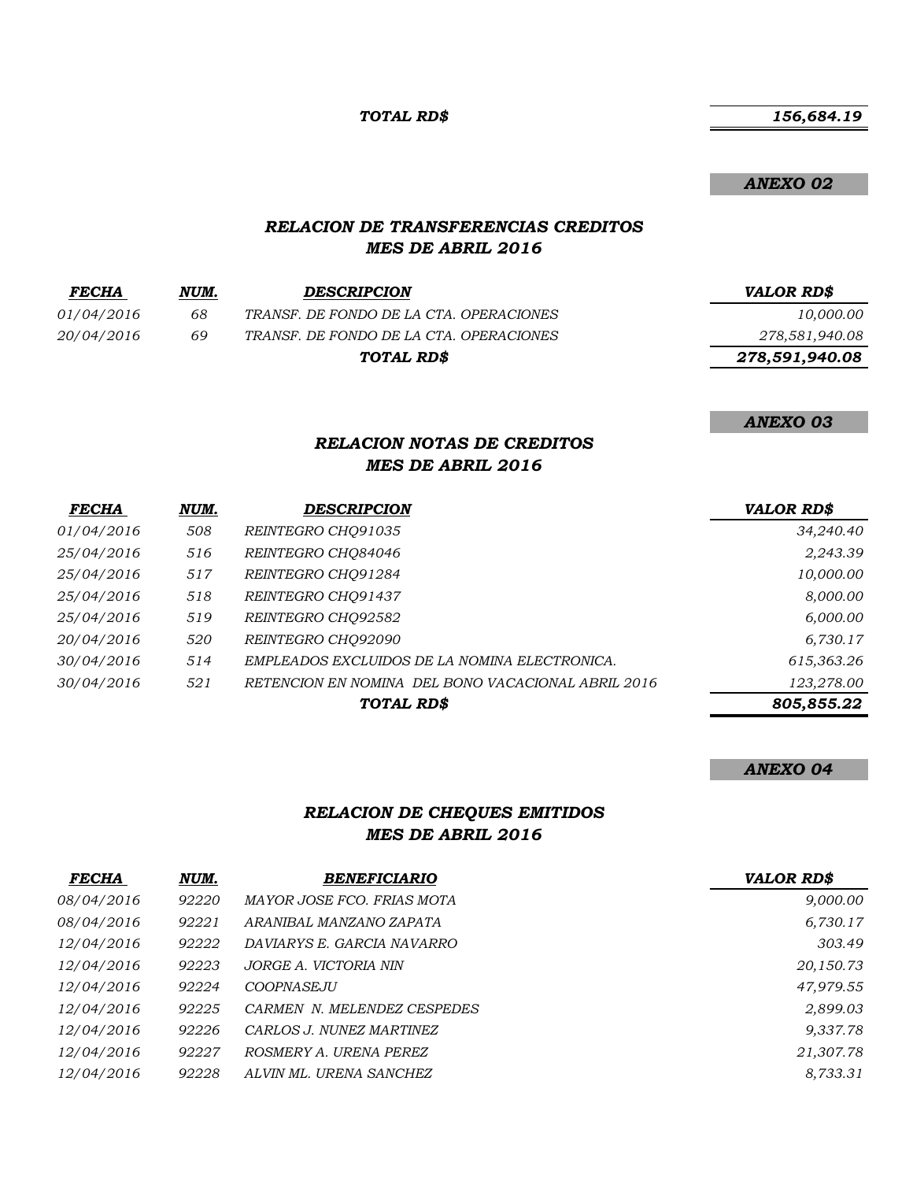*TOTAL RD\$*

 *156,684.19*

*ANEXO 02*

#### *RELACION DE TRANSFERENCIAS CREDITOS MES DE ABRIL 2016*

| <b>FECHA</b> | NUM. | <b>DESCRIPCION</b>                      | <b>VALOR RD\$</b> |
|--------------|------|-----------------------------------------|-------------------|
| 01/04/2016   | 68   | TRANSF. DE FONDO DE LA CTA. OPERACIONES | 10,000.00         |
| 20/04/2016   | 69   | TRANSF. DE FONDO DE LA CTA. OPERACIONES | 278,581,940.08    |
|              |      | TOTAL RD\$                              | 278,591,940.08    |
|              |      |                                         |                   |

*ANEXO 03*

## *RELACION NOTAS DE CREDITOS MES DE ABRIL 2016*

| <b>FECHA</b> | NUM. | <b>DESCRIPCION</b>                                 | <b>VALOR RD\$</b> |
|--------------|------|----------------------------------------------------|-------------------|
| 01/04/2016   | 508  | REINTEGRO CHO91035                                 | 34,240.40         |
| 25/04/2016   | 516  | REINTEGRO CHO84046                                 | 2,243.39          |
| 25/04/2016   | 517  | REINTEGRO CHO91284                                 | 10,000.00         |
| 25/04/2016   | 518  | REINTEGRO CHO91437                                 | 8,000.00          |
| 25/04/2016   | 519  | REINTEGRO CHO92582                                 | 6,000.00          |
| 20/04/2016   | 520  | REINTEGRO CHO92090                                 | 6,730.17          |
| 30/04/2016   | 514  | EMPLEADOS EXCLUIDOS DE LA NOMINA ELECTRONICA.      | 615,363.26        |
| 30/04/2016   | 521  | RETENCION EN NOMINA DEL BONO VACACIONAL ABRIL 2016 | 123,278.00        |
|              |      | TOTAL RD\$                                         | 805,855.22        |

#### *ANEXO 04*

## *RELACION DE CHEQUES EMITIDOS MES DE ABRIL 2016*

| <b>FECHA</b> | NUM.  | <b>BENEFICIARIO</b>         | <b>VALOR RD\$</b> |
|--------------|-------|-----------------------------|-------------------|
| 08/04/2016   | 92220 | MAYOR JOSE FCO. FRIAS MOTA  | 9,000.00          |
| 08/04/2016   | 92221 | ARANIBAL MANZANO ZAPATA     | 6,730.17          |
| 12/04/2016   | 92222 | DAVIARYS E. GARCIA NAVARRO  | 303.49            |
| 12/04/2016   | 92223 | JORGE A. VICTORIA NIN       | 20,150.73         |
| 12/04/2016   | 92224 | COOPNASEJU                  | 47,979.55         |
| 12/04/2016   | 92225 | CARMEN N. MELENDEZ CESPEDES | 2,899.03          |
| 12/04/2016   | 92226 | CARLOS J. NUNEZ MARTINEZ    | 9,337.78          |
| 12/04/2016   | 92227 | ROSMERY A. URENA PEREZ      | 21,307.78         |
| 12/04/2016   | 92228 | ALVIN ML. URENA SANCHEZ     | 8.733.31          |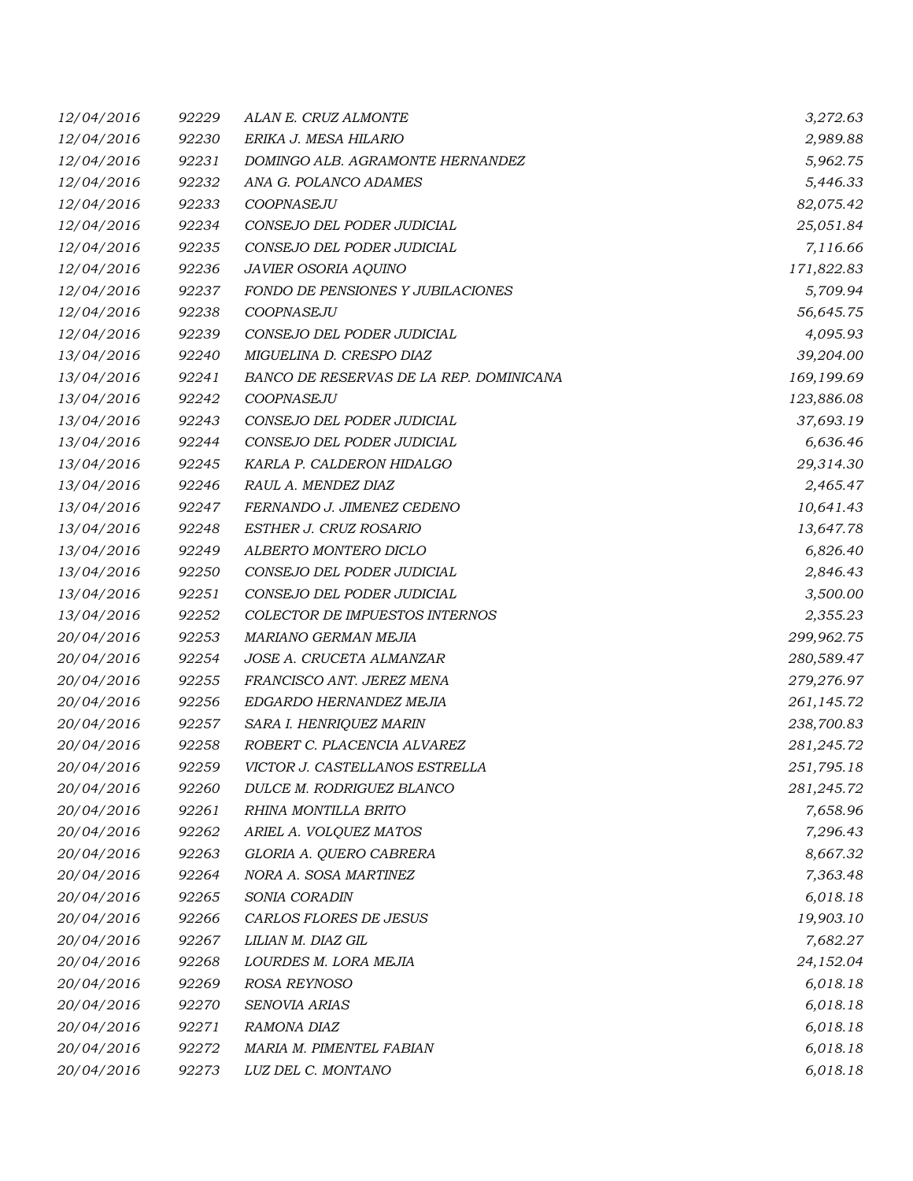| 12/04/2016 | 92229 | ALAN E. CRUZ ALMONTE                    | 3,272.63   |
|------------|-------|-----------------------------------------|------------|
| 12/04/2016 | 92230 | ERIKA J. MESA HILARIO                   | 2,989.88   |
| 12/04/2016 | 92231 | DOMINGO ALB. AGRAMONTE HERNANDEZ        | 5,962.75   |
| 12/04/2016 | 92232 | ANA G. POLANCO ADAMES                   | 5,446.33   |
| 12/04/2016 | 92233 | COOPNASEJU                              | 82,075.42  |
| 12/04/2016 | 92234 | CONSEJO DEL PODER JUDICIAL              | 25,051.84  |
| 12/04/2016 | 92235 | CONSEJO DEL PODER JUDICIAL              | 7,116.66   |
| 12/04/2016 | 92236 | JAVIER OSORIA AQUINO                    | 171,822.83 |
| 12/04/2016 | 92237 | FONDO DE PENSIONES Y JUBILACIONES       | 5,709.94   |
| 12/04/2016 | 92238 | COOPNASEJU                              | 56,645.75  |
| 12/04/2016 | 92239 | CONSEJO DEL PODER JUDICIAL              | 4,095.93   |
| 13/04/2016 | 92240 | MIGUELINA D. CRESPO DIAZ                | 39,204.00  |
| 13/04/2016 | 92241 | BANCO DE RESERVAS DE LA REP. DOMINICANA | 169,199.69 |
| 13/04/2016 | 92242 | <b>COOPNASEJU</b>                       | 123,886.08 |
| 13/04/2016 | 92243 | CONSEJO DEL PODER JUDICIAL              | 37,693.19  |
| 13/04/2016 | 92244 | CONSEJO DEL PODER JUDICIAL              | 6,636.46   |
| 13/04/2016 | 92245 | KARLA P. CALDERON HIDALGO               | 29,314.30  |
| 13/04/2016 | 92246 | RAUL A. MENDEZ DIAZ                     | 2,465.47   |
| 13/04/2016 | 92247 | FERNANDO J. JIMENEZ CEDENO              | 10,641.43  |
| 13/04/2016 | 92248 | ESTHER J. CRUZ ROSARIO                  | 13,647.78  |
| 13/04/2016 | 92249 | ALBERTO MONTERO DICLO                   | 6,826.40   |
| 13/04/2016 | 92250 | CONSEJO DEL PODER JUDICIAL              | 2,846.43   |
| 13/04/2016 | 92251 | CONSEJO DEL PODER JUDICIAL              | 3,500.00   |
| 13/04/2016 | 92252 | COLECTOR DE IMPUESTOS INTERNOS          | 2,355.23   |
| 20/04/2016 | 92253 | MARIANO GERMAN MEJIA                    | 299,962.75 |
| 20/04/2016 | 92254 | JOSE A. CRUCETA ALMANZAR                | 280,589.47 |
| 20/04/2016 | 92255 | FRANCISCO ANT. JEREZ MENA               | 279,276.97 |
| 20/04/2016 | 92256 | EDGARDO HERNANDEZ MEJIA                 | 261,145.72 |
| 20/04/2016 | 92257 | SARA I. HENRIQUEZ MARIN                 | 238,700.83 |
| 20/04/2016 | 92258 | ROBERT C. PLACENCIA ALVAREZ             | 281,245.72 |
| 20/04/2016 | 92259 | VICTOR J. CASTELLANOS ESTRELLA          | 251,795.18 |
| 20/04/2016 | 92260 | DULCE M. RODRIGUEZ BLANCO               | 281,245.72 |
| 20/04/2016 | 92261 | RHINA MONTILLA BRITO                    | 7,658.96   |
| 20/04/2016 | 92262 | ARIEL A. VOLQUEZ MATOS                  | 7,296.43   |
| 20/04/2016 | 92263 | GLORIA A. QUERO CABRERA                 | 8,667.32   |
| 20/04/2016 | 92264 | NORA A. SOSA MARTINEZ                   | 7,363.48   |
| 20/04/2016 | 92265 | SONIA CORADIN                           | 6,018.18   |
| 20/04/2016 | 92266 | CARLOS FLORES DE JESUS                  | 19,903.10  |
| 20/04/2016 | 92267 | LILIAN M. DIAZ GIL                      | 7,682.27   |
| 20/04/2016 | 92268 | LOURDES M. LORA MEJIA                   | 24,152.04  |
| 20/04/2016 | 92269 | ROSA REYNOSO                            | 6,018.18   |
| 20/04/2016 | 92270 | SENOVIA ARIAS                           | 6,018.18   |
| 20/04/2016 | 92271 | RAMONA DIAZ                             | 6,018.18   |
| 20/04/2016 | 92272 | MARIA M. PIMENTEL FABIAN                | 6,018.18   |
| 20/04/2016 | 92273 | LUZ DEL C. MONTANO                      | 6,018.18   |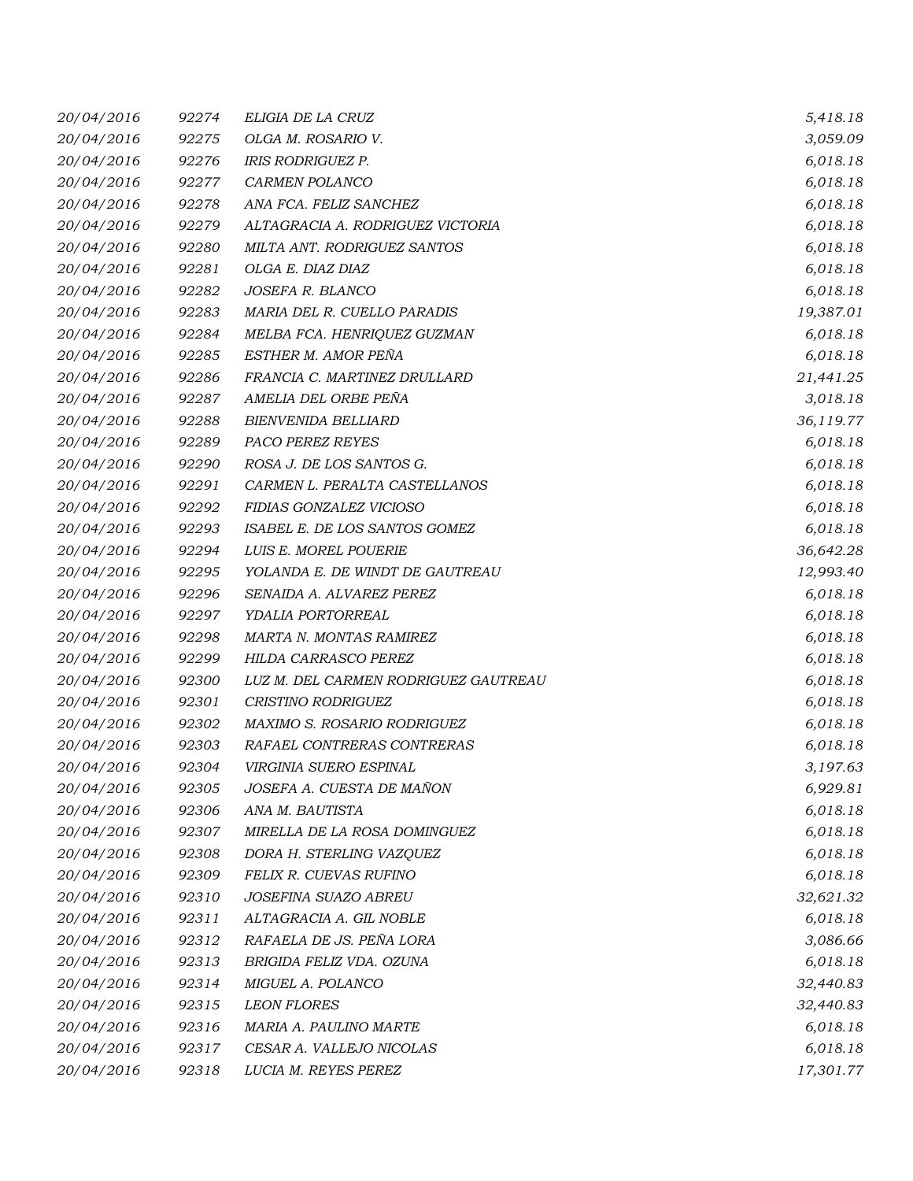| 20/04/2016 | 92274 | ELIGIA DE LA CRUZ                    | 5,418.18  |
|------------|-------|--------------------------------------|-----------|
| 20/04/2016 | 92275 | OLGA M. ROSARIO V.                   | 3,059.09  |
| 20/04/2016 | 92276 | IRIS RODRIGUEZ P.                    | 6,018.18  |
| 20/04/2016 | 92277 | CARMEN POLANCO                       | 6,018.18  |
| 20/04/2016 | 92278 | ANA FCA. FELIZ SANCHEZ               | 6,018.18  |
| 20/04/2016 | 92279 | ALTAGRACIA A. RODRIGUEZ VICTORIA     | 6,018.18  |
| 20/04/2016 | 92280 | MILTA ANT. RODRIGUEZ SANTOS          | 6,018.18  |
| 20/04/2016 | 92281 | OLGA E. DIAZ DIAZ                    | 6,018.18  |
| 20/04/2016 | 92282 | JOSEFA R. BLANCO                     | 6,018.18  |
| 20/04/2016 | 92283 | MARIA DEL R. CUELLO PARADIS          | 19,387.01 |
| 20/04/2016 | 92284 | MELBA FCA. HENRIQUEZ GUZMAN          | 6,018.18  |
| 20/04/2016 | 92285 | ESTHER M. AMOR PEÑA                  | 6,018.18  |
| 20/04/2016 | 92286 | FRANCIA C. MARTINEZ DRULLARD         | 21,441.25 |
| 20/04/2016 | 92287 | AMELIA DEL ORBE PEÑA                 | 3,018.18  |
| 20/04/2016 | 92288 | <b>BIENVENIDA BELLIARD</b>           | 36,119.77 |
| 20/04/2016 | 92289 | <b>PACO PEREZ REYES</b>              | 6,018.18  |
| 20/04/2016 | 92290 | ROSA J. DE LOS SANTOS G.             | 6,018.18  |
| 20/04/2016 | 92291 | CARMEN L. PERALTA CASTELLANOS        | 6,018.18  |
| 20/04/2016 | 92292 | FIDIAS GONZALEZ VICIOSO              | 6,018.18  |
| 20/04/2016 | 92293 | ISABEL E. DE LOS SANTOS GOMEZ        | 6,018.18  |
| 20/04/2016 | 92294 | LUIS E. MOREL POUERIE                | 36,642.28 |
| 20/04/2016 | 92295 | YOLANDA E. DE WINDT DE GAUTREAU      | 12,993.40 |
| 20/04/2016 | 92296 | SENAIDA A. ALVAREZ PEREZ             | 6,018.18  |
| 20/04/2016 | 92297 | YDALIA PORTORREAL                    | 6,018.18  |
| 20/04/2016 | 92298 | MARTA N. MONTAS RAMIREZ              | 6,018.18  |
| 20/04/2016 | 92299 | HILDA CARRASCO PEREZ                 | 6,018.18  |
| 20/04/2016 | 92300 | LUZ M. DEL CARMEN RODRIGUEZ GAUTREAU | 6,018.18  |
| 20/04/2016 | 92301 | CRISTINO RODRIGUEZ                   | 6,018.18  |
| 20/04/2016 | 92302 | MAXIMO S. ROSARIO RODRIGUEZ          | 6,018.18  |
| 20/04/2016 | 92303 | RAFAEL CONTRERAS CONTRERAS           | 6,018.18  |
| 20/04/2016 | 92304 | VIRGINIA SUERO ESPINAL               | 3,197.63  |
| 20/04/2016 | 92305 | JOSEFA A. CUESTA DE MAÑON            | 6,929.81  |
| 20/04/2016 | 92306 | ANA M. BAUTISTA                      | 6,018.18  |
| 20/04/2016 | 92307 | MIRELLA DE LA ROSA DOMINGUEZ         | 6,018.18  |
| 20/04/2016 | 92308 | DORA H. STERLING VAZQUEZ             | 6,018.18  |
| 20/04/2016 | 92309 | FELIX R. CUEVAS RUFINO               | 6,018.18  |
| 20/04/2016 | 92310 | <b>JOSEFINA SUAZO ABREU</b>          | 32,621.32 |
| 20/04/2016 | 92311 | ALTAGRACIA A. GIL NOBLE              | 6,018.18  |
| 20/04/2016 | 92312 | RAFAELA DE JS. PEÑA LORA             | 3,086.66  |
| 20/04/2016 | 92313 | BRIGIDA FELIZ VDA. OZUNA             | 6,018.18  |
| 20/04/2016 | 92314 | MIGUEL A. POLANCO                    | 32,440.83 |
| 20/04/2016 | 92315 | <b>LEON FLORES</b>                   | 32,440.83 |
| 20/04/2016 | 92316 | MARIA A. PAULINO MARTE               | 6,018.18  |
| 20/04/2016 | 92317 | CESAR A. VALLEJO NICOLAS             | 6,018.18  |
| 20/04/2016 | 92318 | LUCIA M. REYES PEREZ                 | 17,301.77 |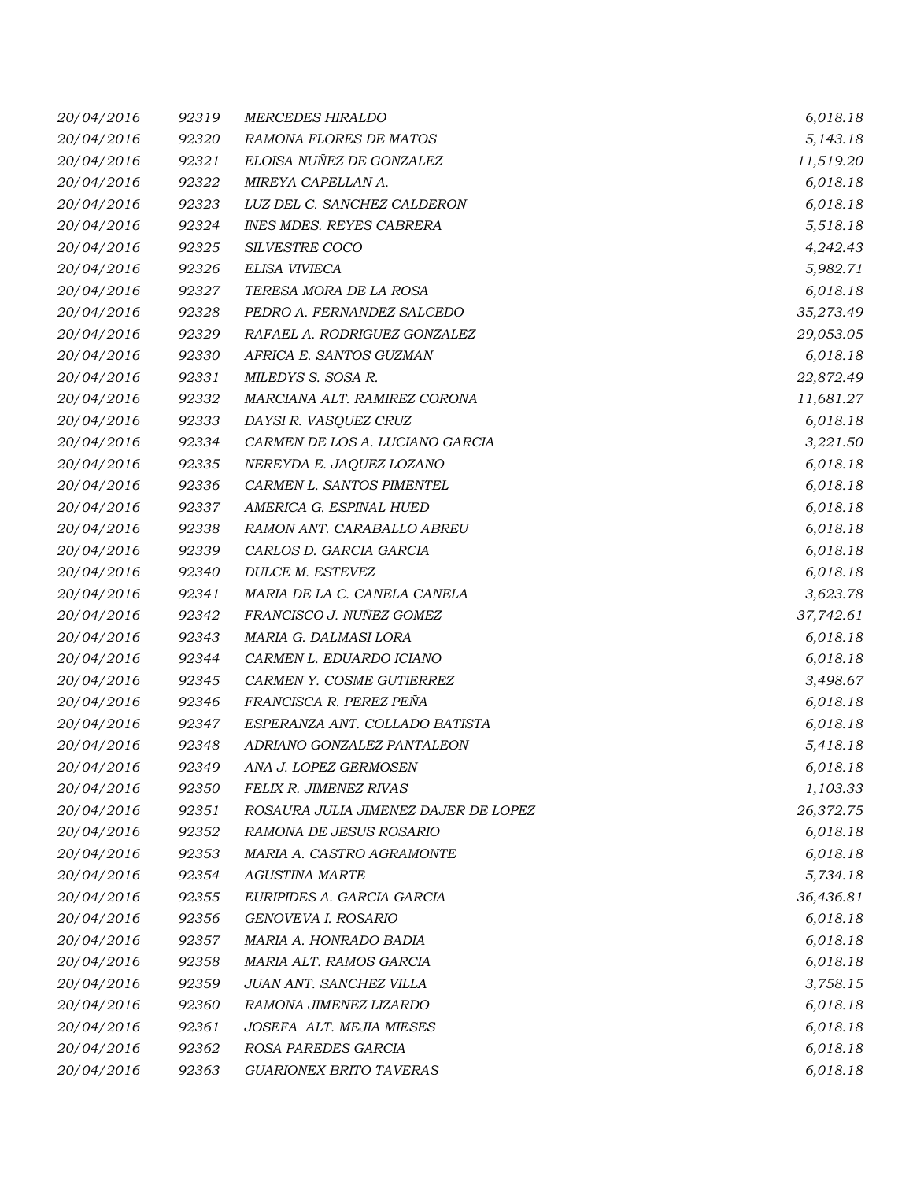| 20/04/2016 | 92319 | <b>MERCEDES HIRALDO</b>              | 6,018.18  |
|------------|-------|--------------------------------------|-----------|
| 20/04/2016 | 92320 | RAMONA FLORES DE MATOS               | 5,143.18  |
| 20/04/2016 | 92321 | ELOISA NUÑEZ DE GONZALEZ             | 11,519.20 |
| 20/04/2016 | 92322 | MIREYA CAPELLAN A.                   | 6,018.18  |
| 20/04/2016 | 92323 | LUZ DEL C. SANCHEZ CALDERON          | 6,018.18  |
| 20/04/2016 | 92324 | <b>INES MDES. REYES CABRERA</b>      | 5,518.18  |
| 20/04/2016 | 92325 | SILVESTRE COCO                       | 4,242.43  |
| 20/04/2016 | 92326 | ELISA VIVIECA                        | 5,982.71  |
| 20/04/2016 | 92327 | TERESA MORA DE LA ROSA               | 6,018.18  |
| 20/04/2016 | 92328 | PEDRO A. FERNANDEZ SALCEDO           | 35,273.49 |
| 20/04/2016 | 92329 | RAFAEL A. RODRIGUEZ GONZALEZ         | 29,053.05 |
| 20/04/2016 | 92330 | AFRICA E. SANTOS GUZMAN              | 6,018.18  |
| 20/04/2016 | 92331 | MILEDYS S. SOSA R.                   | 22,872.49 |
| 20/04/2016 | 92332 | MARCIANA ALT. RAMIREZ CORONA         | 11,681.27 |
| 20/04/2016 | 92333 | DAYSI R. VASQUEZ CRUZ                | 6,018.18  |
| 20/04/2016 | 92334 | CARMEN DE LOS A. LUCIANO GARCIA      | 3,221.50  |
| 20/04/2016 | 92335 | NEREYDA E. JAQUEZ LOZANO             | 6,018.18  |
| 20/04/2016 | 92336 | CARMEN L. SANTOS PIMENTEL            | 6,018.18  |
| 20/04/2016 | 92337 | AMERICA G. ESPINAL HUED              | 6,018.18  |
| 20/04/2016 | 92338 | RAMON ANT. CARABALLO ABREU           | 6,018.18  |
| 20/04/2016 | 92339 | CARLOS D. GARCIA GARCIA              | 6,018.18  |
| 20/04/2016 | 92340 | DULCE M. ESTEVEZ                     | 6,018.18  |
| 20/04/2016 | 92341 | MARIA DE LA C. CANELA CANELA         | 3,623.78  |
| 20/04/2016 | 92342 | FRANCISCO J. NUÑEZ GOMEZ             | 37,742.61 |
| 20/04/2016 | 92343 | MARIA G. DALMASI LORA                | 6,018.18  |
| 20/04/2016 | 92344 | CARMEN L. EDUARDO ICIANO             | 6,018.18  |
| 20/04/2016 | 92345 | CARMEN Y. COSME GUTIERREZ            | 3,498.67  |
| 20/04/2016 | 92346 | FRANCISCA R. PEREZ PEÑA              | 6,018.18  |
| 20/04/2016 | 92347 | ESPERANZA ANT. COLLADO BATISTA       | 6,018.18  |
| 20/04/2016 | 92348 | ADRIANO GONZALEZ PANTALEON           | 5,418.18  |
| 20/04/2016 | 92349 | ANA J. LOPEZ GERMOSEN                | 6,018.18  |
| 20/04/2016 | 92350 | FELIX R. JIMENEZ RIVAS               | 1,103.33  |
| 20/04/2016 | 92351 | ROSAURA JULIA JIMENEZ DAJER DE LOPEZ | 26,372.75 |
| 20/04/2016 | 92352 | RAMONA DE JESUS ROSARIO              | 6,018.18  |
| 20/04/2016 | 92353 | MARIA A. CASTRO AGRAMONTE            | 6,018.18  |
| 20/04/2016 | 92354 | <b>AGUSTINA MARTE</b>                | 5,734.18  |
| 20/04/2016 | 92355 | EURIPIDES A. GARCIA GARCIA           | 36,436.81 |
| 20/04/2016 | 92356 | GENOVEVA I. ROSARIO                  | 6,018.18  |
| 20/04/2016 | 92357 | MARIA A. HONRADO BADIA               | 6,018.18  |
| 20/04/2016 | 92358 | MARIA ALT. RAMOS GARCIA              | 6,018.18  |
| 20/04/2016 | 92359 | JUAN ANT. SANCHEZ VILLA              | 3,758.15  |
| 20/04/2016 | 92360 | RAMONA JIMENEZ LIZARDO               | 6,018.18  |
| 20/04/2016 | 92361 | JOSEFA ALT. MEJIA MIESES             | 6,018.18  |
| 20/04/2016 | 92362 | ROSA PAREDES GARCIA                  | 6,018.18  |
| 20/04/2016 | 92363 | GUARIONEX BRITO TAVERAS              | 6,018.18  |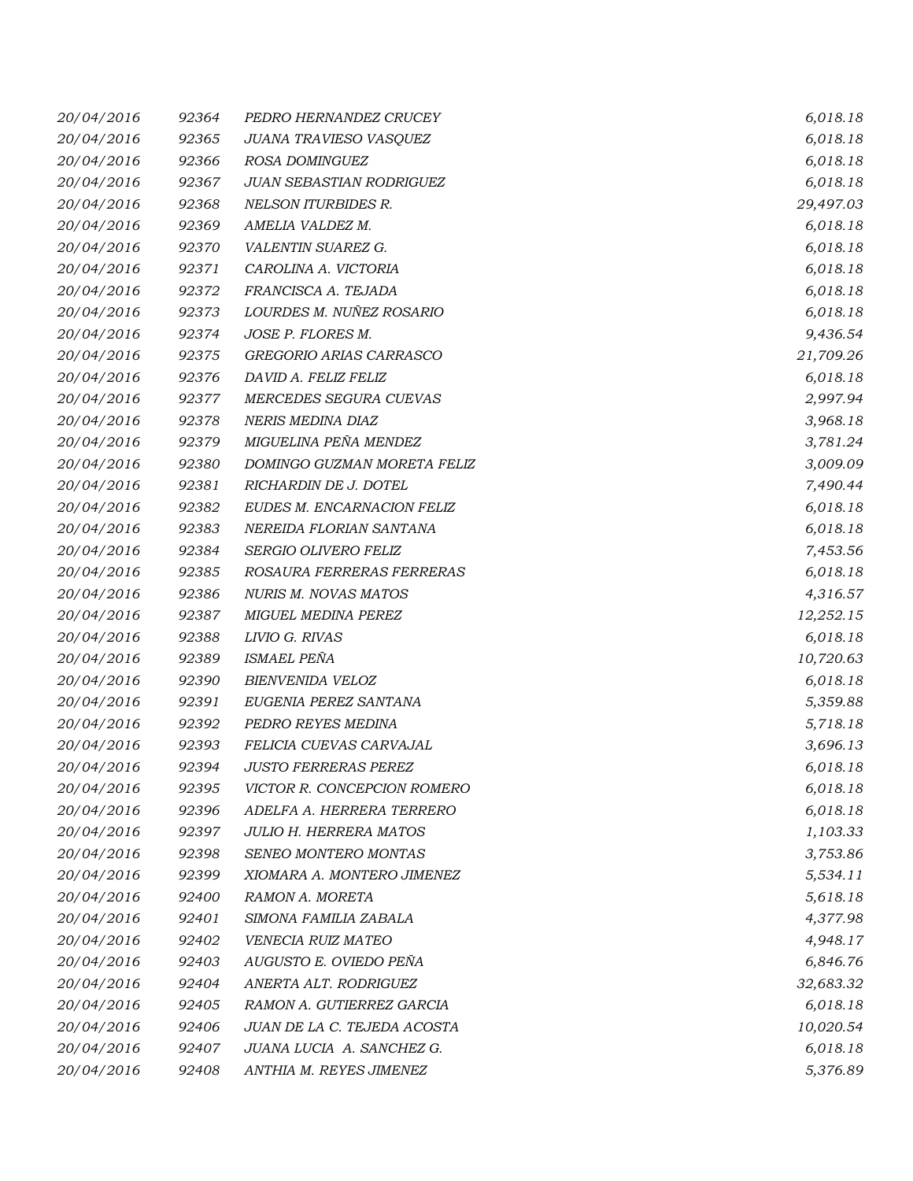| 20/04/2016 | 92364 | PEDRO HERNANDEZ CRUCEY        | 6,018.18  |
|------------|-------|-------------------------------|-----------|
| 20/04/2016 | 92365 | JUANA TRAVIESO VASQUEZ        | 6,018.18  |
| 20/04/2016 | 92366 | ROSA DOMINGUEZ                | 6,018.18  |
| 20/04/2016 | 92367 | JUAN SEBASTIAN RODRIGUEZ      | 6,018.18  |
| 20/04/2016 | 92368 | NELSON ITURBIDES R.           | 29,497.03 |
| 20/04/2016 | 92369 | AMELIA VALDEZ M.              | 6,018.18  |
| 20/04/2016 | 92370 | VALENTIN SUAREZ G.            | 6,018.18  |
| 20/04/2016 | 92371 | CAROLINA A. VICTORIA          | 6,018.18  |
| 20/04/2016 | 92372 | FRANCISCA A. TEJADA           | 6,018.18  |
| 20/04/2016 | 92373 | LOURDES M. NUÑEZ ROSARIO      | 6,018.18  |
| 20/04/2016 | 92374 | JOSE P. FLORES M.             | 9,436.54  |
| 20/04/2016 | 92375 | GREGORIO ARIAS CARRASCO       | 21,709.26 |
| 20/04/2016 | 92376 | DAVID A. FELIZ FELIZ          | 6,018.18  |
| 20/04/2016 | 92377 | MERCEDES SEGURA CUEVAS        | 2,997.94  |
| 20/04/2016 | 92378 | <b>NERIS MEDINA DIAZ</b>      | 3,968.18  |
| 20/04/2016 | 92379 | MIGUELINA PEÑA MENDEZ         | 3,781.24  |
| 20/04/2016 | 92380 | DOMINGO GUZMAN MORETA FELIZ   | 3,009.09  |
| 20/04/2016 | 92381 | RICHARDIN DE J. DOTEL         | 7,490.44  |
| 20/04/2016 | 92382 | EUDES M. ENCARNACION FELIZ    | 6,018.18  |
| 20/04/2016 | 92383 | NEREIDA FLORIAN SANTANA       | 6,018.18  |
| 20/04/2016 | 92384 | SERGIO OLIVERO FELIZ          | 7,453.56  |
| 20/04/2016 | 92385 | ROSAURA FERRERAS FERRERAS     | 6,018.18  |
| 20/04/2016 | 92386 | NURIS M. NOVAS MATOS          | 4,316.57  |
| 20/04/2016 | 92387 | MIGUEL MEDINA PEREZ           | 12,252.15 |
| 20/04/2016 | 92388 | LIVIO G. RIVAS                | 6,018.18  |
| 20/04/2016 | 92389 | ISMAEL PEÑA                   | 10,720.63 |
| 20/04/2016 | 92390 | BIENVENIDA VELOZ              | 6,018.18  |
| 20/04/2016 | 92391 | EUGENIA PEREZ SANTANA         | 5,359.88  |
| 20/04/2016 | 92392 | PEDRO REYES MEDINA            | 5,718.18  |
| 20/04/2016 | 92393 | FELICIA CUEVAS CARVAJAL       | 3,696.13  |
| 20/04/2016 | 92394 | <b>JUSTO FERRERAS PEREZ</b>   | 6,018.18  |
| 20/04/2016 | 92395 | VICTOR R. CONCEPCION ROMERO   | 6,018.18  |
| 20/04/2016 | 92396 | ADELFA A. HERRERA TERRERO     | 6,018.18  |
| 20/04/2016 | 92397 | <b>JULIO H. HERRERA MATOS</b> | 1,103.33  |
| 20/04/2016 | 92398 | SENEO MONTERO MONTAS          | 3,753.86  |
| 20/04/2016 | 92399 | XIOMARA A. MONTERO JIMENEZ    | 5,534.11  |
| 20/04/2016 | 92400 | RAMON A. MORETA               | 5,618.18  |
| 20/04/2016 | 92401 | SIMONA FAMILIA ZABALA         | 4,377.98  |
| 20/04/2016 | 92402 | VENECIA RUIZ MATEO            | 4,948.17  |
| 20/04/2016 | 92403 | AUGUSTO E. OVIEDO PEÑA        | 6,846.76  |
| 20/04/2016 | 92404 | ANERTA ALT. RODRIGUEZ         | 32,683.32 |
| 20/04/2016 | 92405 | RAMON A. GUTIERREZ GARCIA     | 6,018.18  |
| 20/04/2016 | 92406 | JUAN DE LA C. TEJEDA ACOSTA   | 10,020.54 |
| 20/04/2016 | 92407 | JUANA LUCIA A. SANCHEZ G.     | 6,018.18  |
| 20/04/2016 | 92408 | ANTHIA M. REYES JIMENEZ       | 5,376.89  |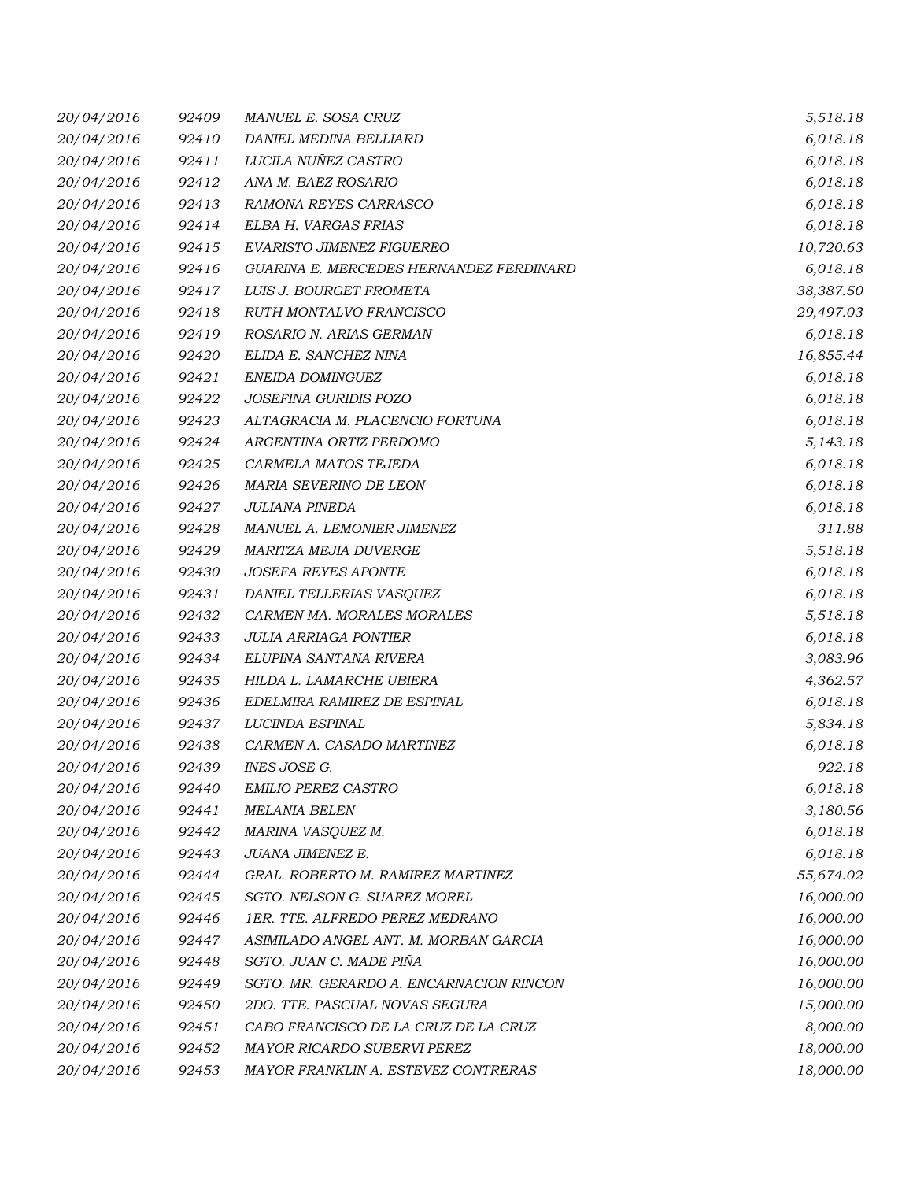| 20/04/2016 | 92409 | MANUEL E. SOSA CRUZ                     | 5,518.18  |
|------------|-------|-----------------------------------------|-----------|
| 20/04/2016 | 92410 | DANIEL MEDINA BELLIARD                  | 6,018.18  |
| 20/04/2016 | 92411 | LUCILA NUÑEZ CASTRO                     | 6,018.18  |
| 20/04/2016 | 92412 | ANA M. BAEZ ROSARIO                     | 6,018.18  |
| 20/04/2016 | 92413 | RAMONA REYES CARRASCO                   | 6,018.18  |
| 20/04/2016 | 92414 | ELBA H. VARGAS FRIAS                    | 6,018.18  |
| 20/04/2016 | 92415 | EVARISTO JIMENEZ FIGUEREO               | 10,720.63 |
| 20/04/2016 | 92416 | GUARINA E. MERCEDES HERNANDEZ FERDINARD | 6,018.18  |
| 20/04/2016 | 92417 | LUIS J. BOURGET FROMETA                 | 38,387.50 |
| 20/04/2016 | 92418 | RUTH MONTALVO FRANCISCO                 | 29,497.03 |
| 20/04/2016 | 92419 | ROSARIO N. ARIAS GERMAN                 | 6,018.18  |
| 20/04/2016 | 92420 | ELIDA E. SANCHEZ NINA                   | 16,855.44 |
| 20/04/2016 | 92421 | ENEIDA DOMINGUEZ                        | 6,018.18  |
| 20/04/2016 | 92422 | JOSEFINA GURIDIS POZO                   | 6,018.18  |
| 20/04/2016 | 92423 | ALTAGRACIA M. PLACENCIO FORTUNA         | 6,018.18  |
| 20/04/2016 | 92424 | ARGENTINA ORTIZ PERDOMO                 | 5,143.18  |
| 20/04/2016 | 92425 | CARMELA MATOS TEJEDA                    | 6,018.18  |
| 20/04/2016 | 92426 | MARIA SEVERINO DE LEON                  | 6,018.18  |
| 20/04/2016 | 92427 | <b>JULIANA PINEDA</b>                   | 6,018.18  |
| 20/04/2016 | 92428 | MANUEL A. LEMONIER JIMENEZ              | 311.88    |
| 20/04/2016 | 92429 | MARITZA MEJIA DUVERGE                   | 5,518.18  |
| 20/04/2016 | 92430 | <b>JOSEFA REYES APONTE</b>              | 6,018.18  |
| 20/04/2016 | 92431 | DANIEL TELLERIAS VASQUEZ                | 6,018.18  |
| 20/04/2016 | 92432 | CARMEN MA. MORALES MORALES              | 5,518.18  |
| 20/04/2016 | 92433 | <b>JULIA ARRIAGA PONTIER</b>            | 6,018.18  |
| 20/04/2016 | 92434 | ELUPINA SANTANA RIVERA                  | 3,083.96  |
| 20/04/2016 | 92435 | HILDA L. LAMARCHE UBIERA                | 4,362.57  |
| 20/04/2016 | 92436 | EDELMIRA RAMIREZ DE ESPINAL             | 6,018.18  |
| 20/04/2016 | 92437 | LUCINDA ESPINAL                         | 5,834.18  |
| 20/04/2016 | 92438 | CARMEN A. CASADO MARTINEZ               | 6,018.18  |
| 20/04/2016 | 92439 | <b>INES JOSE G.</b>                     | 922.18    |
| 20/04/2016 | 92440 | <b>EMILIO PEREZ CASTRO</b>              | 6,018.18  |
| 20/04/2016 | 92441 | <b>MELANIA BELEN</b>                    | 3,180.56  |
| 20/04/2016 | 92442 | MARINA VASQUEZ M.                       | 6,018.18  |
| 20/04/2016 | 92443 | JUANA JIMENEZ E.                        | 6,018.18  |
| 20/04/2016 | 92444 | GRAL. ROBERTO M. RAMIREZ MARTINEZ       | 55,674.02 |
| 20/04/2016 | 92445 | SGTO. NELSON G. SUAREZ MOREL            | 16,000.00 |
| 20/04/2016 | 92446 | 1ER. TTE. ALFREDO PEREZ MEDRANO         | 16,000.00 |
| 20/04/2016 | 92447 | ASIMILADO ANGEL ANT. M. MORBAN GARCIA   | 16,000.00 |
| 20/04/2016 | 92448 | SGTO. JUAN C. MADE PIÑA                 | 16,000.00 |
| 20/04/2016 | 92449 | SGTO. MR. GERARDO A. ENCARNACION RINCON | 16,000.00 |
| 20/04/2016 | 92450 | 2DO. TTE. PASCUAL NOVAS SEGURA          | 15,000.00 |
| 20/04/2016 | 92451 | CABO FRANCISCO DE LA CRUZ DE LA CRUZ    | 8,000.00  |
| 20/04/2016 | 92452 | MAYOR RICARDO SUBERVI PEREZ             | 18,000.00 |
| 20/04/2016 | 92453 | MAYOR FRANKLIN A. ESTEVEZ CONTRERAS     | 18,000.00 |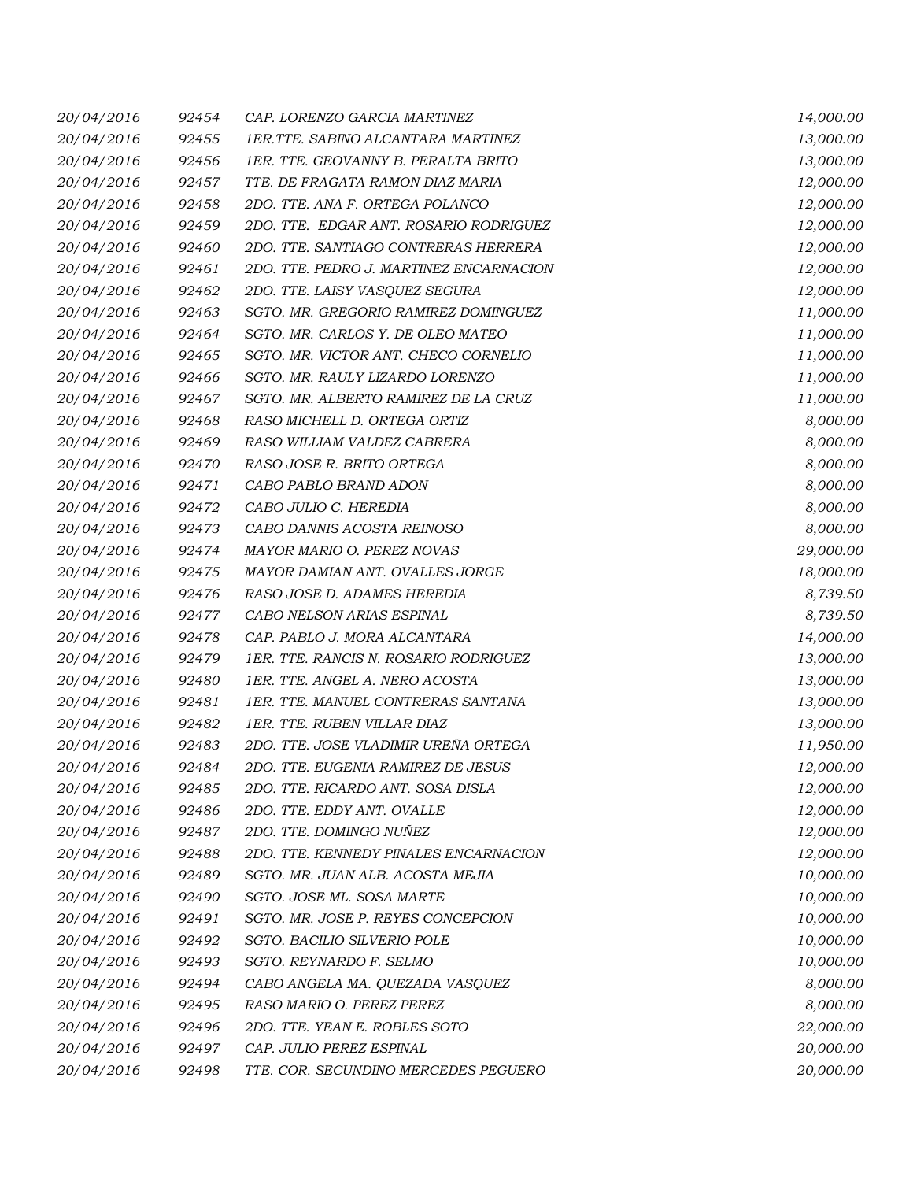| 20/04/2016 | 92454 | CAP. LORENZO GARCIA MARTINEZ              | 14,000.00 |
|------------|-------|-------------------------------------------|-----------|
| 20/04/2016 | 92455 | <b>1ER.TTE. SABINO ALCANTARA MARTINEZ</b> | 13,000.00 |
| 20/04/2016 | 92456 | 1ER. TTE. GEOVANNY B. PERALTA BRITO       | 13,000.00 |
| 20/04/2016 | 92457 | TTE. DE FRAGATA RAMON DIAZ MARIA          | 12,000.00 |
| 20/04/2016 | 92458 | 2DO. TTE. ANA F. ORTEGA POLANCO           | 12,000.00 |
| 20/04/2016 | 92459 | 2DO. TTE. EDGAR ANT. ROSARIO RODRIGUEZ    | 12,000.00 |
| 20/04/2016 | 92460 | 2DO. TTE. SANTIAGO CONTRERAS HERRERA      | 12,000.00 |
| 20/04/2016 | 92461 | 2DO. TTE. PEDRO J. MARTINEZ ENCARNACION   | 12,000.00 |
| 20/04/2016 | 92462 | 2DO. TTE. LAISY VASQUEZ SEGURA            | 12,000.00 |
| 20/04/2016 | 92463 | SGTO. MR. GREGORIO RAMIREZ DOMINGUEZ      | 11,000.00 |
| 20/04/2016 | 92464 | SGTO. MR. CARLOS Y. DE OLEO MATEO         | 11,000.00 |
| 20/04/2016 | 92465 | SGTO. MR. VICTOR ANT. CHECO CORNELIO      | 11,000.00 |
| 20/04/2016 | 92466 | SGTO. MR. RAULY LIZARDO LORENZO           | 11,000.00 |
| 20/04/2016 | 92467 | SGTO. MR. ALBERTO RAMIREZ DE LA CRUZ      | 11,000.00 |
| 20/04/2016 | 92468 | RASO MICHELL D. ORTEGA ORTIZ              | 8,000.00  |
| 20/04/2016 | 92469 | RASO WILLIAM VALDEZ CABRERA               | 8,000.00  |
| 20/04/2016 | 92470 | RASO JOSE R. BRITO ORTEGA                 | 8,000.00  |
| 20/04/2016 | 92471 | CABO PABLO BRAND ADON                     | 8,000.00  |
| 20/04/2016 | 92472 | CABO JULIO C. HEREDIA                     | 8,000.00  |
| 20/04/2016 | 92473 | CABO DANNIS ACOSTA REINOSO                | 8,000.00  |
| 20/04/2016 | 92474 | MAYOR MARIO O. PEREZ NOVAS                | 29,000.00 |
| 20/04/2016 | 92475 | MAYOR DAMIAN ANT. OVALLES JORGE           | 18,000.00 |
| 20/04/2016 | 92476 | RASO JOSE D. ADAMES HEREDIA               | 8,739.50  |
| 20/04/2016 | 92477 | CABO NELSON ARIAS ESPINAL                 | 8,739.50  |
| 20/04/2016 | 92478 | CAP. PABLO J. MORA ALCANTARA              | 14,000.00 |
| 20/04/2016 | 92479 | 1ER. TTE. RANCIS N. ROSARIO RODRIGUEZ     | 13,000.00 |
| 20/04/2016 | 92480 | 1ER. TTE. ANGEL A. NERO ACOSTA            | 13,000.00 |
| 20/04/2016 | 92481 | 1ER. TTE. MANUEL CONTRERAS SANTANA        | 13,000.00 |
| 20/04/2016 | 92482 | 1ER. TTE. RUBEN VILLAR DIAZ               | 13,000.00 |
| 20/04/2016 | 92483 | 2DO. TTE. JOSE VLADIMIR UREÑA ORTEGA      | 11,950.00 |
| 20/04/2016 | 92484 | 2DO. TTE. EUGENIA RAMIREZ DE JESUS        | 12,000.00 |
| 20/04/2016 | 92485 | 2DO. TTE. RICARDO ANT. SOSA DISLA         | 12,000.00 |
| 20/04/2016 | 92486 | 2DO. TTE. EDDY ANT. OVALLE                | 12,000.00 |
| 20/04/2016 | 92487 | 2DO. TTE. DOMINGO NUÑEZ                   | 12,000.00 |
| 20/04/2016 | 92488 | 2DO. TTE. KENNEDY PINALES ENCARNACION     | 12,000.00 |
| 20/04/2016 | 92489 | SGTO. MR. JUAN ALB. ACOSTA MEJIA          | 10,000.00 |
| 20/04/2016 | 92490 | SGTO. JOSE ML. SOSA MARTE                 | 10,000.00 |
| 20/04/2016 | 92491 | SGTO. MR. JOSE P. REYES CONCEPCION        | 10,000.00 |
| 20/04/2016 | 92492 | SGTO. BACILIO SILVERIO POLE               | 10,000.00 |
| 20/04/2016 | 92493 | SGTO. REYNARDO F. SELMO                   | 10,000.00 |
| 20/04/2016 | 92494 | CABO ANGELA MA. QUEZADA VASQUEZ           | 8,000.00  |
| 20/04/2016 | 92495 | RASO MARIO O. PEREZ PEREZ                 | 8,000.00  |
| 20/04/2016 | 92496 | 2DO. TTE. YEAN E. ROBLES SOTO             | 22,000.00 |
| 20/04/2016 | 92497 | CAP. JULIO PEREZ ESPINAL                  | 20,000.00 |
| 20/04/2016 | 92498 | TTE. COR. SECUNDINO MERCEDES PEGUERO      | 20,000.00 |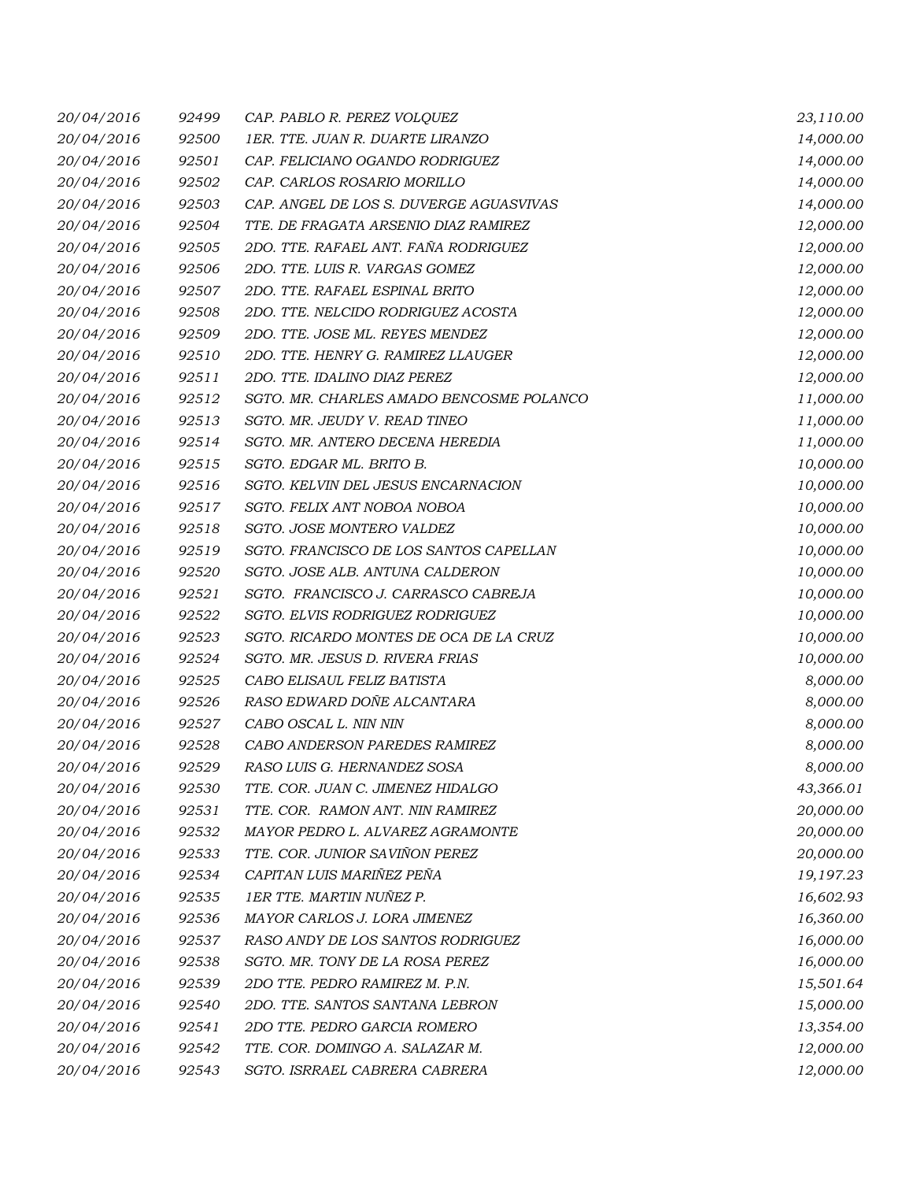| 20/04/2016 | 92499 | CAP. PABLO R. PEREZ VOLOUEZ              | 23,110.00 |
|------------|-------|------------------------------------------|-----------|
| 20/04/2016 | 92500 | 1ER. TTE. JUAN R. DUARTE LIRANZO         | 14,000.00 |
| 20/04/2016 | 92501 | CAP. FELICIANO OGANDO RODRIGUEZ          | 14,000.00 |
| 20/04/2016 | 92502 | CAP. CARLOS ROSARIO MORILLO              | 14,000.00 |
| 20/04/2016 | 92503 | CAP. ANGEL DE LOS S. DUVERGE AGUASVIVAS  | 14,000.00 |
| 20/04/2016 | 92504 | TTE. DE FRAGATA ARSENIO DIAZ RAMIREZ     | 12,000.00 |
| 20/04/2016 | 92505 | 2DO. TTE. RAFAEL ANT. FAÑA RODRIGUEZ     | 12,000.00 |
| 20/04/2016 | 92506 | 2DO. TTE. LUIS R. VARGAS GOMEZ           | 12,000.00 |
| 20/04/2016 | 92507 | 2DO. TTE. RAFAEL ESPINAL BRITO           | 12,000.00 |
| 20/04/2016 | 92508 | 2DO. TTE. NELCIDO RODRIGUEZ ACOSTA       | 12,000.00 |
| 20/04/2016 | 92509 | 2DO. TTE. JOSE ML. REYES MENDEZ          | 12,000.00 |
| 20/04/2016 | 92510 | 2DO. TTE. HENRY G. RAMIREZ LLAUGER       | 12,000.00 |
| 20/04/2016 | 92511 | 2DO. TTE. IDALINO DIAZ PEREZ             | 12,000.00 |
| 20/04/2016 | 92512 | SGTO. MR. CHARLES AMADO BENCOSME POLANCO | 11,000.00 |
| 20/04/2016 | 92513 | SGTO. MR. JEUDY V. READ TINEO            | 11,000.00 |
| 20/04/2016 | 92514 | SGTO. MR. ANTERO DECENA HEREDIA          | 11,000.00 |
| 20/04/2016 | 92515 | SGTO. EDGAR ML. BRITO B.                 | 10,000.00 |
| 20/04/2016 | 92516 | SGTO. KELVIN DEL JESUS ENCARNACION       | 10,000.00 |
| 20/04/2016 | 92517 | SGTO. FELIX ANT NOBOA NOBOA              | 10,000.00 |
| 20/04/2016 | 92518 | SGTO. JOSE MONTERO VALDEZ                | 10,000.00 |
| 20/04/2016 | 92519 | SGTO. FRANCISCO DE LOS SANTOS CAPELLAN   | 10,000.00 |
| 20/04/2016 | 92520 | SGTO. JOSE ALB. ANTUNA CALDERON          | 10,000.00 |
| 20/04/2016 | 92521 | SGTO. FRANCISCO J. CARRASCO CABREJA      | 10,000.00 |
| 20/04/2016 | 92522 | SGTO. ELVIS RODRIGUEZ RODRIGUEZ          | 10,000.00 |
| 20/04/2016 | 92523 | SGTO. RICARDO MONTES DE OCA DE LA CRUZ   | 10,000.00 |
| 20/04/2016 | 92524 | SGTO. MR. JESUS D. RIVERA FRIAS          | 10,000.00 |
| 20/04/2016 | 92525 | CABO ELISAUL FELIZ BATISTA               | 8,000.00  |
| 20/04/2016 | 92526 | RASO EDWARD DOÑE ALCANTARA               | 8,000.00  |
| 20/04/2016 | 92527 | CABO OSCAL L. NIN NIN                    | 8,000.00  |
| 20/04/2016 | 92528 | CABO ANDERSON PAREDES RAMIREZ            | 8,000.00  |
| 20/04/2016 | 92529 | RASO LUIS G. HERNANDEZ SOSA              | 8,000.00  |
| 20/04/2016 | 92530 | TTE. COR. JUAN C. JIMENEZ HIDALGO        | 43,366.01 |
| 20/04/2016 | 92531 | TTE. COR. RAMON ANT. NIN RAMIREZ         | 20,000.00 |
| 20/04/2016 | 92532 | MAYOR PEDRO L. ALVAREZ AGRAMONTE         | 20,000.00 |
| 20/04/2016 | 92533 | TTE. COR. JUNIOR SAVIÑON PEREZ           | 20,000.00 |
| 20/04/2016 | 92534 | CAPITAN LUIS MARIÑEZ PEÑA                | 19,197.23 |
| 20/04/2016 | 92535 | 1ER TTE. MARTIN NUÑEZ P.                 | 16,602.93 |
| 20/04/2016 | 92536 | MAYOR CARLOS J. LORA JIMENEZ             | 16,360.00 |
| 20/04/2016 | 92537 | RASO ANDY DE LOS SANTOS RODRIGUEZ        | 16,000.00 |
| 20/04/2016 | 92538 | SGTO. MR. TONY DE LA ROSA PEREZ          | 16,000.00 |
| 20/04/2016 | 92539 | 2DO TTE. PEDRO RAMIREZ M. P.N.           | 15,501.64 |
| 20/04/2016 | 92540 | 2DO. TTE. SANTOS SANTANA LEBRON          | 15,000.00 |
| 20/04/2016 | 92541 | 2DO TTE. PEDRO GARCIA ROMERO             | 13,354.00 |
| 20/04/2016 | 92542 | TTE. COR. DOMINGO A. SALAZAR M.          | 12,000.00 |
| 20/04/2016 | 92543 | SGTO. ISRRAEL CABRERA CABRERA            | 12,000.00 |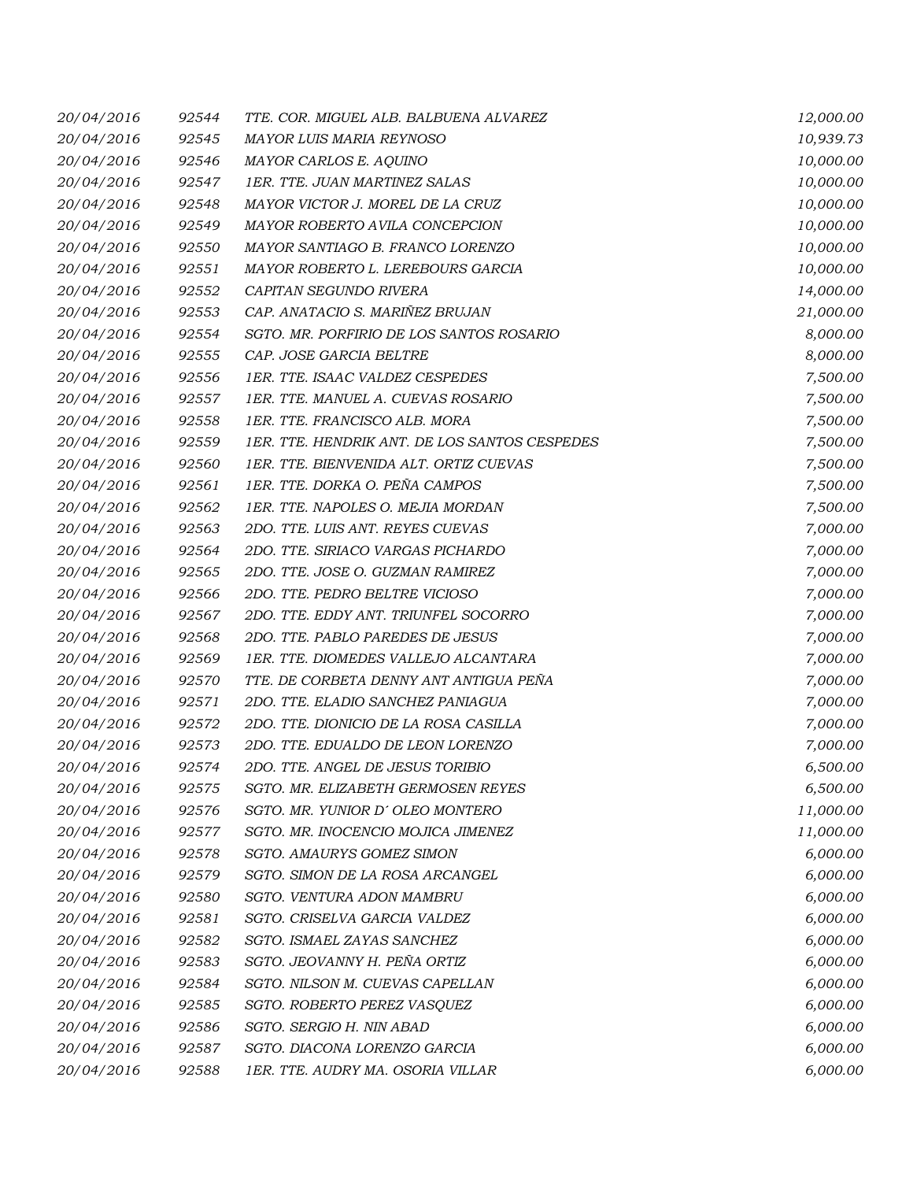| 20/04/2016 | 92544 | TTE, COR, MIGUEL ALB, BALBUENA ALVAREZ        | 12,000.00 |
|------------|-------|-----------------------------------------------|-----------|
| 20/04/2016 | 92545 | MAYOR LUIS MARIA REYNOSO                      | 10,939.73 |
| 20/04/2016 | 92546 | MAYOR CARLOS E. AQUINO                        | 10,000.00 |
| 20/04/2016 | 92547 | 1ER. TTE. JUAN MARTINEZ SALAS                 | 10,000.00 |
| 20/04/2016 | 92548 | MAYOR VICTOR J. MOREL DE LA CRUZ              | 10,000.00 |
| 20/04/2016 | 92549 | MAYOR ROBERTO AVILA CONCEPCION                | 10,000.00 |
| 20/04/2016 | 92550 | MAYOR SANTIAGO B. FRANCO LORENZO              | 10,000.00 |
| 20/04/2016 | 92551 | MAYOR ROBERTO L. LEREBOURS GARCIA             | 10,000.00 |
| 20/04/2016 | 92552 | CAPITAN SEGUNDO RIVERA                        | 14,000.00 |
| 20/04/2016 | 92553 | CAP. ANATACIO S. MARIÑEZ BRUJAN               | 21,000.00 |
| 20/04/2016 | 92554 | SGTO. MR. PORFIRIO DE LOS SANTOS ROSARIO      | 8,000.00  |
| 20/04/2016 | 92555 | CAP. JOSE GARCIA BELTRE                       | 8,000.00  |
| 20/04/2016 | 92556 | 1ER. TTE. ISAAC VALDEZ CESPEDES               | 7,500.00  |
| 20/04/2016 | 92557 | 1ER. TTE. MANUEL A. CUEVAS ROSARIO            | 7,500.00  |
| 20/04/2016 | 92558 | 1ER. TTE. FRANCISCO ALB. MORA                 | 7,500.00  |
| 20/04/2016 | 92559 | 1ER. TTE. HENDRIK ANT. DE LOS SANTOS CESPEDES | 7,500.00  |
| 20/04/2016 | 92560 | 1ER. TTE. BIENVENIDA ALT. ORTIZ CUEVAS        | 7,500.00  |
| 20/04/2016 | 92561 | 1ER. TTE. DORKA O. PEÑA CAMPOS                | 7,500.00  |
| 20/04/2016 | 92562 | 1ER. TTE. NAPOLES O. MEJIA MORDAN             | 7,500.00  |
| 20/04/2016 | 92563 | 2DO. TTE. LUIS ANT. REYES CUEVAS              | 7,000.00  |
| 20/04/2016 | 92564 | 2DO. TTE. SIRIACO VARGAS PICHARDO             | 7,000.00  |
| 20/04/2016 | 92565 | 2DO. TTE. JOSE O. GUZMAN RAMIREZ              | 7,000.00  |
| 20/04/2016 | 92566 | 2DO. TTE. PEDRO BELTRE VICIOSO                | 7,000.00  |
| 20/04/2016 | 92567 | 2DO. TTE. EDDY ANT. TRIUNFEL SOCORRO          | 7,000.00  |
| 20/04/2016 | 92568 | 2DO. TTE. PABLO PAREDES DE JESUS              | 7,000.00  |
| 20/04/2016 | 92569 | 1ER. TTE. DIOMEDES VALLEJO ALCANTARA          | 7,000.00  |
| 20/04/2016 | 92570 | TTE. DE CORBETA DENNY ANT ANTIGUA PEÑA        | 7,000.00  |
| 20/04/2016 | 92571 | 2DO. TTE. ELADIO SANCHEZ PANIAGUA             | 7,000.00  |
| 20/04/2016 | 92572 | 2DO. TTE. DIONICIO DE LA ROSA CASILLA         | 7,000.00  |
| 20/04/2016 | 92573 | 2DO. TTE. EDUALDO DE LEON LORENZO             | 7,000.00  |
| 20/04/2016 | 92574 | 2DO. TTE. ANGEL DE JESUS TORIBIO              | 6,500.00  |
| 20/04/2016 | 92575 | SGTO. MR. ELIZABETH GERMOSEN REYES            | 6,500.00  |
| 20/04/2016 | 92576 | SGTO. MR. YUNIOR D'OLEO MONTERO               | 11,000.00 |
| 20/04/2016 | 92577 | SGTO. MR. INOCENCIO MOJICA JIMENEZ            | 11,000.00 |
| 20/04/2016 | 92578 | SGTO. AMAURYS GOMEZ SIMON                     | 6,000.00  |
| 20/04/2016 | 92579 | SGTO. SIMON DE LA ROSA ARCANGEL               | 6,000.00  |
| 20/04/2016 | 92580 | SGTO. VENTURA ADON MAMBRU                     | 6,000.00  |
| 20/04/2016 | 92581 | SGTO. CRISELVA GARCIA VALDEZ                  | 6,000.00  |
| 20/04/2016 | 92582 | SGTO. ISMAEL ZAYAS SANCHEZ                    | 6,000.00  |
| 20/04/2016 | 92583 | SGTO. JEOVANNY H. PEÑA ORTIZ                  | 6,000.00  |
| 20/04/2016 | 92584 | SGTO. NILSON M. CUEVAS CAPELLAN               | 6,000.00  |
| 20/04/2016 | 92585 | SGTO. ROBERTO PEREZ VASQUEZ                   | 6,000.00  |
| 20/04/2016 | 92586 | SGTO. SERGIO H. NIN ABAD                      | 6,000.00  |
| 20/04/2016 | 92587 | SGTO. DIACONA LORENZO GARCIA                  | 6,000.00  |
| 20/04/2016 | 92588 | 1ER. TTE. AUDRY MA. OSORIA VILLAR             | 6,000.00  |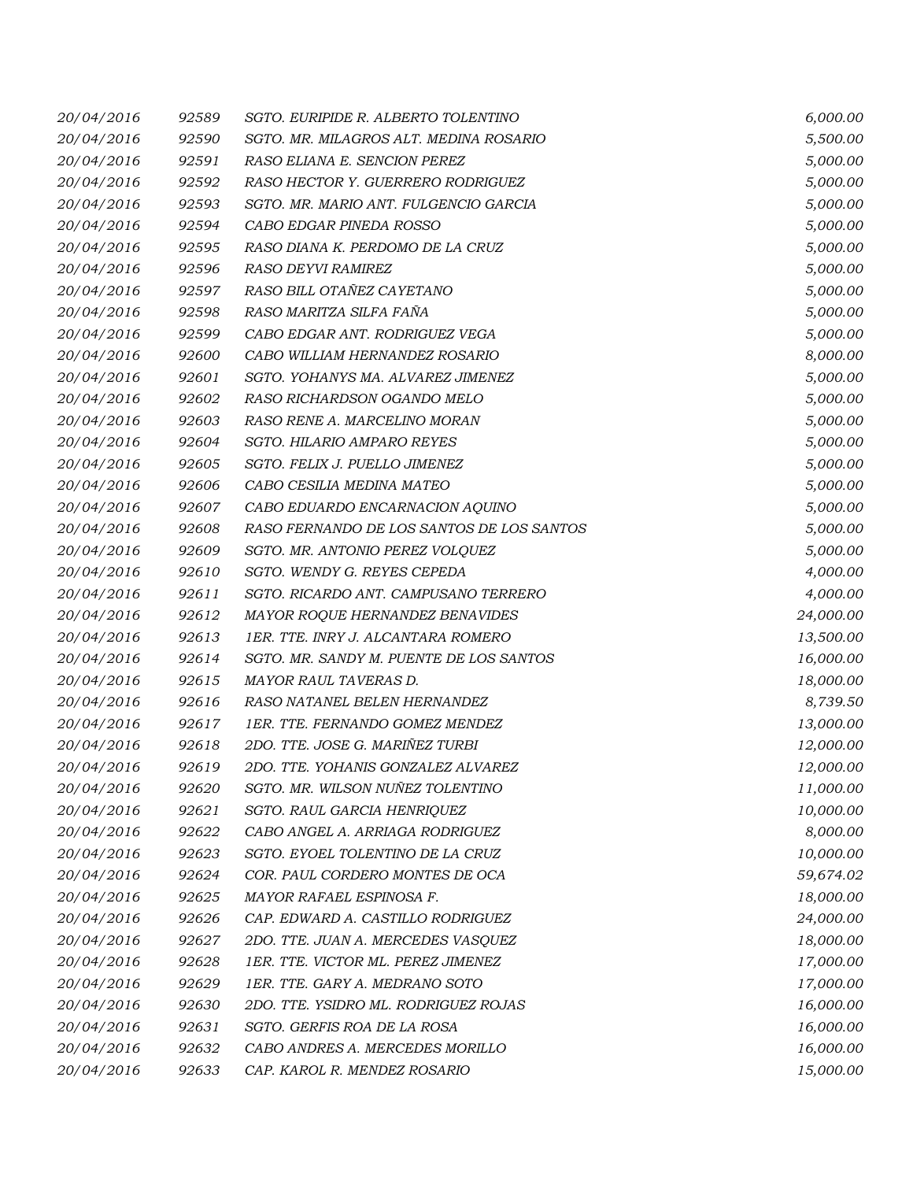| 20/04/2016 | 92589 | SGTO. EURIPIDE R. ALBERTO TOLENTINO       | 6,000.00  |
|------------|-------|-------------------------------------------|-----------|
| 20/04/2016 | 92590 | SGTO. MR. MILAGROS ALT. MEDINA ROSARIO    | 5,500.00  |
| 20/04/2016 | 92591 | RASO ELIANA E. SENCION PEREZ              | 5,000.00  |
| 20/04/2016 | 92592 | RASO HECTOR Y. GUERRERO RODRIGUEZ         | 5,000.00  |
| 20/04/2016 | 92593 | SGTO. MR. MARIO ANT. FULGENCIO GARCIA     | 5,000.00  |
| 20/04/2016 | 92594 | CABO EDGAR PINEDA ROSSO                   | 5,000.00  |
| 20/04/2016 | 92595 | RASO DIANA K. PERDOMO DE LA CRUZ          | 5,000.00  |
| 20/04/2016 | 92596 | RASO DEYVI RAMIREZ                        | 5,000.00  |
| 20/04/2016 | 92597 | RASO BILL OTAÑEZ CAYETANO                 | 5,000.00  |
| 20/04/2016 | 92598 | RASO MARITZA SILFA FAÑA                   | 5,000.00  |
| 20/04/2016 | 92599 | CABO EDGAR ANT. RODRIGUEZ VEGA            | 5,000.00  |
| 20/04/2016 | 92600 | CABO WILLIAM HERNANDEZ ROSARIO            | 8,000.00  |
| 20/04/2016 | 92601 | SGTO. YOHANYS MA. ALVAREZ JIMENEZ         | 5,000.00  |
| 20/04/2016 | 92602 | RASO RICHARDSON OGANDO MELO               | 5,000.00  |
| 20/04/2016 | 92603 | RASO RENE A. MARCELINO MORAN              | 5,000.00  |
| 20/04/2016 | 92604 | <b>SGTO. HILARIO AMPARO REYES</b>         | 5,000.00  |
| 20/04/2016 | 92605 | SGTO. FELIX J. PUELLO JIMENEZ             | 5,000.00  |
| 20/04/2016 | 92606 | CABO CESILIA MEDINA MATEO                 | 5,000.00  |
| 20/04/2016 | 92607 | CABO EDUARDO ENCARNACION AQUINO           | 5,000.00  |
| 20/04/2016 | 92608 | RASO FERNANDO DE LOS SANTOS DE LOS SANTOS | 5,000.00  |
| 20/04/2016 | 92609 | SGTO. MR. ANTONIO PEREZ VOLQUEZ           | 5,000.00  |
| 20/04/2016 | 92610 | SGTO. WENDY G. REYES CEPEDA               | 4,000.00  |
| 20/04/2016 | 92611 | SGTO. RICARDO ANT. CAMPUSANO TERRERO      | 4,000.00  |
| 20/04/2016 | 92612 | MAYOR ROQUE HERNANDEZ BENAVIDES           | 24,000.00 |
| 20/04/2016 | 92613 | 1ER. TTE. INRY J. ALCANTARA ROMERO        | 13,500.00 |
| 20/04/2016 | 92614 | SGTO. MR. SANDY M. PUENTE DE LOS SANTOS   | 16,000.00 |
| 20/04/2016 | 92615 | MAYOR RAUL TAVERAS D.                     | 18,000.00 |
| 20/04/2016 | 92616 | RASO NATANEL BELEN HERNANDEZ              | 8,739.50  |
| 20/04/2016 | 92617 | 1ER. TTE. FERNANDO GOMEZ MENDEZ           | 13,000.00 |
| 20/04/2016 | 92618 | 2DO. TTE. JOSE G. MARIÑEZ TURBI           | 12,000.00 |
| 20/04/2016 | 92619 | 2DO. TTE. YOHANIS GONZALEZ ALVAREZ        | 12,000.00 |
| 20/04/2016 | 92620 | SGTO. MR. WILSON NUÑEZ TOLENTINO          | 11,000.00 |
| 20/04/2016 | 92621 | SGTO. RAUL GARCIA HENRIQUEZ               | 10,000.00 |
| 20/04/2016 | 92622 | CABO ANGEL A. ARRIAGA RODRIGUEZ           | 8,000.00  |
| 20/04/2016 | 92623 | SGTO. EYOEL TOLENTINO DE LA CRUZ          | 10,000.00 |
| 20/04/2016 | 92624 | COR. PAUL CORDERO MONTES DE OCA           | 59,674.02 |
| 20/04/2016 | 92625 | MAYOR RAFAEL ESPINOSA F.                  | 18,000.00 |
| 20/04/2016 | 92626 | CAP. EDWARD A. CASTILLO RODRIGUEZ         | 24,000.00 |
| 20/04/2016 | 92627 | 2DO. TTE. JUAN A. MERCEDES VASQUEZ        | 18,000.00 |
| 20/04/2016 | 92628 | 1ER. TTE. VICTOR ML. PEREZ JIMENEZ        | 17,000.00 |
| 20/04/2016 | 92629 | 1ER. TTE. GARY A. MEDRANO SOTO            | 17,000.00 |
| 20/04/2016 | 92630 | 2DO. TTE. YSIDRO ML. RODRIGUEZ ROJAS      | 16,000.00 |
| 20/04/2016 | 92631 | SGTO. GERFIS ROA DE LA ROSA               | 16,000.00 |
| 20/04/2016 | 92632 | CABO ANDRES A. MERCEDES MORILLO           | 16,000.00 |
| 20/04/2016 | 92633 | CAP. KAROL R. MENDEZ ROSARIO              | 15,000.00 |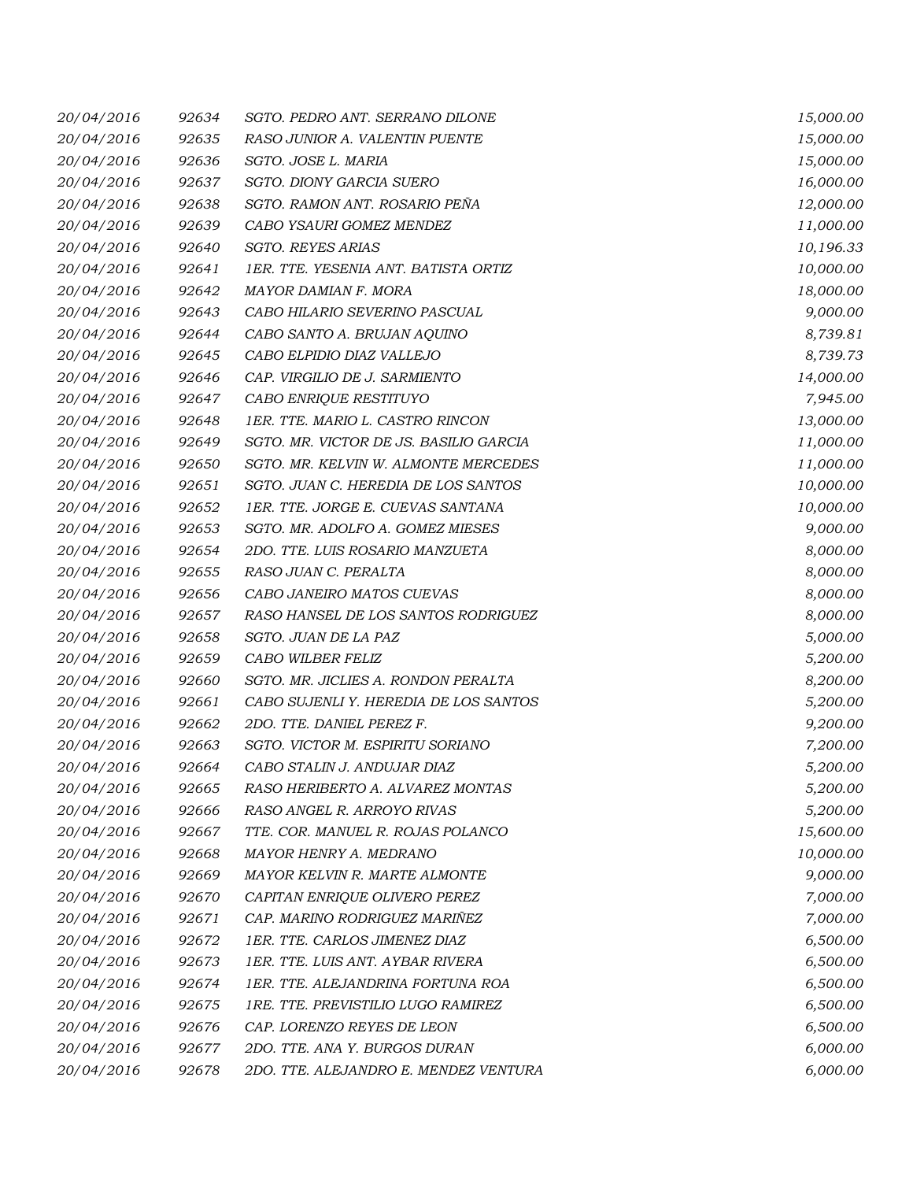| 20/04/2016 | 92634 | SGTO. PEDRO ANT. SERRANO DILONE        | 15,000.00 |
|------------|-------|----------------------------------------|-----------|
| 20/04/2016 | 92635 | RASO JUNIOR A. VALENTIN PUENTE         | 15,000.00 |
| 20/04/2016 | 92636 | SGTO. JOSE L. MARIA                    | 15,000.00 |
| 20/04/2016 | 92637 | SGTO. DIONY GARCIA SUERO               | 16,000.00 |
| 20/04/2016 | 92638 | SGTO. RAMON ANT. ROSARIO PEÑA          | 12,000.00 |
| 20/04/2016 | 92639 | CABO YSAURI GOMEZ MENDEZ               | 11,000.00 |
| 20/04/2016 | 92640 | <b>SGTO. REYES ARIAS</b>               | 10,196.33 |
| 20/04/2016 | 92641 | 1ER. TTE. YESENIA ANT. BATISTA ORTIZ   | 10,000.00 |
| 20/04/2016 | 92642 | MAYOR DAMIAN F. MORA                   | 18,000.00 |
| 20/04/2016 | 92643 | CABO HILARIO SEVERINO PASCUAL          | 9,000.00  |
| 20/04/2016 | 92644 | CABO SANTO A. BRUJAN AQUINO            | 8,739.81  |
| 20/04/2016 | 92645 | CABO ELPIDIO DIAZ VALLEJO              | 8,739.73  |
| 20/04/2016 | 92646 | CAP. VIRGILIO DE J. SARMIENTO          | 14,000.00 |
| 20/04/2016 | 92647 | CABO ENRIQUE RESTITUYO                 | 7,945.00  |
| 20/04/2016 | 92648 | 1ER. TTE. MARIO L. CASTRO RINCON       | 13,000.00 |
| 20/04/2016 | 92649 | SGTO. MR. VICTOR DE JS. BASILIO GARCIA | 11,000.00 |
| 20/04/2016 | 92650 | SGTO. MR. KELVIN W. ALMONTE MERCEDES   | 11,000.00 |
| 20/04/2016 | 92651 | SGTO. JUAN C. HEREDIA DE LOS SANTOS    | 10,000.00 |
| 20/04/2016 | 92652 | 1ER. TTE. JORGE E. CUEVAS SANTANA      | 10,000.00 |
| 20/04/2016 | 92653 | SGTO. MR. ADOLFO A. GOMEZ MIESES       | 9,000.00  |
| 20/04/2016 | 92654 | 2DO. TTE. LUIS ROSARIO MANZUETA        | 8,000.00  |
| 20/04/2016 | 92655 | RASO JUAN C. PERALTA                   | 8,000.00  |
| 20/04/2016 | 92656 | CABO JANEIRO MATOS CUEVAS              | 8,000.00  |
| 20/04/2016 | 92657 | RASO HANSEL DE LOS SANTOS RODRIGUEZ    | 8,000.00  |
| 20/04/2016 | 92658 | SGTO. JUAN DE LA PAZ                   | 5,000.00  |
| 20/04/2016 | 92659 | CABO WILBER FELIZ                      | 5,200.00  |
| 20/04/2016 | 92660 | SGTO. MR. JICLIES A. RONDON PERALTA    | 8,200.00  |
| 20/04/2016 | 92661 | CABO SUJENLI Y. HEREDIA DE LOS SANTOS  | 5,200.00  |
| 20/04/2016 | 92662 | 2DO. TTE. DANIEL PEREZ F.              | 9,200.00  |
| 20/04/2016 | 92663 | SGTO. VICTOR M. ESPIRITU SORIANO       | 7,200.00  |
| 20/04/2016 | 92664 | CABO STALIN J. ANDUJAR DIAZ            | 5,200.00  |
| 20/04/2016 | 92665 | RASO HERIBERTO A. ALVAREZ MONTAS       | 5,200.00  |
| 20/04/2016 | 92666 | RASO ANGEL R. ARROYO RIVAS             | 5,200.00  |
| 20/04/2016 | 92667 | TTE. COR. MANUEL R. ROJAS POLANCO      | 15,600.00 |
| 20/04/2016 | 92668 | MAYOR HENRY A. MEDRANO                 | 10,000.00 |
| 20/04/2016 | 92669 | MAYOR KELVIN R. MARTE ALMONTE          | 9,000.00  |
| 20/04/2016 | 92670 | CAPITAN ENRIQUE OLIVERO PEREZ          | 7,000.00  |
| 20/04/2016 | 92671 | CAP. MARINO RODRIGUEZ MARIÑEZ          | 7,000.00  |
| 20/04/2016 | 92672 | 1ER. TTE. CARLOS JIMENEZ DIAZ          | 6,500.00  |
| 20/04/2016 | 92673 | 1ER. TTE. LUIS ANT. AYBAR RIVERA       | 6,500.00  |
| 20/04/2016 | 92674 | 1ER. TTE. ALEJANDRINA FORTUNA ROA      | 6,500.00  |
| 20/04/2016 | 92675 | 1RE. TTE. PREVISTILIO LUGO RAMIREZ     | 6,500.00  |
| 20/04/2016 | 92676 | CAP. LORENZO REYES DE LEON             | 6,500.00  |
| 20/04/2016 | 92677 | 2DO. TTE. ANA Y. BURGOS DURAN          | 6,000.00  |
| 20/04/2016 | 92678 | 2DO. TTE. ALEJANDRO E. MENDEZ VENTURA  | 6,000.00  |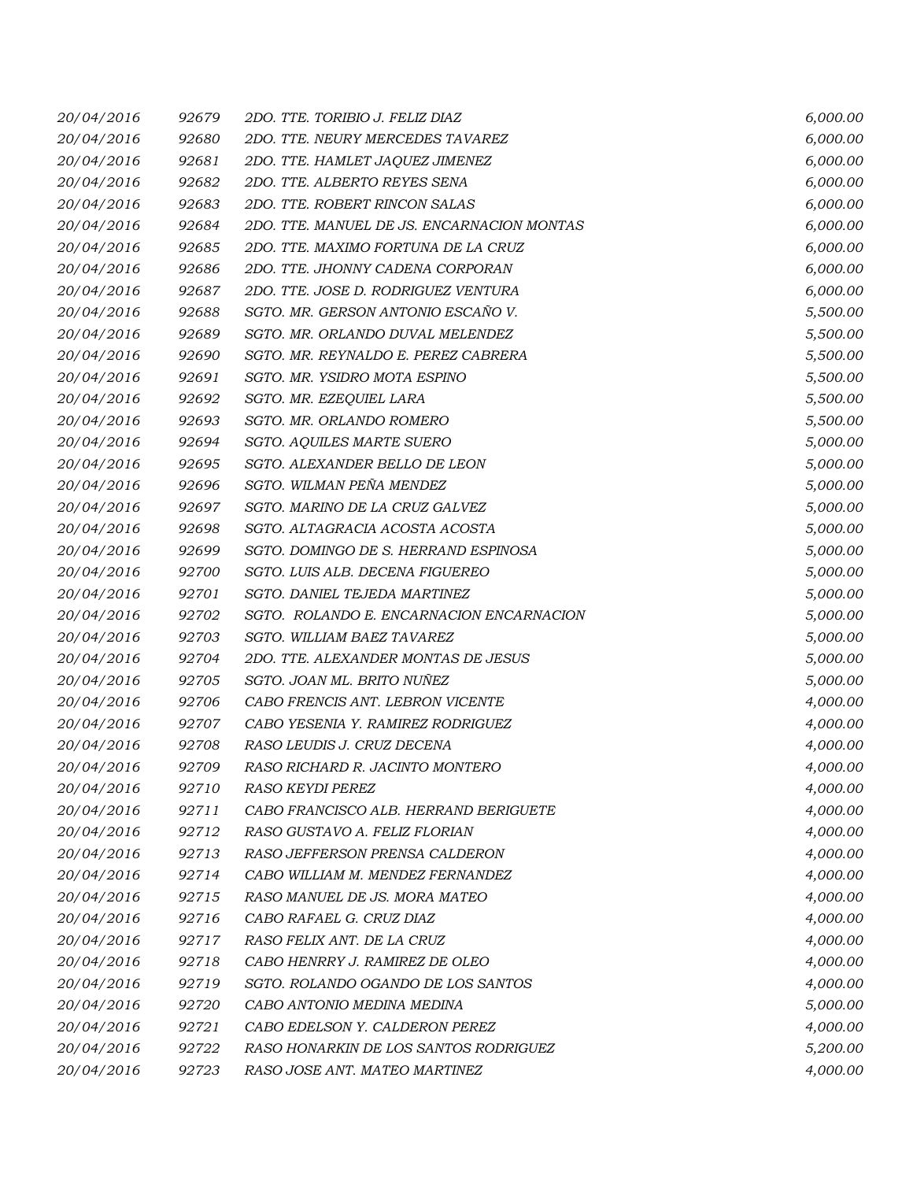| 20/04/2016 | 92679 | 2DO. TTE. TORIBIO J. FELIZ DIAZ            | 6,000.00 |
|------------|-------|--------------------------------------------|----------|
| 20/04/2016 | 92680 | 2DO. TTE. NEURY MERCEDES TAVAREZ           | 6,000.00 |
| 20/04/2016 | 92681 | 2DO. TTE. HAMLET JAQUEZ JIMENEZ            | 6,000.00 |
| 20/04/2016 | 92682 | 2DO. TTE. ALBERTO REYES SENA               | 6,000.00 |
| 20/04/2016 | 92683 | 2DO. TTE. ROBERT RINCON SALAS              | 6,000.00 |
| 20/04/2016 | 92684 | 2DO. TTE. MANUEL DE JS. ENCARNACION MONTAS | 6,000.00 |
| 20/04/2016 | 92685 | 2DO. TTE. MAXIMO FORTUNA DE LA CRUZ        | 6,000.00 |
| 20/04/2016 | 92686 | 2DO. TTE. JHONNY CADENA CORPORAN           | 6,000.00 |
| 20/04/2016 | 92687 | 2DO. TTE. JOSE D. RODRIGUEZ VENTURA        | 6,000.00 |
| 20/04/2016 | 92688 | SGTO. MR. GERSON ANTONIO ESCAÑO V.         | 5,500.00 |
| 20/04/2016 | 92689 | SGTO. MR. ORLANDO DUVAL MELENDEZ           | 5,500.00 |
| 20/04/2016 | 92690 | SGTO. MR. REYNALDO E. PEREZ CABRERA        | 5,500.00 |
| 20/04/2016 | 92691 | SGTO. MR. YSIDRO MOTA ESPINO               | 5,500.00 |
| 20/04/2016 | 92692 | SGTO. MR. EZEQUIEL LARA                    | 5,500.00 |
| 20/04/2016 | 92693 | SGTO. MR. ORLANDO ROMERO                   | 5,500.00 |
| 20/04/2016 | 92694 | SGTO. AQUILES MARTE SUERO                  | 5,000.00 |
| 20/04/2016 | 92695 | SGTO. ALEXANDER BELLO DE LEON              | 5,000.00 |
| 20/04/2016 | 92696 | SGTO. WILMAN PEÑA MENDEZ                   | 5,000.00 |
| 20/04/2016 | 92697 | SGTO. MARINO DE LA CRUZ GALVEZ             | 5,000.00 |
| 20/04/2016 | 92698 | SGTO. ALTAGRACIA ACOSTA ACOSTA             | 5,000.00 |
| 20/04/2016 | 92699 | SGTO. DOMINGO DE S. HERRAND ESPINOSA       | 5,000.00 |
| 20/04/2016 | 92700 | SGTO. LUIS ALB. DECENA FIGUEREO            | 5,000.00 |
| 20/04/2016 | 92701 | SGTO. DANIEL TEJEDA MARTINEZ               | 5,000.00 |
| 20/04/2016 | 92702 | SGTO. ROLANDO E. ENCARNACION ENCARNACION   | 5,000.00 |
| 20/04/2016 | 92703 | SGTO. WILLIAM BAEZ TAVAREZ                 | 5,000.00 |
| 20/04/2016 | 92704 | 2DO. TTE. ALEXANDER MONTAS DE JESUS        | 5,000.00 |
| 20/04/2016 | 92705 | SGTO. JOAN ML. BRITO NUÑEZ                 | 5,000.00 |
| 20/04/2016 | 92706 | CABO FRENCIS ANT. LEBRON VICENTE           | 4,000.00 |
| 20/04/2016 | 92707 | CABO YESENIA Y. RAMIREZ RODRIGUEZ          | 4,000.00 |
| 20/04/2016 | 92708 | RASO LEUDIS J. CRUZ DECENA                 | 4,000.00 |
| 20/04/2016 | 92709 | RASO RICHARD R. JACINTO MONTERO            | 4,000.00 |
| 20/04/2016 | 92710 | <b>RASO KEYDI PEREZ</b>                    | 4,000.00 |
| 20/04/2016 | 92711 | CABO FRANCISCO ALB. HERRAND BERIGUETE      | 4,000.00 |
| 20/04/2016 | 92712 | RASO GUSTAVO A. FELIZ FLORIAN              | 4,000.00 |
| 20/04/2016 | 92713 | RASO JEFFERSON PRENSA CALDERON             | 4,000.00 |
| 20/04/2016 | 92714 | CABO WILLIAM M. MENDEZ FERNANDEZ           | 4,000.00 |
| 20/04/2016 | 92715 | RASO MANUEL DE JS. MORA MATEO              | 4,000.00 |
| 20/04/2016 | 92716 | CABO RAFAEL G. CRUZ DIAZ                   | 4,000.00 |
| 20/04/2016 | 92717 | RASO FELIX ANT. DE LA CRUZ                 | 4,000.00 |
| 20/04/2016 | 92718 | CABO HENRRY J. RAMIREZ DE OLEO             | 4,000.00 |
| 20/04/2016 | 92719 | SGTO. ROLANDO OGANDO DE LOS SANTOS         | 4,000.00 |
| 20/04/2016 | 92720 | CABO ANTONIO MEDINA MEDINA                 | 5,000.00 |
| 20/04/2016 | 92721 | CABO EDELSON Y. CALDERON PEREZ             | 4,000.00 |
| 20/04/2016 | 92722 | RASO HONARKIN DE LOS SANTOS RODRIGUEZ      | 5,200.00 |
| 20/04/2016 | 92723 | RASO JOSE ANT. MATEO MARTINEZ              | 4,000.00 |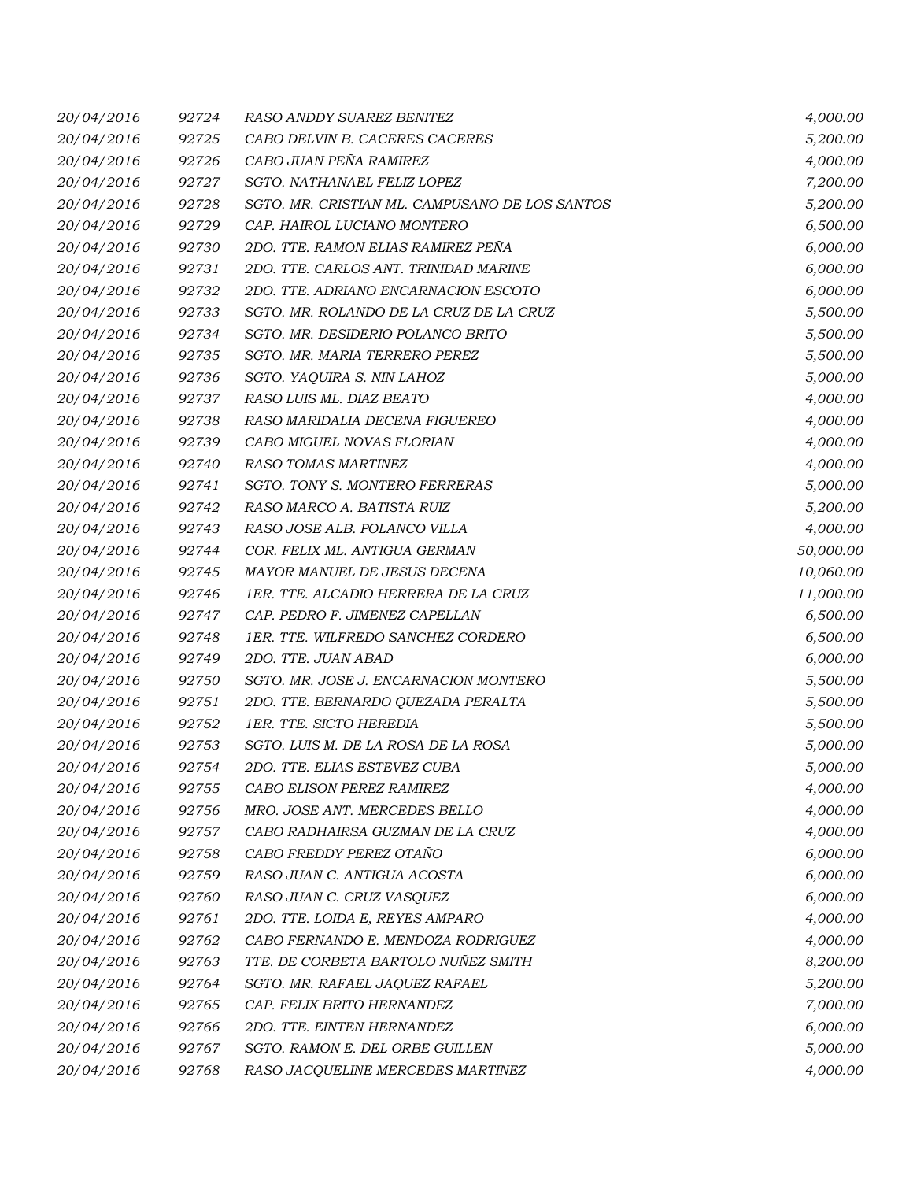| 20/04/2016 | 92724 | RASO ANDDY SUAREZ BENITEZ                      | 4,000.00  |
|------------|-------|------------------------------------------------|-----------|
| 20/04/2016 | 92725 | CABO DELVIN B. CACERES CACERES                 | 5,200.00  |
| 20/04/2016 | 92726 | CABO JUAN PEÑA RAMIREZ                         | 4,000.00  |
| 20/04/2016 | 92727 | SGTO. NATHANAEL FELIZ LOPEZ                    | 7,200.00  |
| 20/04/2016 | 92728 | SGTO. MR. CRISTIAN ML. CAMPUSANO DE LOS SANTOS | 5,200.00  |
| 20/04/2016 | 92729 | CAP. HAIROL LUCIANO MONTERO                    | 6,500.00  |
| 20/04/2016 | 92730 | 2DO. TTE. RAMON ELIAS RAMIREZ PEÑA             | 6,000.00  |
| 20/04/2016 | 92731 | 2DO. TTE. CARLOS ANT. TRINIDAD MARINE          | 6,000.00  |
| 20/04/2016 | 92732 | 2DO. TTE. ADRIANO ENCARNACION ESCOTO           | 6,000.00  |
| 20/04/2016 | 92733 | SGTO. MR. ROLANDO DE LA CRUZ DE LA CRUZ        | 5,500.00  |
| 20/04/2016 | 92734 | SGTO. MR. DESIDERIO POLANCO BRITO              | 5,500.00  |
| 20/04/2016 | 92735 | SGTO. MR. MARIA TERRERO PEREZ                  | 5,500.00  |
| 20/04/2016 | 92736 | SGTO. YAQUIRA S. NIN LAHOZ                     | 5,000.00  |
| 20/04/2016 | 92737 | RASO LUIS ML. DIAZ BEATO                       | 4,000.00  |
| 20/04/2016 | 92738 | RASO MARIDALIA DECENA FIGUEREO                 | 4,000.00  |
| 20/04/2016 | 92739 | CABO MIGUEL NOVAS FLORIAN                      | 4,000.00  |
| 20/04/2016 | 92740 | RASO TOMAS MARTINEZ                            | 4,000.00  |
| 20/04/2016 | 92741 | SGTO. TONY S. MONTERO FERRERAS                 | 5,000.00  |
| 20/04/2016 | 92742 | RASO MARCO A. BATISTA RUIZ                     | 5,200.00  |
| 20/04/2016 | 92743 | RASO JOSE ALB. POLANCO VILLA                   | 4,000.00  |
| 20/04/2016 | 92744 | COR. FELIX ML. ANTIGUA GERMAN                  | 50,000.00 |
| 20/04/2016 | 92745 | MAYOR MANUEL DE JESUS DECENA                   | 10,060.00 |
| 20/04/2016 | 92746 | 1ER. TTE. ALCADIO HERRERA DE LA CRUZ           | 11,000.00 |
| 20/04/2016 | 92747 | CAP. PEDRO F. JIMENEZ CAPELLAN                 | 6,500.00  |
| 20/04/2016 | 92748 | 1ER. TTE. WILFREDO SANCHEZ CORDERO             | 6,500.00  |
| 20/04/2016 | 92749 | 2DO. TTE. JUAN ABAD                            | 6,000.00  |
| 20/04/2016 | 92750 | SGTO. MR. JOSE J. ENCARNACION MONTERO          | 5,500.00  |
| 20/04/2016 | 92751 | 2DO. TTE. BERNARDO QUEZADA PERALTA             | 5,500.00  |
| 20/04/2016 | 92752 | 1ER. TTE. SICTO HEREDIA                        | 5,500.00  |
| 20/04/2016 | 92753 | SGTO. LUIS M. DE LA ROSA DE LA ROSA            | 5,000.00  |
| 20/04/2016 | 92754 | 2DO. TTE. ELIAS ESTEVEZ CUBA                   | 5,000.00  |
| 20/04/2016 | 92755 | CABO ELISON PEREZ RAMIREZ                      | 4,000.00  |
| 20/04/2016 | 92756 | MRO. JOSE ANT. MERCEDES BELLO                  | 4,000.00  |
| 20/04/2016 | 92757 | CABO RADHAIRSA GUZMAN DE LA CRUZ               | 4,000.00  |
| 20/04/2016 | 92758 | CABO FREDDY PEREZ OTAÑO                        | 6,000.00  |
| 20/04/2016 | 92759 | RASO JUAN C. ANTIGUA ACOSTA                    | 6,000.00  |
| 20/04/2016 | 92760 | RASO JUAN C. CRUZ VASQUEZ                      | 6,000.00  |
| 20/04/2016 | 92761 | 2DO. TTE. LOIDA E, REYES AMPARO                | 4,000.00  |
| 20/04/2016 | 92762 | CABO FERNANDO E. MENDOZA RODRIGUEZ             | 4,000.00  |
| 20/04/2016 | 92763 | TTE. DE CORBETA BARTOLO NUÑEZ SMITH            | 8,200.00  |
| 20/04/2016 | 92764 | SGTO. MR. RAFAEL JAQUEZ RAFAEL                 | 5,200.00  |
| 20/04/2016 | 92765 | CAP. FELIX BRITO HERNANDEZ                     | 7,000.00  |
| 20/04/2016 | 92766 | 2DO. TTE. EINTEN HERNANDEZ                     | 6,000.00  |
| 20/04/2016 | 92767 | SGTO. RAMON E. DEL ORBE GUILLEN                | 5,000.00  |
| 20/04/2016 | 92768 | RASO JACQUELINE MERCEDES MARTINEZ              | 4,000.00  |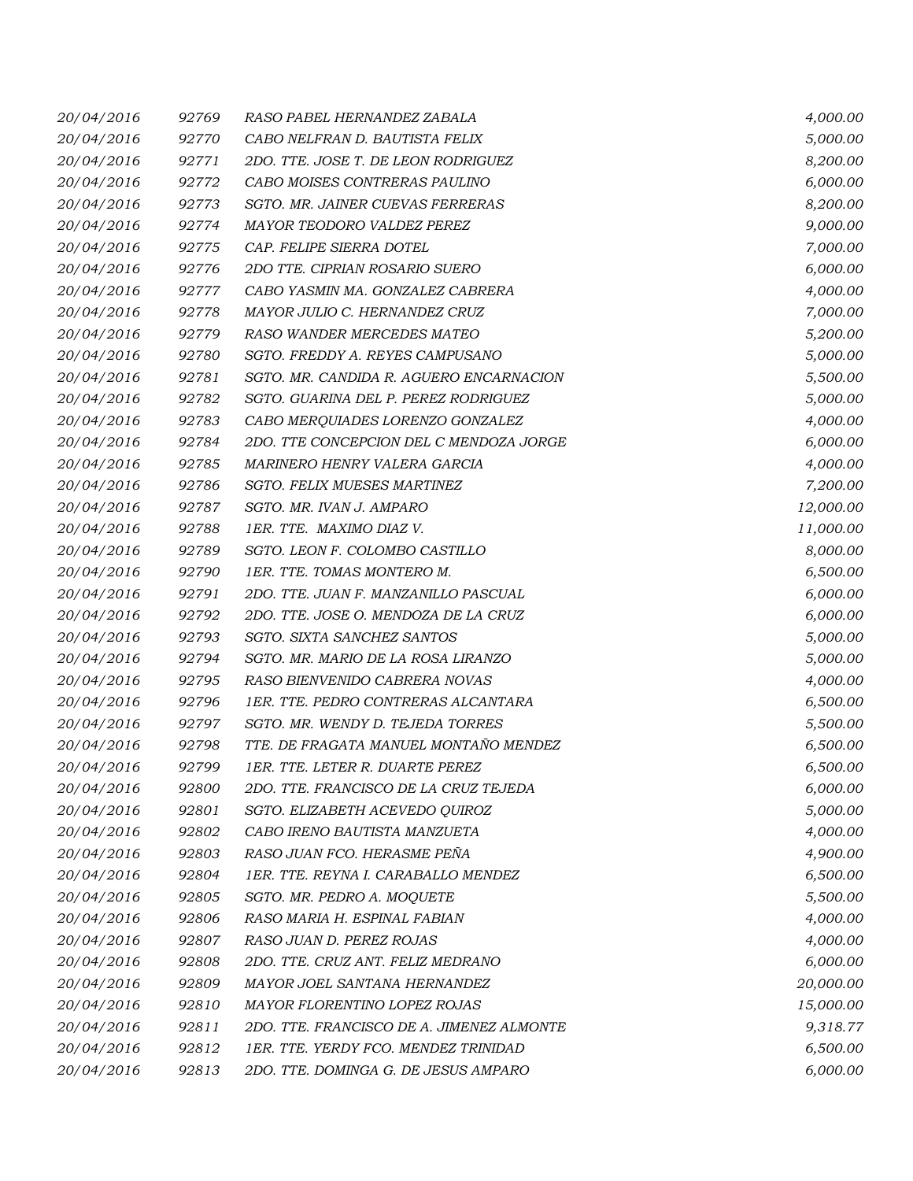| 20/04/2016 | 92769 | RASO PABEL HERNANDEZ ZABALA               | 4,000.00  |
|------------|-------|-------------------------------------------|-----------|
| 20/04/2016 | 92770 | CABO NELFRAN D. BAUTISTA FELIX            | 5,000.00  |
| 20/04/2016 | 92771 | 2DO. TTE. JOSE T. DE LEON RODRIGUEZ       | 8,200.00  |
| 20/04/2016 | 92772 | CABO MOISES CONTRERAS PAULINO             | 6,000.00  |
| 20/04/2016 | 92773 | SGTO. MR. JAINER CUEVAS FERRERAS          | 8,200.00  |
| 20/04/2016 | 92774 | MAYOR TEODORO VALDEZ PEREZ                | 9,000.00  |
| 20/04/2016 | 92775 | CAP. FELIPE SIERRA DOTEL                  | 7,000.00  |
| 20/04/2016 | 92776 | 2DO TTE. CIPRIAN ROSARIO SUERO            | 6,000.00  |
| 20/04/2016 | 92777 | CABO YASMIN MA. GONZALEZ CABRERA          | 4,000.00  |
| 20/04/2016 | 92778 | MAYOR JULIO C. HERNANDEZ CRUZ             | 7,000.00  |
| 20/04/2016 | 92779 | RASO WANDER MERCEDES MATEO                | 5,200.00  |
| 20/04/2016 | 92780 | SGTO. FREDDY A. REYES CAMPUSANO           | 5,000.00  |
| 20/04/2016 | 92781 | SGTO. MR. CANDIDA R. AGUERO ENCARNACION   | 5,500.00  |
| 20/04/2016 | 92782 | SGTO. GUARINA DEL P. PEREZ RODRIGUEZ      | 5,000.00  |
| 20/04/2016 | 92783 | CABO MERQUIADES LORENZO GONZALEZ          | 4,000.00  |
| 20/04/2016 | 92784 | 2DO. TTE CONCEPCION DEL C MENDOZA JORGE   | 6,000.00  |
| 20/04/2016 | 92785 | MARINERO HENRY VALERA GARCIA              | 4,000.00  |
| 20/04/2016 | 92786 | SGTO. FELIX MUESES MARTINEZ               | 7,200.00  |
| 20/04/2016 | 92787 | SGTO. MR. IVAN J. AMPARO                  | 12,000.00 |
| 20/04/2016 | 92788 | 1ER. TTE. MAXIMO DIAZ V.                  | 11,000.00 |
| 20/04/2016 | 92789 | SGTO. LEON F. COLOMBO CASTILLO            | 8,000.00  |
| 20/04/2016 | 92790 | 1ER. TTE. TOMAS MONTERO M.                | 6,500.00  |
| 20/04/2016 | 92791 | 2DO. TTE. JUAN F. MANZANILLO PASCUAL      | 6,000.00  |
| 20/04/2016 | 92792 | 2DO. TTE. JOSE O. MENDOZA DE LA CRUZ      | 6,000.00  |
| 20/04/2016 | 92793 | SGTO. SIXTA SANCHEZ SANTOS                | 5,000.00  |
| 20/04/2016 | 92794 | SGTO. MR. MARIO DE LA ROSA LIRANZO        | 5,000.00  |
| 20/04/2016 | 92795 | RASO BIENVENIDO CABRERA NOVAS             | 4,000.00  |
| 20/04/2016 | 92796 | 1ER. TTE. PEDRO CONTRERAS ALCANTARA       | 6,500.00  |
| 20/04/2016 | 92797 | SGTO. MR. WENDY D. TEJEDA TORRES          | 5,500.00  |
| 20/04/2016 | 92798 | TTE. DE FRAGATA MANUEL MONTAÑO MENDEZ     | 6,500.00  |
| 20/04/2016 | 92799 | 1ER. TTE. LETER R. DUARTE PEREZ           | 6,500.00  |
| 20/04/2016 | 92800 | 2DO. TTE. FRANCISCO DE LA CRUZ TEJEDA     | 6,000.00  |
| 20/04/2016 | 92801 | SGTO. ELIZABETH ACEVEDO QUIROZ            | 5,000.00  |
| 20/04/2016 | 92802 | CABO IRENO BAUTISTA MANZUETA              | 4,000.00  |
| 20/04/2016 | 92803 | RASO JUAN FCO. HERASME PEÑA               | 4,900.00  |
| 20/04/2016 | 92804 | 1ER. TTE. REYNA I. CARABALLO MENDEZ       | 6,500.00  |
| 20/04/2016 | 92805 | SGTO. MR. PEDRO A. MOQUETE                | 5,500.00  |
| 20/04/2016 | 92806 | RASO MARIA H. ESPINAL FABIAN              | 4,000.00  |
| 20/04/2016 | 92807 | RASO JUAN D. PEREZ ROJAS                  | 4,000.00  |
| 20/04/2016 | 92808 | 2DO. TTE. CRUZ ANT. FELIZ MEDRANO         | 6,000.00  |
| 20/04/2016 | 92809 | MAYOR JOEL SANTANA HERNANDEZ              | 20,000.00 |
| 20/04/2016 | 92810 | MAYOR FLORENTINO LOPEZ ROJAS              | 15,000.00 |
| 20/04/2016 | 92811 | 2DO. TTE. FRANCISCO DE A. JIMENEZ ALMONTE | 9,318.77  |
| 20/04/2016 | 92812 | 1ER. TTE. YERDY FCO. MENDEZ TRINIDAD      | 6,500.00  |
| 20/04/2016 | 92813 | 2DO. TTE. DOMINGA G. DE JESUS AMPARO      | 6,000.00  |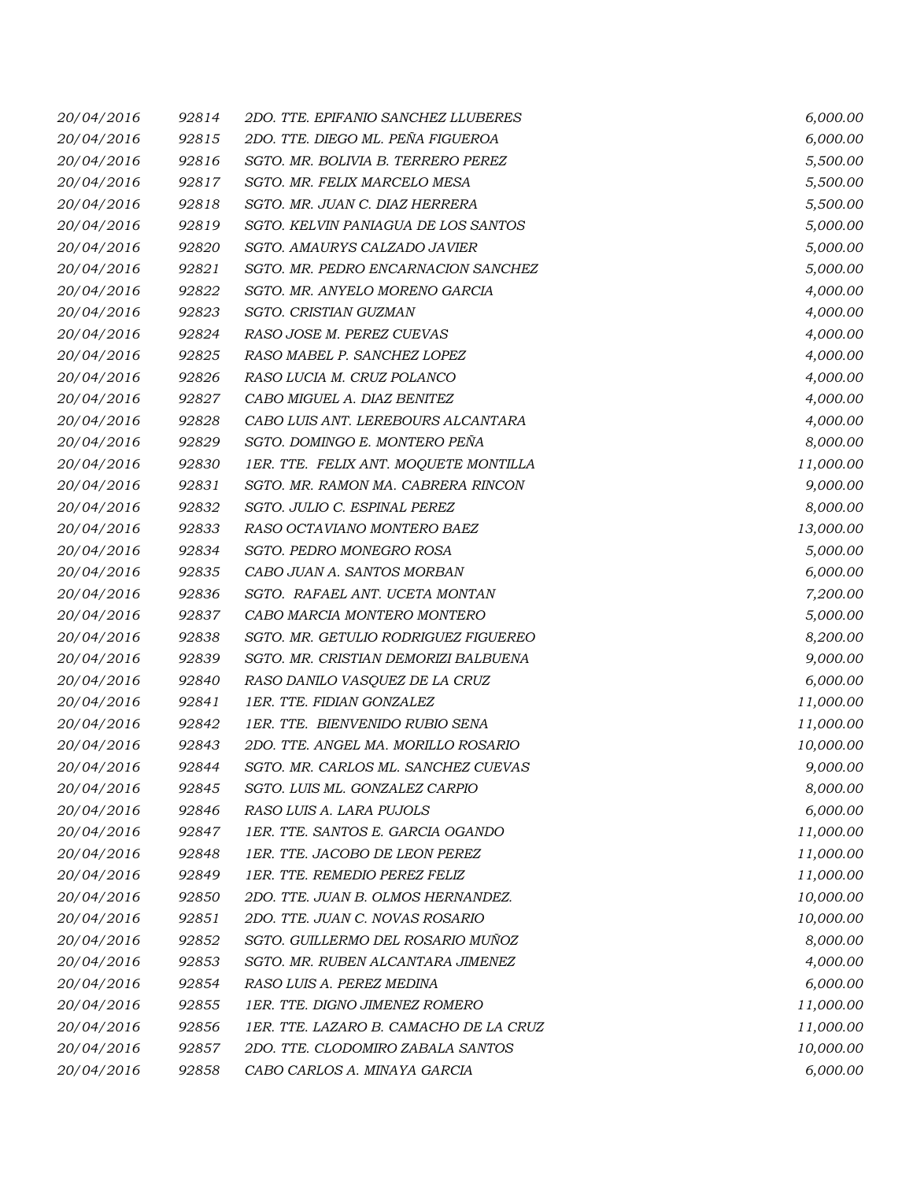| 20/04/2016 | 92814 | 2DO. TTE. EPIFANIO SANCHEZ LLUBERES    | 6,000.00  |
|------------|-------|----------------------------------------|-----------|
| 20/04/2016 | 92815 | 2DO. TTE. DIEGO ML. PEÑA FIGUEROA      | 6,000.00  |
| 20/04/2016 | 92816 | SGTO. MR. BOLIVIA B. TERRERO PEREZ     | 5,500.00  |
| 20/04/2016 | 92817 | SGTO. MR. FELIX MARCELO MESA           | 5,500.00  |
| 20/04/2016 | 92818 | SGTO. MR. JUAN C. DIAZ HERRERA         | 5,500.00  |
| 20/04/2016 | 92819 | SGTO. KELVIN PANIAGUA DE LOS SANTOS    | 5,000.00  |
| 20/04/2016 | 92820 | SGTO. AMAURYS CALZADO JAVIER           | 5,000.00  |
| 20/04/2016 | 92821 | SGTO. MR. PEDRO ENCARNACION SANCHEZ    | 5,000.00  |
| 20/04/2016 | 92822 | SGTO. MR. ANYELO MORENO GARCIA         | 4,000.00  |
| 20/04/2016 | 92823 | SGTO. CRISTIAN GUZMAN                  | 4,000.00  |
| 20/04/2016 | 92824 | RASO JOSE M. PEREZ CUEVAS              | 4,000.00  |
| 20/04/2016 | 92825 | RASO MABEL P. SANCHEZ LOPEZ            | 4,000.00  |
| 20/04/2016 | 92826 | RASO LUCIA M. CRUZ POLANCO             | 4,000.00  |
| 20/04/2016 | 92827 | CABO MIGUEL A. DIAZ BENITEZ            | 4,000.00  |
| 20/04/2016 | 92828 | CABO LUIS ANT. LEREBOURS ALCANTARA     | 4,000.00  |
| 20/04/2016 | 92829 | SGTO. DOMINGO E. MONTERO PEÑA          | 8,000.00  |
| 20/04/2016 | 92830 | 1ER. TTE. FELIX ANT. MOQUETE MONTILLA  | 11,000.00 |
| 20/04/2016 | 92831 | SGTO. MR. RAMON MA. CABRERA RINCON     | 9,000.00  |
| 20/04/2016 | 92832 | SGTO. JULIO C. ESPINAL PEREZ           | 8,000.00  |
| 20/04/2016 | 92833 | RASO OCTAVIANO MONTERO BAEZ            | 13,000.00 |
| 20/04/2016 | 92834 | SGTO. PEDRO MONEGRO ROSA               | 5,000.00  |
| 20/04/2016 | 92835 | CABO JUAN A. SANTOS MORBAN             | 6,000.00  |
| 20/04/2016 | 92836 | SGTO. RAFAEL ANT. UCETA MONTAN         | 7,200.00  |
| 20/04/2016 | 92837 | CABO MARCIA MONTERO MONTERO            | 5,000.00  |
| 20/04/2016 | 92838 | SGTO. MR. GETULIO RODRIGUEZ FIGUEREO   | 8,200.00  |
| 20/04/2016 | 92839 | SGTO. MR. CRISTIAN DEMORIZI BALBUENA   | 9,000.00  |
| 20/04/2016 | 92840 | RASO DANILO VASQUEZ DE LA CRUZ         | 6,000.00  |
| 20/04/2016 | 92841 | 1ER. TTE. FIDIAN GONZALEZ              | 11,000.00 |
| 20/04/2016 | 92842 | 1ER. TTE. BIENVENIDO RUBIO SENA        | 11,000.00 |
| 20/04/2016 | 92843 | 2DO. TTE. ANGEL MA. MORILLO ROSARIO    | 10,000.00 |
| 20/04/2016 | 92844 | SGTO. MR. CARLOS ML. SANCHEZ CUEVAS    | 9,000.00  |
| 20/04/2016 | 92845 | SGTO. LUIS ML. GONZALEZ CARPIO         | 8,000.00  |
| 20/04/2016 | 92846 | RASO LUIS A. LARA PUJOLS               | 6,000.00  |
| 20/04/2016 | 92847 | 1ER. TTE. SANTOS E. GARCIA OGANDO      | 11,000.00 |
| 20/04/2016 | 92848 | 1ER. TTE. JACOBO DE LEON PEREZ         | 11,000.00 |
| 20/04/2016 | 92849 | 1ER. TTE. REMEDIO PEREZ FELIZ          | 11,000.00 |
| 20/04/2016 | 92850 | 2DO. TTE. JUAN B. OLMOS HERNANDEZ.     | 10,000.00 |
| 20/04/2016 | 92851 | 2DO. TTE. JUAN C. NOVAS ROSARIO        | 10,000.00 |
| 20/04/2016 | 92852 | SGTO. GUILLERMO DEL ROSARIO MUÑOZ      | 8,000.00  |
| 20/04/2016 | 92853 | SGTO. MR. RUBEN ALCANTARA JIMENEZ      | 4,000.00  |
| 20/04/2016 | 92854 | RASO LUIS A. PEREZ MEDINA              | 6,000.00  |
| 20/04/2016 | 92855 | 1ER. TTE. DIGNO JIMENEZ ROMERO         | 11,000.00 |
| 20/04/2016 | 92856 | 1ER. TTE. LAZARO B. CAMACHO DE LA CRUZ | 11,000.00 |
| 20/04/2016 | 92857 | 2DO. TTE. CLODOMIRO ZABALA SANTOS      | 10,000.00 |
| 20/04/2016 | 92858 | CABO CARLOS A. MINAYA GARCIA           | 6,000.00  |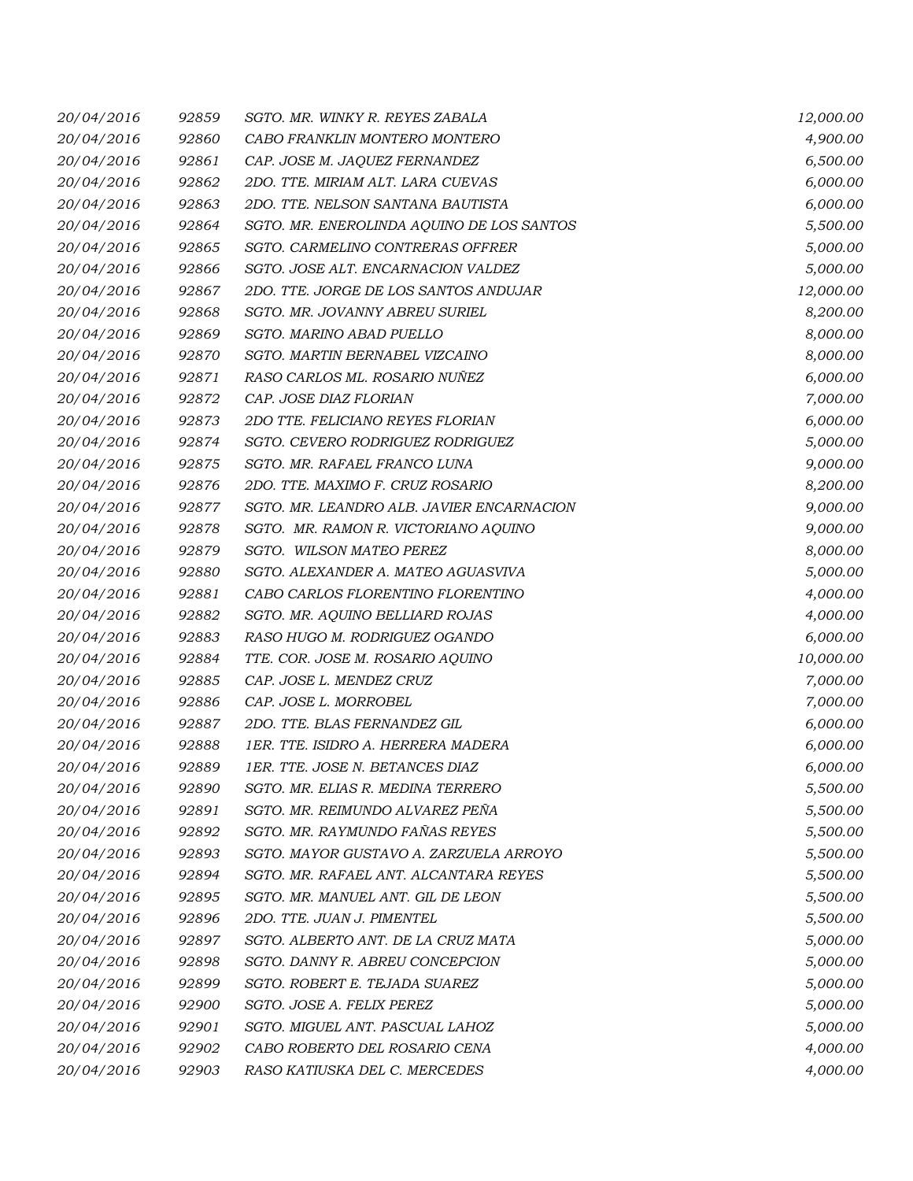| 20/04/2016 | 92859 | SGTO. MR. WINKY R. REYES ZABALA           | 12,000.00 |
|------------|-------|-------------------------------------------|-----------|
| 20/04/2016 | 92860 | CABO FRANKLIN MONTERO MONTERO             | 4,900.00  |
| 20/04/2016 | 92861 | CAP. JOSE M. JAQUEZ FERNANDEZ             | 6,500.00  |
| 20/04/2016 | 92862 | 2DO. TTE. MIRIAM ALT. LARA CUEVAS         | 6,000.00  |
| 20/04/2016 | 92863 | 2DO. TTE. NELSON SANTANA BAUTISTA         | 6,000.00  |
| 20/04/2016 | 92864 | SGTO. MR. ENEROLINDA AQUINO DE LOS SANTOS | 5,500.00  |
| 20/04/2016 | 92865 | SGTO. CARMELINO CONTRERAS OFFRER          | 5,000.00  |
| 20/04/2016 | 92866 | SGTO. JOSE ALT. ENCARNACION VALDEZ        | 5,000.00  |
| 20/04/2016 | 92867 | 2DO. TTE. JORGE DE LOS SANTOS ANDUJAR     | 12,000.00 |
| 20/04/2016 | 92868 | SGTO. MR. JOVANNY ABREU SURIEL            | 8,200.00  |
| 20/04/2016 | 92869 | SGTO. MARINO ABAD PUELLO                  | 8,000.00  |
| 20/04/2016 | 92870 | SGTO. MARTIN BERNABEL VIZCAINO            | 8,000.00  |
| 20/04/2016 | 92871 | RASO CARLOS ML. ROSARIO NUNEZ             | 6,000.00  |
| 20/04/2016 | 92872 | CAP. JOSE DIAZ FLORIAN                    | 7,000.00  |
| 20/04/2016 | 92873 | 2DO TTE. FELICIANO REYES FLORIAN          | 6,000.00  |
| 20/04/2016 | 92874 | SGTO. CEVERO RODRIGUEZ RODRIGUEZ          | 5,000.00  |
| 20/04/2016 | 92875 | SGTO. MR. RAFAEL FRANCO LUNA              | 9,000.00  |
| 20/04/2016 | 92876 | 2DO. TTE. MAXIMO F. CRUZ ROSARIO          | 8,200.00  |
| 20/04/2016 | 92877 | SGTO. MR. LEANDRO ALB. JAVIER ENCARNACION | 9,000.00  |
| 20/04/2016 | 92878 | SGTO. MR. RAMON R. VICTORIANO AQUINO      | 9,000.00  |
| 20/04/2016 | 92879 | SGTO. WILSON MATEO PEREZ                  | 8,000.00  |
| 20/04/2016 | 92880 | SGTO. ALEXANDER A. MATEO AGUASVIVA        | 5,000.00  |
| 20/04/2016 | 92881 | CABO CARLOS FLORENTINO FLORENTINO         | 4,000.00  |
| 20/04/2016 | 92882 | SGTO. MR. AQUINO BELLIARD ROJAS           | 4,000.00  |
| 20/04/2016 | 92883 | RASO HUGO M. RODRIGUEZ OGANDO             | 6,000.00  |
| 20/04/2016 | 92884 | TTE. COR. JOSE M. ROSARIO AQUINO          | 10,000.00 |
| 20/04/2016 | 92885 | CAP. JOSE L. MENDEZ CRUZ                  | 7,000.00  |
| 20/04/2016 | 92886 | CAP. JOSE L. MORROBEL                     | 7,000.00  |
| 20/04/2016 | 92887 | 2DO. TTE. BLAS FERNANDEZ GIL              | 6,000.00  |
| 20/04/2016 | 92888 | 1ER. TTE. ISIDRO A. HERRERA MADERA        | 6,000.00  |
| 20/04/2016 | 92889 | 1ER. TTE. JOSE N. BETANCES DIAZ           | 6,000.00  |
| 20/04/2016 | 92890 | SGTO. MR. ELIAS R. MEDINA TERRERO         | 5,500.00  |
| 20/04/2016 | 92891 | SGTO. MR. REIMUNDO ALVAREZ PEÑA           | 5,500.00  |
| 20/04/2016 | 92892 | SGTO. MR. RAYMUNDO FAÑAS REYES            | 5,500.00  |
| 20/04/2016 | 92893 | SGTO. MAYOR GUSTAVO A. ZARZUELA ARROYO    | 5,500.00  |
| 20/04/2016 | 92894 | SGTO. MR. RAFAEL ANT. ALCANTARA REYES     | 5,500.00  |
| 20/04/2016 | 92895 | SGTO. MR. MANUEL ANT. GIL DE LEON         | 5,500.00  |
| 20/04/2016 | 92896 | 2DO. TTE. JUAN J. PIMENTEL                | 5,500.00  |
| 20/04/2016 | 92897 | SGTO. ALBERTO ANT. DE LA CRUZ MATA        | 5,000.00  |
| 20/04/2016 | 92898 | SGTO. DANNY R. ABREU CONCEPCION           | 5,000.00  |
| 20/04/2016 | 92899 | SGTO. ROBERT E. TEJADA SUAREZ             | 5,000.00  |
| 20/04/2016 | 92900 | SGTO. JOSE A. FELIX PEREZ                 | 5,000.00  |
| 20/04/2016 | 92901 | SGTO. MIGUEL ANT. PASCUAL LAHOZ           | 5,000.00  |
| 20/04/2016 | 92902 | CABO ROBERTO DEL ROSARIO CENA             | 4,000.00  |
| 20/04/2016 | 92903 | RASO KATIUSKA DEL C. MERCEDES             | 4,000.00  |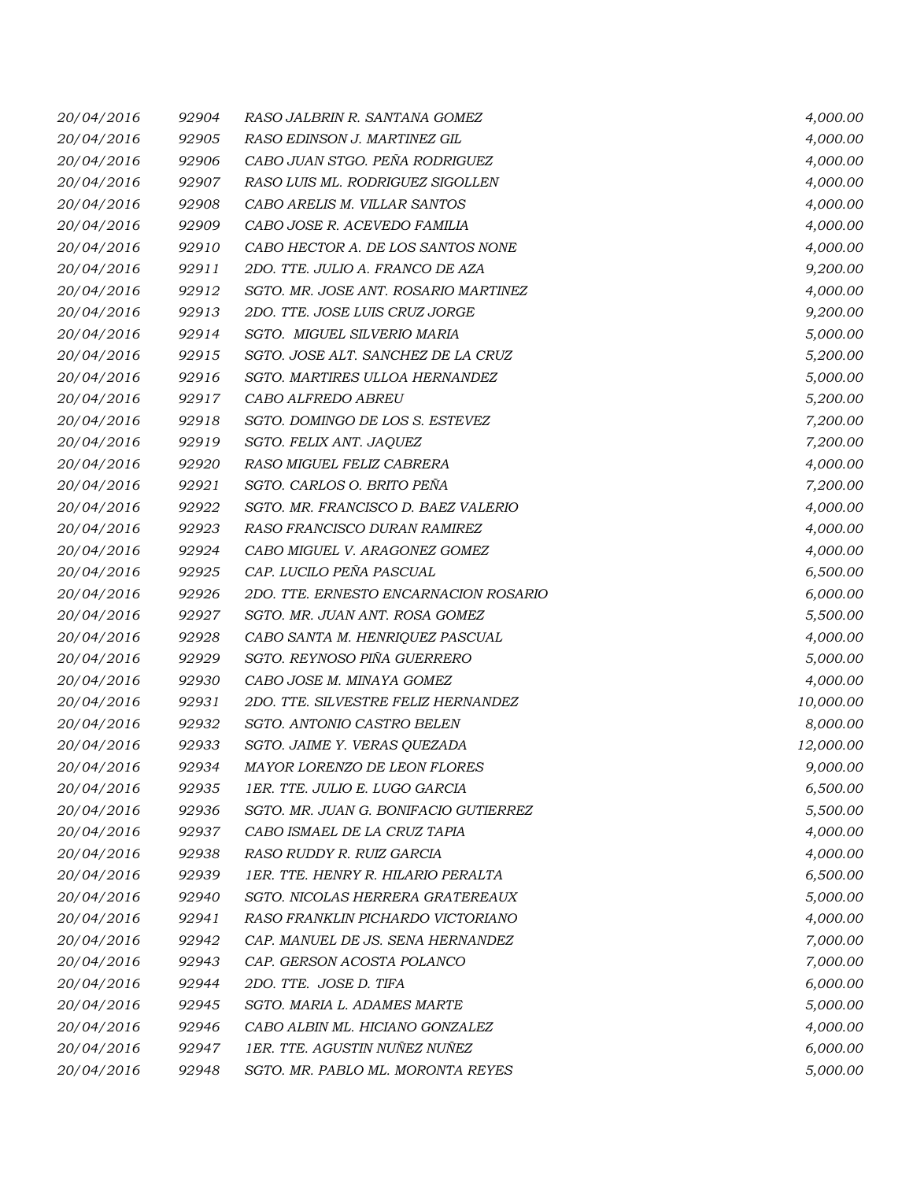| 20/04/2016 | 92904 | RASO JALBRIN R. SANTANA GOMEZ         | 4,000.00  |
|------------|-------|---------------------------------------|-----------|
| 20/04/2016 | 92905 | RASO EDINSON J. MARTINEZ GIL          | 4,000.00  |
| 20/04/2016 | 92906 | CABO JUAN STGO. PEÑA RODRIGUEZ        | 4,000.00  |
| 20/04/2016 | 92907 | RASO LUIS ML. RODRIGUEZ SIGOLLEN      | 4,000.00  |
| 20/04/2016 | 92908 | CABO ARELIS M. VILLAR SANTOS          | 4,000.00  |
| 20/04/2016 | 92909 | CABO JOSE R. ACEVEDO FAMILIA          | 4,000.00  |
| 20/04/2016 | 92910 | CABO HECTOR A. DE LOS SANTOS NONE     | 4,000.00  |
| 20/04/2016 | 92911 | 2DO. TTE. JULIO A. FRANCO DE AZA      | 9,200.00  |
| 20/04/2016 | 92912 | SGTO. MR. JOSE ANT. ROSARIO MARTINEZ  | 4,000.00  |
| 20/04/2016 | 92913 | 2DO. TTE. JOSE LUIS CRUZ JORGE        | 9,200.00  |
| 20/04/2016 | 92914 | SGTO. MIGUEL SILVERIO MARIA           | 5,000.00  |
| 20/04/2016 | 92915 | SGTO. JOSE ALT. SANCHEZ DE LA CRUZ    | 5,200.00  |
| 20/04/2016 | 92916 | SGTO. MARTIRES ULLOA HERNANDEZ        | 5,000.00  |
| 20/04/2016 | 92917 | CABO ALFREDO ABREU                    | 5,200.00  |
| 20/04/2016 | 92918 | SGTO. DOMINGO DE LOS S. ESTEVEZ       | 7,200.00  |
| 20/04/2016 | 92919 | SGTO. FELIX ANT. JAQUEZ               | 7,200.00  |
| 20/04/2016 | 92920 | RASO MIGUEL FELIZ CABRERA             | 4,000.00  |
| 20/04/2016 | 92921 | SGTO. CARLOS O. BRITO PEÑA            | 7,200.00  |
| 20/04/2016 | 92922 | SGTO. MR. FRANCISCO D. BAEZ VALERIO   | 4,000.00  |
| 20/04/2016 | 92923 | RASO FRANCISCO DURAN RAMIREZ          | 4,000.00  |
| 20/04/2016 | 92924 | CABO MIGUEL V. ARAGONEZ GOMEZ         | 4,000.00  |
| 20/04/2016 | 92925 | CAP. LUCILO PEÑA PASCUAL              | 6,500.00  |
| 20/04/2016 | 92926 | 2DO. TTE. ERNESTO ENCARNACION ROSARIO | 6,000.00  |
| 20/04/2016 | 92927 | SGTO. MR. JUAN ANT. ROSA GOMEZ        | 5,500.00  |
| 20/04/2016 | 92928 | CABO SANTA M. HENRIQUEZ PASCUAL       | 4,000.00  |
| 20/04/2016 | 92929 | SGTO. REYNOSO PIÑA GUERRERO           | 5,000.00  |
| 20/04/2016 | 92930 | CABO JOSE M. MINAYA GOMEZ             | 4,000.00  |
| 20/04/2016 | 92931 | 2DO. TTE. SILVESTRE FELIZ HERNANDEZ   | 10,000.00 |
| 20/04/2016 | 92932 | SGTO. ANTONIO CASTRO BELEN            | 8,000.00  |
| 20/04/2016 | 92933 | SGTO. JAIME Y. VERAS QUEZADA          | 12,000.00 |
| 20/04/2016 | 92934 | MAYOR LORENZO DE LEON FLORES          | 9,000.00  |
| 20/04/2016 | 92935 | 1ER. TTE. JULIO E. LUGO GARCIA        | 6,500.00  |
| 20/04/2016 | 92936 | SGTO. MR. JUAN G. BONIFACIO GUTIERREZ | 5,500.00  |
| 20/04/2016 | 92937 | CABO ISMAEL DE LA CRUZ TAPIA          | 4,000.00  |
| 20/04/2016 | 92938 | RASO RUDDY R. RUIZ GARCIA             | 4,000.00  |
| 20/04/2016 | 92939 | 1ER. TTE. HENRY R. HILARIO PERALTA    | 6,500.00  |
| 20/04/2016 | 92940 | SGTO. NICOLAS HERRERA GRATEREAUX      | 5,000.00  |
| 20/04/2016 | 92941 | RASO FRANKLIN PICHARDO VICTORIANO     | 4,000.00  |
| 20/04/2016 | 92942 | CAP. MANUEL DE JS. SENA HERNANDEZ     | 7,000.00  |
| 20/04/2016 | 92943 | CAP. GERSON ACOSTA POLANCO            | 7,000.00  |
| 20/04/2016 | 92944 | 2DO. TTE. JOSE D. TIFA                | 6,000.00  |
| 20/04/2016 | 92945 | SGTO. MARIA L. ADAMES MARTE           | 5,000.00  |
| 20/04/2016 | 92946 | CABO ALBIN ML. HICIANO GONZALEZ       | 4,000.00  |
| 20/04/2016 | 92947 | 1ER. TTE. AGUSTIN NUÑEZ NUÑEZ         | 6,000.00  |
| 20/04/2016 | 92948 | SGTO. MR. PABLO ML. MORONTA REYES     | 5,000.00  |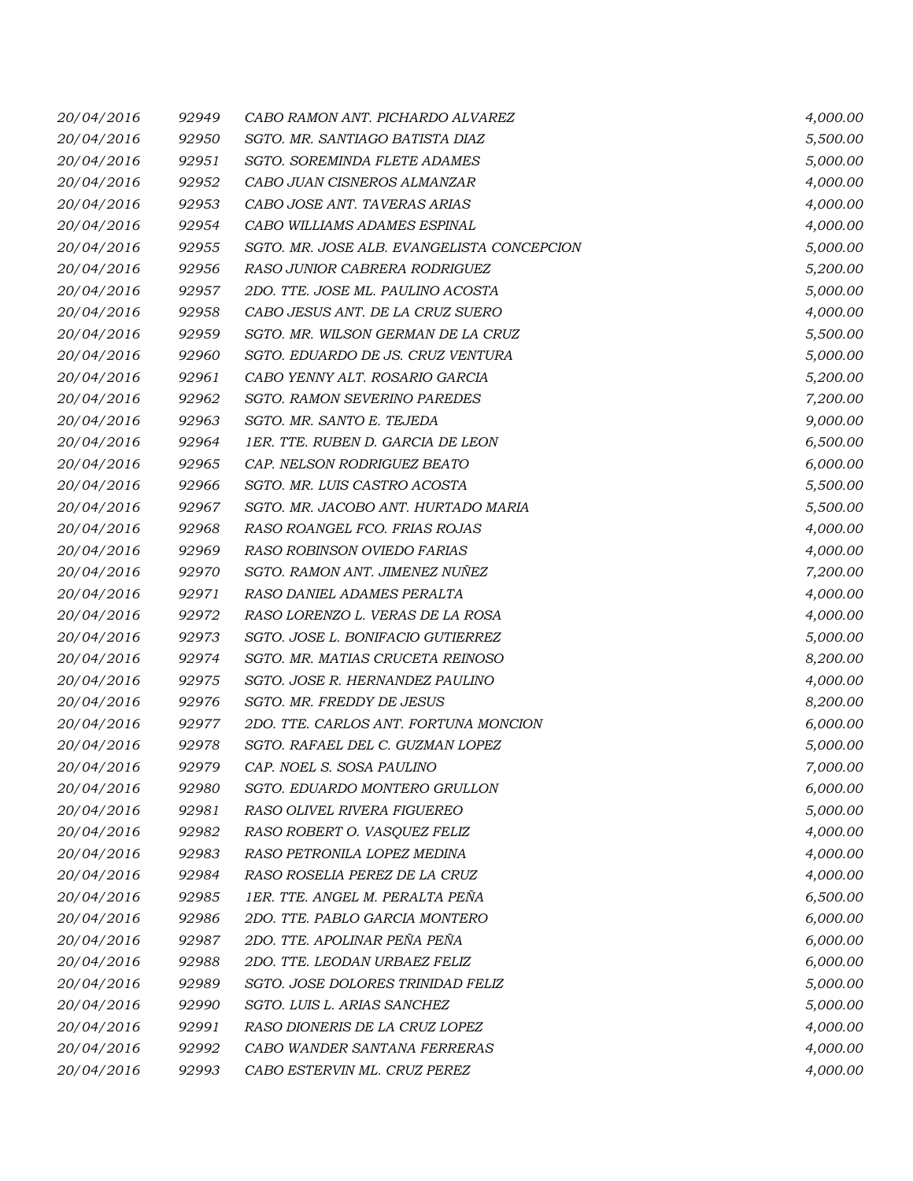| 20/04/2016 | 92949 | CABO RAMON ANT. PICHARDO ALVAREZ           | 4,000.00 |
|------------|-------|--------------------------------------------|----------|
| 20/04/2016 | 92950 | SGTO. MR. SANTIAGO BATISTA DIAZ            | 5,500.00 |
| 20/04/2016 | 92951 | SGTO. SOREMINDA FLETE ADAMES               | 5,000.00 |
| 20/04/2016 | 92952 | CABO JUAN CISNEROS ALMANZAR                | 4,000.00 |
| 20/04/2016 | 92953 | CABO JOSE ANT. TAVERAS ARIAS               | 4,000.00 |
| 20/04/2016 | 92954 | CABO WILLIAMS ADAMES ESPINAL               | 4,000.00 |
| 20/04/2016 | 92955 | SGTO. MR. JOSE ALB. EVANGELISTA CONCEPCION | 5,000.00 |
| 20/04/2016 | 92956 | RASO JUNIOR CABRERA RODRIGUEZ              | 5,200.00 |
| 20/04/2016 | 92957 | 2DO. TTE. JOSE ML. PAULINO ACOSTA          | 5,000.00 |
| 20/04/2016 | 92958 | CABO JESUS ANT. DE LA CRUZ SUERO           | 4,000.00 |
| 20/04/2016 | 92959 | SGTO. MR. WILSON GERMAN DE LA CRUZ         | 5,500.00 |
| 20/04/2016 | 92960 | SGTO. EDUARDO DE JS. CRUZ VENTURA          | 5,000.00 |
| 20/04/2016 | 92961 | CABO YENNY ALT. ROSARIO GARCIA             | 5,200.00 |
| 20/04/2016 | 92962 | SGTO. RAMON SEVERINO PAREDES               | 7,200.00 |
| 20/04/2016 | 92963 | SGTO. MR. SANTO E. TEJEDA                  | 9,000.00 |
| 20/04/2016 | 92964 | 1ER. TTE. RUBEN D. GARCIA DE LEON          | 6,500.00 |
| 20/04/2016 | 92965 | CAP. NELSON RODRIGUEZ BEATO                | 6,000.00 |
| 20/04/2016 | 92966 | SGTO. MR. LUIS CASTRO ACOSTA               | 5,500.00 |
| 20/04/2016 | 92967 | SGTO. MR. JACOBO ANT. HURTADO MARIA        | 5,500.00 |
| 20/04/2016 | 92968 | RASO ROANGEL FCO. FRIAS ROJAS              | 4,000.00 |
| 20/04/2016 | 92969 | RASO ROBINSON OVIEDO FARIAS                | 4,000.00 |
| 20/04/2016 | 92970 | SGTO. RAMON ANT. JIMENEZ NUÑEZ             | 7,200.00 |
| 20/04/2016 | 92971 | RASO DANIEL ADAMES PERALTA                 | 4,000.00 |
| 20/04/2016 | 92972 | RASO LORENZO L. VERAS DE LA ROSA           | 4,000.00 |
| 20/04/2016 | 92973 | SGTO. JOSE L. BONIFACIO GUTIERREZ          | 5,000.00 |
| 20/04/2016 | 92974 | SGTO. MR. MATIAS CRUCETA REINOSO           | 8,200.00 |
| 20/04/2016 | 92975 | SGTO. JOSE R. HERNANDEZ PAULINO            | 4,000.00 |
| 20/04/2016 | 92976 | SGTO. MR. FREDDY DE JESUS                  | 8,200.00 |
| 20/04/2016 | 92977 | 2DO. TTE. CARLOS ANT. FORTUNA MONCION      | 6,000.00 |
| 20/04/2016 | 92978 | SGTO. RAFAEL DEL C. GUZMAN LOPEZ           | 5,000.00 |
| 20/04/2016 | 92979 | CAP. NOEL S. SOSA PAULINO                  | 7,000.00 |
| 20/04/2016 | 92980 | SGTO. EDUARDO MONTERO GRULLON              | 6,000.00 |
| 20/04/2016 | 92981 | RASO OLIVEL RIVERA FIGUEREO                | 5,000.00 |
| 20/04/2016 | 92982 | RASO ROBERT O. VASQUEZ FELIZ               | 4,000.00 |
| 20/04/2016 | 92983 | RASO PETRONILA LOPEZ MEDINA                | 4,000.00 |
| 20/04/2016 | 92984 | RASO ROSELIA PEREZ DE LA CRUZ              | 4,000.00 |
| 20/04/2016 | 92985 | 1ER. TTE. ANGEL M. PERALTA PEÑA            | 6,500.00 |
| 20/04/2016 | 92986 | 2DO. TTE. PABLO GARCIA MONTERO             | 6,000.00 |
| 20/04/2016 | 92987 | 2DO. TTE. APOLINAR PEÑA PEÑA               | 6,000.00 |
| 20/04/2016 | 92988 | 2DO. TTE. LEODAN URBAEZ FELIZ              | 6,000.00 |
| 20/04/2016 | 92989 | SGTO. JOSE DOLORES TRINIDAD FELIZ          | 5,000.00 |
| 20/04/2016 | 92990 | SGTO. LUIS L. ARIAS SANCHEZ                | 5,000.00 |
| 20/04/2016 | 92991 | RASO DIONERIS DE LA CRUZ LOPEZ             | 4,000.00 |
| 20/04/2016 | 92992 | CABO WANDER SANTANA FERRERAS               | 4,000.00 |
| 20/04/2016 | 92993 | CABO ESTERVIN ML. CRUZ PEREZ               | 4,000.00 |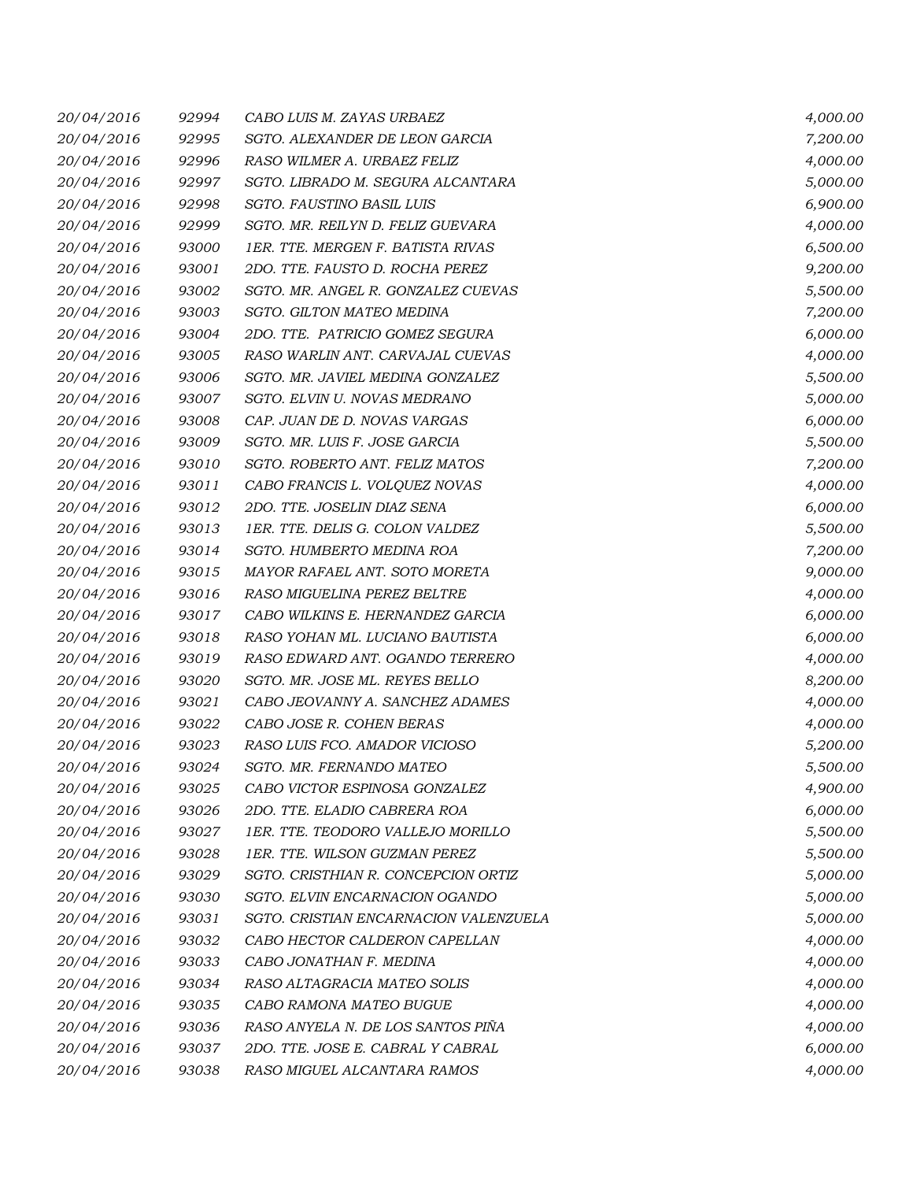| 20/04/2016 | 92994 | CABO LUIS M. ZAYAS URBAEZ             | 4,000.00 |
|------------|-------|---------------------------------------|----------|
| 20/04/2016 | 92995 | SGTO. ALEXANDER DE LEON GARCIA        | 7,200.00 |
| 20/04/2016 | 92996 | RASO WILMER A. URBAEZ FELIZ           | 4,000.00 |
| 20/04/2016 | 92997 | SGTO. LIBRADO M. SEGURA ALCANTARA     | 5,000.00 |
| 20/04/2016 | 92998 | SGTO. FAUSTINO BASIL LUIS             | 6,900.00 |
| 20/04/2016 | 92999 | SGTO. MR. REILYN D. FELIZ GUEVARA     | 4,000.00 |
| 20/04/2016 | 93000 | 1ER. TTE. MERGEN F. BATISTA RIVAS     | 6,500.00 |
| 20/04/2016 | 93001 | 2DO. TTE. FAUSTO D. ROCHA PEREZ       | 9,200.00 |
| 20/04/2016 | 93002 | SGTO. MR. ANGEL R. GONZALEZ CUEVAS    | 5,500.00 |
| 20/04/2016 | 93003 | SGTO. GILTON MATEO MEDINA             | 7,200.00 |
| 20/04/2016 | 93004 | 2DO. TTE. PATRICIO GOMEZ SEGURA       | 6,000.00 |
| 20/04/2016 | 93005 | RASO WARLIN ANT. CARVAJAL CUEVAS      | 4,000.00 |
| 20/04/2016 | 93006 | SGTO. MR. JAVIEL MEDINA GONZALEZ      | 5,500.00 |
| 20/04/2016 | 93007 | SGTO. ELVIN U. NOVAS MEDRANO          | 5,000.00 |
| 20/04/2016 | 93008 | CAP. JUAN DE D. NOVAS VARGAS          | 6,000.00 |
| 20/04/2016 | 93009 | SGTO. MR. LUIS F. JOSE GARCIA         | 5,500.00 |
| 20/04/2016 | 93010 | SGTO. ROBERTO ANT. FELIZ MATOS        | 7,200.00 |
| 20/04/2016 | 93011 | CABO FRANCIS L. VOLQUEZ NOVAS         | 4,000.00 |
| 20/04/2016 | 93012 | 2DO. TTE. JOSELIN DIAZ SENA           | 6,000.00 |
| 20/04/2016 | 93013 | 1ER. TTE. DELIS G. COLON VALDEZ       | 5,500.00 |
| 20/04/2016 | 93014 | SGTO. HUMBERTO MEDINA ROA             | 7,200.00 |
| 20/04/2016 | 93015 | MAYOR RAFAEL ANT. SOTO MORETA         | 9,000.00 |
| 20/04/2016 | 93016 | RASO MIGUELINA PEREZ BELTRE           | 4,000.00 |
| 20/04/2016 | 93017 | CABO WILKINS E. HERNANDEZ GARCIA      | 6,000.00 |
| 20/04/2016 | 93018 | RASO YOHAN ML. LUCIANO BAUTISTA       | 6,000.00 |
| 20/04/2016 | 93019 | RASO EDWARD ANT. OGANDO TERRERO       | 4,000.00 |
| 20/04/2016 | 93020 | SGTO. MR. JOSE ML. REYES BELLO        | 8,200.00 |
| 20/04/2016 | 93021 | CABO JEOVANNY A. SANCHEZ ADAMES       | 4,000.00 |
| 20/04/2016 | 93022 | CABO JOSE R. COHEN BERAS              | 4,000.00 |
| 20/04/2016 | 93023 | RASO LUIS FCO. AMADOR VICIOSO         | 5,200.00 |
| 20/04/2016 | 93024 | SGTO. MR. FERNANDO MATEO              | 5,500.00 |
| 20/04/2016 | 93025 | CABO VICTOR ESPINOSA GONZALEZ         | 4,900.00 |
| 20/04/2016 | 93026 | 2DO. TTE. ELADIO CABRERA ROA          | 6,000.00 |
| 20/04/2016 | 93027 | 1ER. TTE. TEODORO VALLEJO MORILLO     | 5,500.00 |
| 20/04/2016 | 93028 | 1ER. TTE. WILSON GUZMAN PEREZ         | 5,500.00 |
| 20/04/2016 | 93029 | SGTO. CRISTHIAN R. CONCEPCION ORTIZ   | 5,000.00 |
| 20/04/2016 | 93030 | SGTO. ELVIN ENCARNACION OGANDO        | 5,000.00 |
| 20/04/2016 | 93031 | SGTO. CRISTIAN ENCARNACION VALENZUELA | 5,000.00 |
| 20/04/2016 | 93032 | CABO HECTOR CALDERON CAPELLAN         | 4,000.00 |
| 20/04/2016 | 93033 | CABO JONATHAN F. MEDINA               | 4,000.00 |
| 20/04/2016 | 93034 | RASO ALTAGRACIA MATEO SOLIS           | 4,000.00 |
| 20/04/2016 | 93035 | CABO RAMONA MATEO BUGUE               | 4,000.00 |
| 20/04/2016 | 93036 | RASO ANYELA N. DE LOS SANTOS PIÑA     | 4,000.00 |
| 20/04/2016 | 93037 | 2DO. TTE. JOSE E. CABRAL Y CABRAL     | 6,000.00 |
| 20/04/2016 | 93038 | RASO MIGUEL ALCANTARA RAMOS           | 4,000.00 |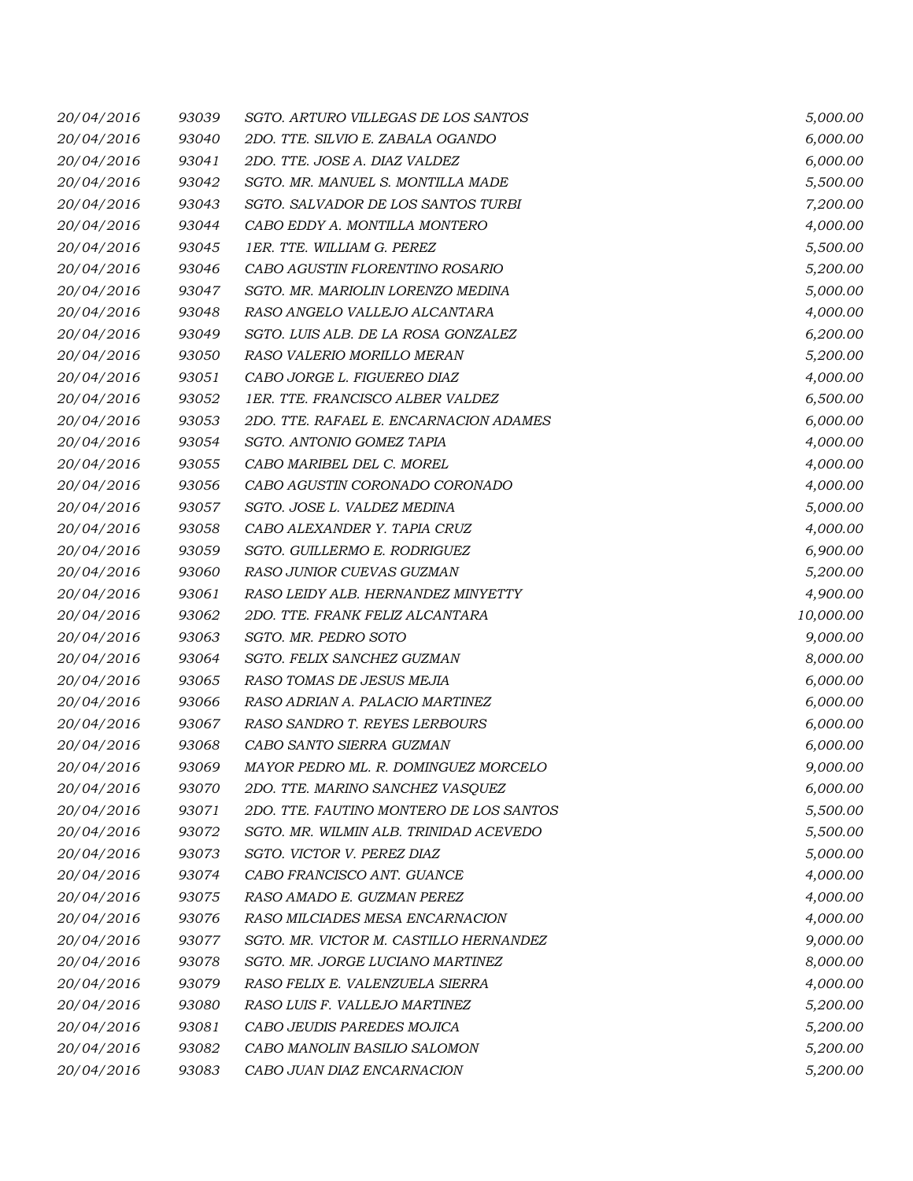| 20/04/2016 | 93039 | SGTO. ARTURO VILLEGAS DE LOS SANTOS     | 5,000.00  |
|------------|-------|-----------------------------------------|-----------|
| 20/04/2016 | 93040 | 2DO. TTE. SILVIO E. ZABALA OGANDO       | 6,000.00  |
| 20/04/2016 | 93041 | 2DO. TTE. JOSE A. DIAZ VALDEZ           | 6,000.00  |
| 20/04/2016 | 93042 | SGTO. MR. MANUEL S. MONTILLA MADE       | 5,500.00  |
| 20/04/2016 | 93043 | SGTO. SALVADOR DE LOS SANTOS TURBI      | 7,200.00  |
| 20/04/2016 | 93044 | CABO EDDY A. MONTILLA MONTERO           | 4,000.00  |
| 20/04/2016 | 93045 | 1ER. TTE. WILLIAM G. PEREZ              | 5,500.00  |
| 20/04/2016 | 93046 | CABO AGUSTIN FLORENTINO ROSARIO         | 5,200.00  |
| 20/04/2016 | 93047 | SGTO. MR. MARIOLIN LORENZO MEDINA       | 5,000.00  |
| 20/04/2016 | 93048 | RASO ANGELO VALLEJO ALCANTARA           | 4,000.00  |
| 20/04/2016 | 93049 | SGTO. LUIS ALB. DE LA ROSA GONZALEZ     | 6,200.00  |
| 20/04/2016 | 93050 | RASO VALERIO MORILLO MERAN              | 5,200.00  |
| 20/04/2016 | 93051 | CABO JORGE L. FIGUEREO DIAZ             | 4,000.00  |
| 20/04/2016 | 93052 | 1ER. TTE. FRANCISCO ALBER VALDEZ        | 6,500.00  |
| 20/04/2016 | 93053 | 2DO. TTE. RAFAEL E. ENCARNACION ADAMES  | 6,000.00  |
| 20/04/2016 | 93054 | SGTO. ANTONIO GOMEZ TAPIA               | 4,000.00  |
| 20/04/2016 | 93055 | CABO MARIBEL DEL C. MOREL               | 4,000.00  |
| 20/04/2016 | 93056 | CABO AGUSTIN CORONADO CORONADO          | 4,000.00  |
| 20/04/2016 | 93057 | SGTO. JOSE L. VALDEZ MEDINA             | 5,000.00  |
| 20/04/2016 | 93058 | CABO ALEXANDER Y. TAPIA CRUZ            | 4,000.00  |
| 20/04/2016 | 93059 | SGTO. GUILLERMO E. RODRIGUEZ            | 6,900.00  |
| 20/04/2016 | 93060 | RASO JUNIOR CUEVAS GUZMAN               | 5,200.00  |
| 20/04/2016 | 93061 | RASO LEIDY ALB. HERNANDEZ MINYETTY      | 4,900.00  |
| 20/04/2016 | 93062 | 2DO. TTE. FRANK FELIZ ALCANTARA         | 10,000.00 |
| 20/04/2016 | 93063 | SGTO. MR. PEDRO SOTO                    | 9,000.00  |
| 20/04/2016 | 93064 | SGTO. FELIX SANCHEZ GUZMAN              | 8,000.00  |
| 20/04/2016 | 93065 | RASO TOMAS DE JESUS MEJIA               | 6,000.00  |
| 20/04/2016 | 93066 | RASO ADRIAN A. PALACIO MARTINEZ         | 6,000.00  |
| 20/04/2016 | 93067 | RASO SANDRO T. REYES LERBOURS           | 6,000.00  |
| 20/04/2016 | 93068 | CABO SANTO SIERRA GUZMAN                | 6,000.00  |
| 20/04/2016 | 93069 | MAYOR PEDRO ML. R. DOMINGUEZ MORCELO    | 9,000.00  |
| 20/04/2016 | 93070 | 2DO. TTE. MARINO SANCHEZ VASQUEZ        | 6,000.00  |
| 20/04/2016 | 93071 | 2DO. TTE. FAUTINO MONTERO DE LOS SANTOS | 5,500.00  |
| 20/04/2016 | 93072 | SGTO. MR. WILMIN ALB. TRINIDAD ACEVEDO  | 5,500.00  |
| 20/04/2016 | 93073 | SGTO. VICTOR V. PEREZ DIAZ              | 5,000.00  |
| 20/04/2016 | 93074 | CABO FRANCISCO ANT. GUANCE              | 4,000.00  |
| 20/04/2016 | 93075 | RASO AMADO E. GUZMAN PEREZ              | 4,000.00  |
| 20/04/2016 | 93076 | RASO MILCIADES MESA ENCARNACION         | 4,000.00  |
| 20/04/2016 | 93077 | SGTO. MR. VICTOR M. CASTILLO HERNANDEZ  | 9,000.00  |
| 20/04/2016 | 93078 | SGTO. MR. JORGE LUCIANO MARTINEZ        | 8,000.00  |
| 20/04/2016 | 93079 | RASO FELIX E. VALENZUELA SIERRA         | 4,000.00  |
| 20/04/2016 | 93080 | RASO LUIS F. VALLEJO MARTINEZ           | 5,200.00  |
| 20/04/2016 | 93081 | CABO JEUDIS PAREDES MOJICA              | 5,200.00  |
| 20/04/2016 | 93082 | CABO MANOLIN BASILIO SALOMON            | 5,200.00  |
| 20/04/2016 | 93083 | CABO JUAN DIAZ ENCARNACION              | 5,200.00  |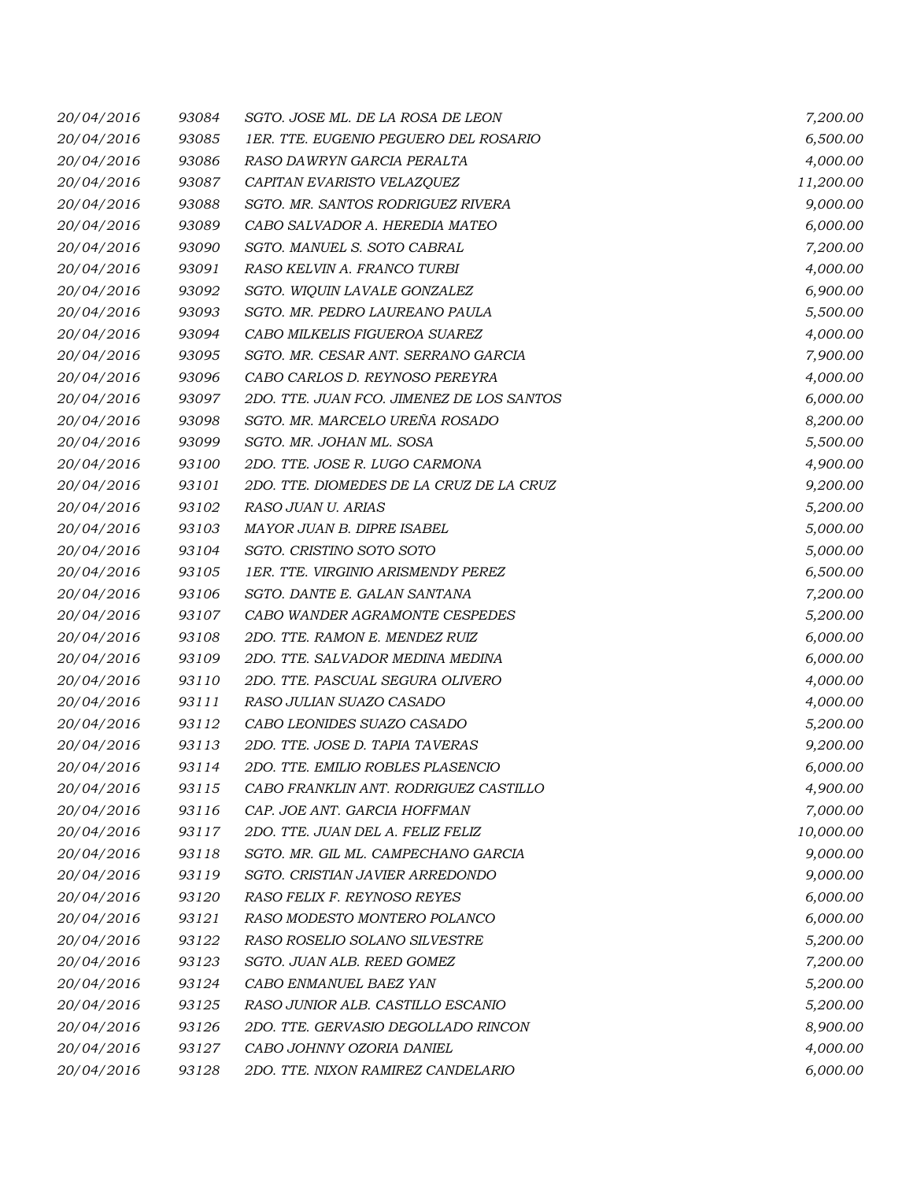| 20/04/2016 | 93084 | SGTO. JOSE ML. DE LA ROSA DE LEON         | 7,200.00  |
|------------|-------|-------------------------------------------|-----------|
| 20/04/2016 | 93085 | 1ER. TTE. EUGENIO PEGUERO DEL ROSARIO     | 6,500.00  |
| 20/04/2016 | 93086 | RASO DAWRYN GARCIA PERALTA                | 4,000.00  |
| 20/04/2016 | 93087 | CAPITAN EVARISTO VELAZQUEZ                | 11,200.00 |
| 20/04/2016 | 93088 | SGTO. MR. SANTOS RODRIGUEZ RIVERA         | 9,000.00  |
| 20/04/2016 | 93089 | CABO SALVADOR A. HEREDIA MATEO            | 6,000.00  |
| 20/04/2016 | 93090 | SGTO. MANUEL S. SOTO CABRAL               | 7,200.00  |
| 20/04/2016 | 93091 | RASO KELVIN A. FRANCO TURBI               | 4,000.00  |
| 20/04/2016 | 93092 | SGTO. WIQUIN LAVALE GONZALEZ              | 6,900.00  |
| 20/04/2016 | 93093 | SGTO. MR. PEDRO LAUREANO PAULA            | 5,500.00  |
| 20/04/2016 | 93094 | CABO MILKELIS FIGUEROA SUAREZ             | 4,000.00  |
| 20/04/2016 | 93095 | SGTO. MR. CESAR ANT. SERRANO GARCIA       | 7,900.00  |
| 20/04/2016 | 93096 | CABO CARLOS D. REYNOSO PEREYRA            | 4,000.00  |
| 20/04/2016 | 93097 | 2DO. TTE. JUAN FCO. JIMENEZ DE LOS SANTOS | 6,000.00  |
| 20/04/2016 | 93098 | SGTO. MR. MARCELO UREÑA ROSADO            | 8,200.00  |
| 20/04/2016 | 93099 | SGTO. MR. JOHAN ML. SOSA                  | 5,500.00  |
| 20/04/2016 | 93100 | 2DO. TTE. JOSE R. LUGO CARMONA            | 4,900.00  |
| 20/04/2016 | 93101 | 2DO. TTE. DIOMEDES DE LA CRUZ DE LA CRUZ  | 9,200.00  |
| 20/04/2016 | 93102 | RASO JUAN U. ARIAS                        | 5,200.00  |
| 20/04/2016 | 93103 | MAYOR JUAN B. DIPRE ISABEL                | 5,000.00  |
| 20/04/2016 | 93104 | SGTO. CRISTINO SOTO SOTO                  | 5,000.00  |
| 20/04/2016 | 93105 | 1ER. TTE. VIRGINIO ARISMENDY PEREZ        | 6,500.00  |
| 20/04/2016 | 93106 | SGTO. DANTE E. GALAN SANTANA              | 7,200.00  |
| 20/04/2016 | 93107 | CABO WANDER AGRAMONTE CESPEDES            | 5,200.00  |
| 20/04/2016 | 93108 | 2DO. TTE. RAMON E. MENDEZ RUIZ            | 6,000.00  |
| 20/04/2016 | 93109 | 2DO. TTE. SALVADOR MEDINA MEDINA          | 6,000.00  |
| 20/04/2016 | 93110 | 2DO. TTE. PASCUAL SEGURA OLIVERO          | 4,000.00  |
| 20/04/2016 | 93111 | RASO JULIAN SUAZO CASADO                  | 4,000.00  |
| 20/04/2016 | 93112 | CABO LEONIDES SUAZO CASADO                | 5,200.00  |
| 20/04/2016 | 93113 | 2DO. TTE. JOSE D. TAPIA TAVERAS           | 9,200.00  |
| 20/04/2016 | 93114 | 2DO. TTE. EMILIO ROBLES PLASENCIO         | 6,000.00  |
| 20/04/2016 | 93115 | CABO FRANKLIN ANT. RODRIGUEZ CASTILLO     | 4,900.00  |
| 20/04/2016 | 93116 | CAP. JOE ANT. GARCIA HOFFMAN              | 7,000.00  |
| 20/04/2016 | 93117 | 2DO. TTE. JUAN DEL A. FELIZ FELIZ         | 10,000.00 |
| 20/04/2016 | 93118 | SGTO. MR. GIL ML. CAMPECHANO GARCIA       | 9,000.00  |
| 20/04/2016 | 93119 | SGTO. CRISTIAN JAVIER ARREDONDO           | 9,000.00  |
| 20/04/2016 | 93120 | RASO FELIX F. REYNOSO REYES               | 6,000.00  |
| 20/04/2016 | 93121 | RASO MODESTO MONTERO POLANCO              | 6,000.00  |
| 20/04/2016 | 93122 | RASO ROSELIO SOLANO SILVESTRE             | 5,200.00  |
| 20/04/2016 | 93123 | SGTO. JUAN ALB. REED GOMEZ                | 7,200.00  |
| 20/04/2016 | 93124 | CABO ENMANUEL BAEZ YAN                    | 5,200.00  |
| 20/04/2016 | 93125 | RASO JUNIOR ALB. CASTILLO ESCANIO         | 5,200.00  |
| 20/04/2016 | 93126 | 2DO. TTE. GERVASIO DEGOLLADO RINCON       | 8,900.00  |
| 20/04/2016 | 93127 | CABO JOHNNY OZORIA DANIEL                 | 4,000.00  |
| 20/04/2016 | 93128 | 2DO. TTE. NIXON RAMIREZ CANDELARIO        | 6,000.00  |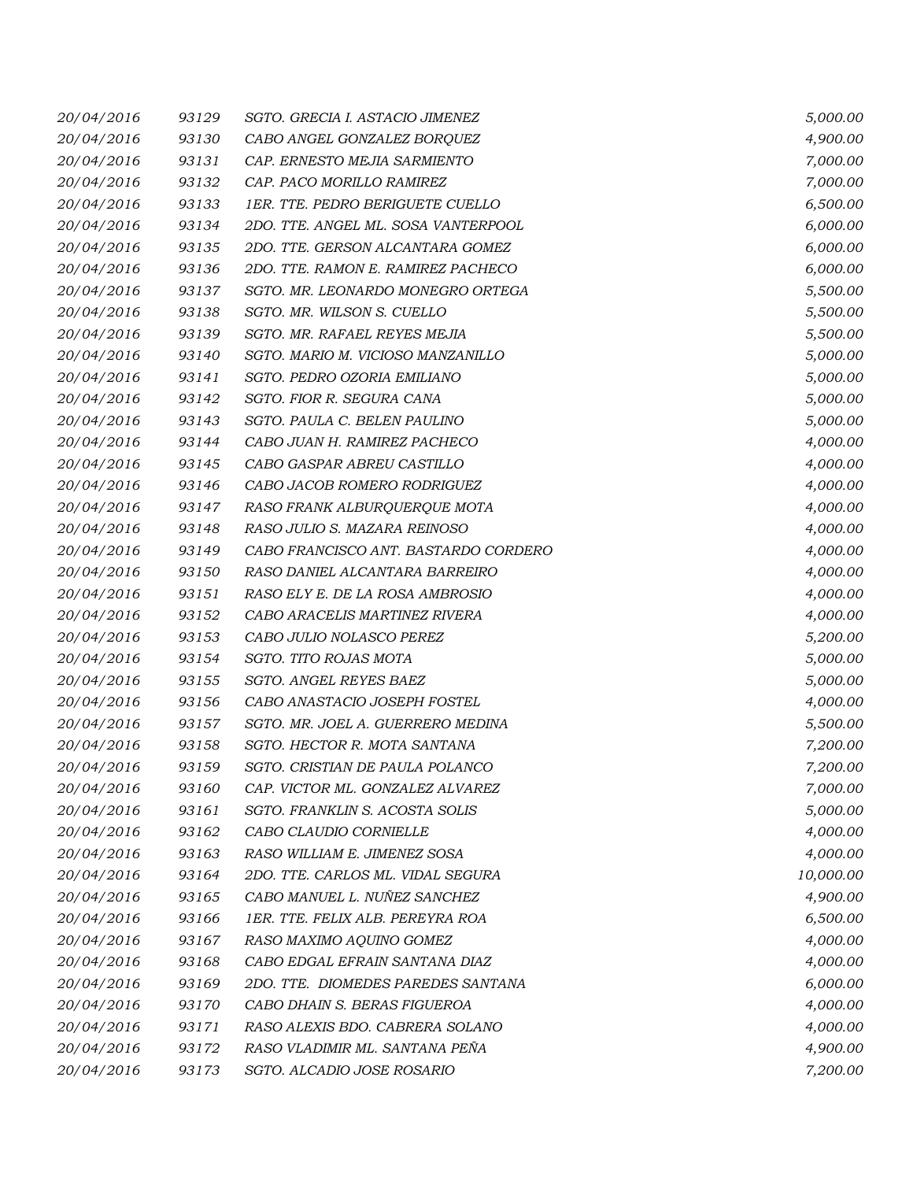| 20/04/2016 | 93129 | SGTO. GRECIA I. ASTACIO JIMENEZ      | 5,000.00  |
|------------|-------|--------------------------------------|-----------|
| 20/04/2016 | 93130 | CABO ANGEL GONZALEZ BORQUEZ          | 4,900.00  |
| 20/04/2016 | 93131 | CAP. ERNESTO MEJIA SARMIENTO         | 7,000.00  |
| 20/04/2016 | 93132 | CAP. PACO MORILLO RAMIREZ            | 7,000.00  |
| 20/04/2016 | 93133 | 1ER. TTE. PEDRO BERIGUETE CUELLO     | 6,500.00  |
| 20/04/2016 | 93134 | 2DO. TTE. ANGEL ML. SOSA VANTERPOOL  | 6,000.00  |
| 20/04/2016 | 93135 | 2DO. TTE. GERSON ALCANTARA GOMEZ     | 6,000.00  |
| 20/04/2016 | 93136 | 2DO. TTE. RAMON E. RAMIREZ PACHECO   | 6,000.00  |
| 20/04/2016 | 93137 | SGTO. MR. LEONARDO MONEGRO ORTEGA    | 5,500.00  |
| 20/04/2016 | 93138 | SGTO. MR. WILSON S. CUELLO           | 5,500.00  |
| 20/04/2016 | 93139 | SGTO. MR. RAFAEL REYES MEJIA         | 5,500.00  |
| 20/04/2016 | 93140 | SGTO. MARIO M. VICIOSO MANZANILLO    | 5,000.00  |
| 20/04/2016 | 93141 | SGTO. PEDRO OZORIA EMILIANO          | 5,000.00  |
| 20/04/2016 | 93142 | SGTO. FIOR R. SEGURA CANA            | 5,000.00  |
| 20/04/2016 | 93143 | SGTO. PAULA C. BELEN PAULINO         | 5,000.00  |
| 20/04/2016 | 93144 | CABO JUAN H. RAMIREZ PACHECO         | 4,000.00  |
| 20/04/2016 | 93145 | CABO GASPAR ABREU CASTILLO           | 4,000.00  |
| 20/04/2016 | 93146 | CABO JACOB ROMERO RODRIGUEZ          | 4,000.00  |
| 20/04/2016 | 93147 | RASO FRANK ALBURQUERQUE MOTA         | 4,000.00  |
| 20/04/2016 | 93148 | RASO JULIO S. MAZARA REINOSO         | 4,000.00  |
| 20/04/2016 | 93149 | CABO FRANCISCO ANT. BASTARDO CORDERO | 4,000.00  |
| 20/04/2016 | 93150 | RASO DANIEL ALCANTARA BARREIRO       | 4,000.00  |
| 20/04/2016 | 93151 | RASO ELY E. DE LA ROSA AMBROSIO      | 4,000.00  |
| 20/04/2016 | 93152 | CABO ARACELIS MARTINEZ RIVERA        | 4,000.00  |
| 20/04/2016 | 93153 | CABO JULIO NOLASCO PEREZ             | 5,200.00  |
| 20/04/2016 | 93154 | SGTO. TITO ROJAS MOTA                | 5,000.00  |
| 20/04/2016 | 93155 | SGTO. ANGEL REYES BAEZ               | 5,000.00  |
| 20/04/2016 | 93156 | CABO ANASTACIO JOSEPH FOSTEL         | 4,000.00  |
| 20/04/2016 | 93157 | SGTO. MR. JOEL A. GUERRERO MEDINA    | 5,500.00  |
| 20/04/2016 | 93158 | SGTO. HECTOR R. MOTA SANTANA         | 7,200.00  |
| 20/04/2016 | 93159 | SGTO. CRISTIAN DE PAULA POLANCO      | 7,200.00  |
| 20/04/2016 | 93160 | CAP. VICTOR ML. GONZALEZ ALVAREZ     | 7,000.00  |
| 20/04/2016 | 93161 | SGTO. FRANKLIN S. ACOSTA SOLIS       | 5,000.00  |
| 20/04/2016 | 93162 | CABO CLAUDIO CORNIELLE               | 4,000.00  |
| 20/04/2016 | 93163 | RASO WILLIAM E. JIMENEZ SOSA         | 4,000.00  |
| 20/04/2016 | 93164 | 2DO. TTE. CARLOS ML. VIDAL SEGURA    | 10,000.00 |
| 20/04/2016 | 93165 | CABO MANUEL L. NUÑEZ SANCHEZ         | 4,900.00  |
| 20/04/2016 | 93166 | 1ER. TTE. FELIX ALB. PEREYRA ROA     | 6,500.00  |
| 20/04/2016 | 93167 | RASO MAXIMO AQUINO GOMEZ             | 4,000.00  |
| 20/04/2016 | 93168 | CABO EDGAL EFRAIN SANTANA DIAZ       | 4,000.00  |
| 20/04/2016 | 93169 | 2DO. TTE. DIOMEDES PAREDES SANTANA   | 6,000.00  |
| 20/04/2016 | 93170 | CABO DHAIN S. BERAS FIGUEROA         | 4,000.00  |
| 20/04/2016 | 93171 | RASO ALEXIS BDO. CABRERA SOLANO      | 4,000.00  |
| 20/04/2016 | 93172 | RASO VLADIMIR ML. SANTANA PEÑA       | 4,900.00  |
| 20/04/2016 | 93173 | SGTO. ALCADIO JOSE ROSARIO           | 7,200.00  |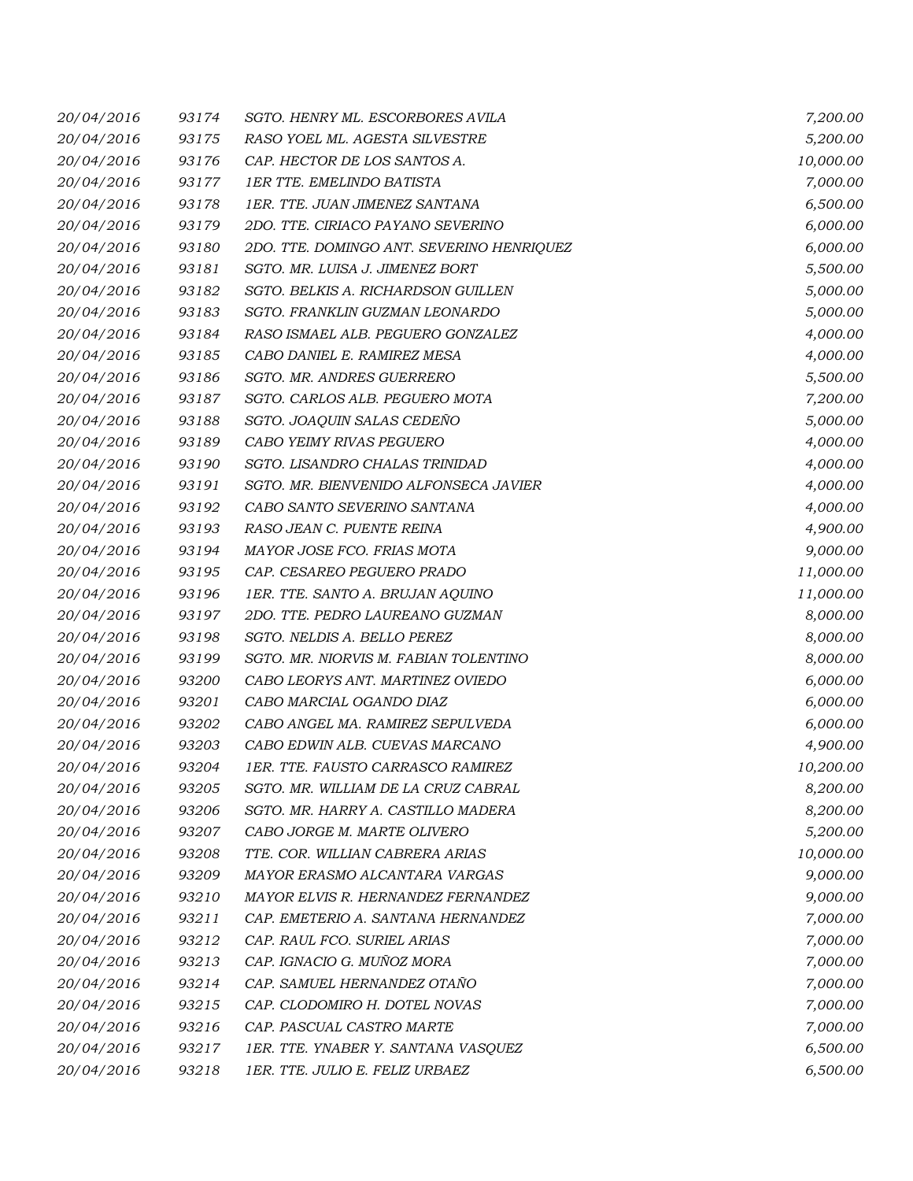| 20/04/2016 | 93174 | SGTO. HENRY ML. ESCORBORES AVILA          | 7,200.00  |
|------------|-------|-------------------------------------------|-----------|
| 20/04/2016 | 93175 | RASO YOEL ML. AGESTA SILVESTRE            | 5,200.00  |
| 20/04/2016 | 93176 | CAP. HECTOR DE LOS SANTOS A.              | 10,000.00 |
| 20/04/2016 | 93177 | <b>1ER TTE, EMELINDO BATISTA</b>          | 7,000.00  |
| 20/04/2016 | 93178 | 1ER. TTE. JUAN JIMENEZ SANTANA            | 6,500.00  |
| 20/04/2016 | 93179 | 2DO. TTE. CIRIACO PAYANO SEVERINO         | 6,000.00  |
| 20/04/2016 | 93180 | 2DO. TTE. DOMINGO ANT. SEVERINO HENRIQUEZ | 6,000.00  |
| 20/04/2016 | 93181 | SGTO. MR. LUISA J. JIMENEZ BORT           | 5,500.00  |
| 20/04/2016 | 93182 | SGTO. BELKIS A. RICHARDSON GUILLEN        | 5,000.00  |
| 20/04/2016 | 93183 | SGTO. FRANKLIN GUZMAN LEONARDO            | 5,000.00  |
| 20/04/2016 | 93184 | RASO ISMAEL ALB. PEGUERO GONZALEZ         | 4,000.00  |
| 20/04/2016 | 93185 | CABO DANIEL E. RAMIREZ MESA               | 4,000.00  |
| 20/04/2016 | 93186 | SGTO. MR. ANDRES GUERRERO                 | 5,500.00  |
| 20/04/2016 | 93187 | SGTO. CARLOS ALB. PEGUERO MOTA            | 7,200.00  |
| 20/04/2016 | 93188 | SGTO. JOAQUIN SALAS CEDEÑO                | 5,000.00  |
| 20/04/2016 | 93189 | CABO YEIMY RIVAS PEGUERO                  | 4,000.00  |
| 20/04/2016 | 93190 | SGTO. LISANDRO CHALAS TRINIDAD            | 4,000.00  |
| 20/04/2016 | 93191 | SGTO. MR. BIENVENIDO ALFONSECA JAVIER     | 4,000.00  |
| 20/04/2016 | 93192 | CABO SANTO SEVERINO SANTANA               | 4,000.00  |
| 20/04/2016 | 93193 | RASO JEAN C. PUENTE REINA                 | 4,900.00  |
| 20/04/2016 | 93194 | MAYOR JOSE FCO. FRIAS MOTA                | 9,000.00  |
| 20/04/2016 | 93195 | CAP. CESAREO PEGUERO PRADO                | 11,000.00 |
| 20/04/2016 | 93196 | 1ER. TTE. SANTO A. BRUJAN AQUINO          | 11,000.00 |
| 20/04/2016 | 93197 | 2DO. TTE. PEDRO LAUREANO GUZMAN           | 8,000.00  |
| 20/04/2016 | 93198 | SGTO. NELDIS A. BELLO PEREZ               | 8,000.00  |
| 20/04/2016 | 93199 | SGTO. MR. NIORVIS M. FABIAN TOLENTINO     | 8,000.00  |
| 20/04/2016 | 93200 | CABO LEORYS ANT. MARTINEZ OVIEDO          | 6,000.00  |
| 20/04/2016 | 93201 | CABO MARCIAL OGANDO DIAZ                  | 6,000.00  |
| 20/04/2016 | 93202 | CABO ANGEL MA. RAMIREZ SEPULVEDA          | 6,000.00  |
| 20/04/2016 | 93203 | CABO EDWIN ALB. CUEVAS MARCANO            | 4,900.00  |
| 20/04/2016 | 93204 | 1ER. TTE. FAUSTO CARRASCO RAMIREZ         | 10,200.00 |
| 20/04/2016 | 93205 | SGTO. MR. WILLIAM DE LA CRUZ CABRAL       | 8,200.00  |
| 20/04/2016 | 93206 | SGTO. MR. HARRY A. CASTILLO MADERA        | 8,200.00  |
| 20/04/2016 | 93207 | CABO JORGE M. MARTE OLIVERO               | 5,200.00  |
| 20/04/2016 | 93208 | TTE. COR. WILLIAN CABRERA ARIAS           | 10,000.00 |
| 20/04/2016 | 93209 | MAYOR ERASMO ALCANTARA VARGAS             | 9,000.00  |
| 20/04/2016 | 93210 | MAYOR ELVIS R. HERNANDEZ FERNANDEZ        | 9,000.00  |
| 20/04/2016 | 93211 | CAP. EMETERIO A. SANTANA HERNANDEZ        | 7,000.00  |
| 20/04/2016 | 93212 | CAP. RAUL FCO. SURIEL ARIAS               | 7,000.00  |
| 20/04/2016 | 93213 | CAP. IGNACIO G. MUÑOZ MORA                | 7,000.00  |
| 20/04/2016 | 93214 | CAP. SAMUEL HERNANDEZ OTAÑO               | 7,000.00  |
| 20/04/2016 | 93215 | CAP. CLODOMIRO H. DOTEL NOVAS             | 7,000.00  |
| 20/04/2016 | 93216 | CAP. PASCUAL CASTRO MARTE                 | 7,000.00  |
| 20/04/2016 | 93217 | 1ER. TTE. YNABER Y. SANTANA VASQUEZ       | 6,500.00  |
| 20/04/2016 | 93218 | 1ER. TTE. JULIO E. FELIZ URBAEZ           | 6,500.00  |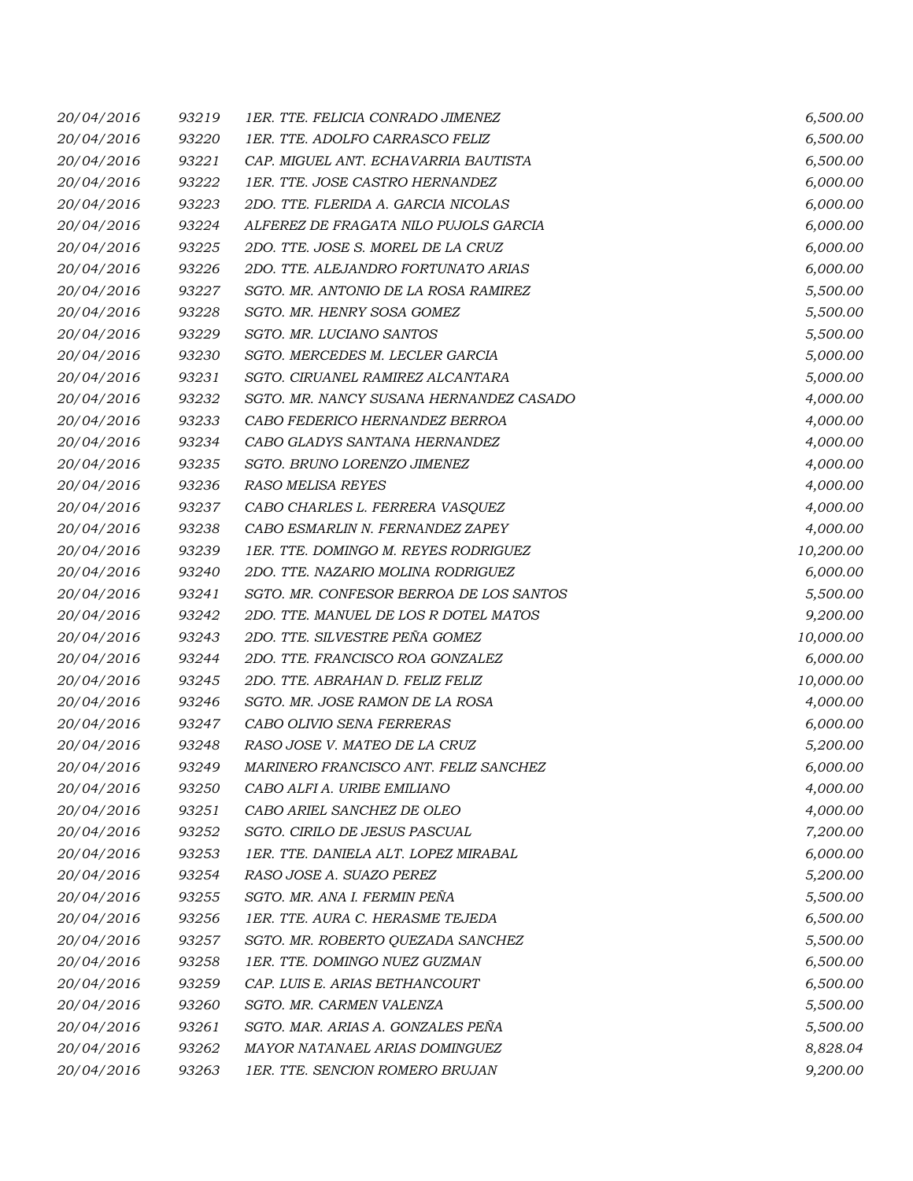| 20/04/2016 | 93219 | 1ER. TTE. FELICIA CONRADO JIMENEZ       | 6,500.00  |
|------------|-------|-----------------------------------------|-----------|
| 20/04/2016 | 93220 | 1ER. TTE. ADOLFO CARRASCO FELIZ         | 6,500.00  |
| 20/04/2016 | 93221 | CAP. MIGUEL ANT. ECHAVARRIA BAUTISTA    | 6,500.00  |
| 20/04/2016 | 93222 | 1ER. TTE. JOSE CASTRO HERNANDEZ         | 6,000.00  |
| 20/04/2016 | 93223 | 2DO. TTE. FLERIDA A. GARCIA NICOLAS     | 6,000.00  |
| 20/04/2016 | 93224 | ALFEREZ DE FRAGATA NILO PUJOLS GARCIA   | 6,000.00  |
| 20/04/2016 | 93225 | 2DO. TTE. JOSE S. MOREL DE LA CRUZ      | 6,000.00  |
| 20/04/2016 | 93226 | 2DO. TTE. ALEJANDRO FORTUNATO ARIAS     | 6,000.00  |
| 20/04/2016 | 93227 | SGTO. MR. ANTONIO DE LA ROSA RAMIREZ    | 5,500.00  |
| 20/04/2016 | 93228 | SGTO. MR. HENRY SOSA GOMEZ              | 5,500.00  |
| 20/04/2016 | 93229 | SGTO. MR. LUCIANO SANTOS                | 5,500.00  |
| 20/04/2016 | 93230 | SGTO. MERCEDES M. LECLER GARCIA         | 5,000.00  |
| 20/04/2016 | 93231 | SGTO. CIRUANEL RAMIREZ ALCANTARA        | 5,000.00  |
| 20/04/2016 | 93232 | SGTO. MR. NANCY SUSANA HERNANDEZ CASADO | 4,000.00  |
| 20/04/2016 | 93233 | CABO FEDERICO HERNANDEZ BERROA          | 4,000.00  |
| 20/04/2016 | 93234 | CABO GLADYS SANTANA HERNANDEZ           | 4,000.00  |
| 20/04/2016 | 93235 | SGTO. BRUNO LORENZO JIMENEZ             | 4,000.00  |
| 20/04/2016 | 93236 | RASO MELISA REYES                       | 4,000.00  |
| 20/04/2016 | 93237 | CABO CHARLES L. FERRERA VASQUEZ         | 4,000.00  |
| 20/04/2016 | 93238 | CABO ESMARLIN N. FERNANDEZ ZAPEY        | 4,000.00  |
| 20/04/2016 | 93239 | 1ER. TTE. DOMINGO M. REYES RODRIGUEZ    | 10,200.00 |
| 20/04/2016 | 93240 | 2DO. TTE. NAZARIO MOLINA RODRIGUEZ      | 6,000.00  |
| 20/04/2016 | 93241 | SGTO. MR. CONFESOR BERROA DE LOS SANTOS | 5,500.00  |
| 20/04/2016 | 93242 | 2DO. TTE. MANUEL DE LOS R DOTEL MATOS   | 9,200.00  |
| 20/04/2016 | 93243 | 2DO. TTE. SILVESTRE PEÑA GOMEZ          | 10,000.00 |
| 20/04/2016 | 93244 | 2DO. TTE. FRANCISCO ROA GONZALEZ        | 6,000.00  |
| 20/04/2016 | 93245 | 2DO. TTE. ABRAHAN D. FELIZ FELIZ        | 10,000.00 |
| 20/04/2016 | 93246 | SGTO. MR. JOSE RAMON DE LA ROSA         | 4,000.00  |
| 20/04/2016 | 93247 | CABO OLIVIO SENA FERRERAS               | 6,000.00  |
| 20/04/2016 | 93248 | RASO JOSE V. MATEO DE LA CRUZ           | 5,200.00  |
| 20/04/2016 | 93249 | MARINERO FRANCISCO ANT. FELIZ SANCHEZ   | 6,000.00  |
| 20/04/2016 | 93250 | CABO ALFI A. URIBE EMILIANO             | 4,000.00  |
| 20/04/2016 | 93251 | CABO ARIEL SANCHEZ DE OLEO              | 4,000.00  |
| 20/04/2016 | 93252 | SGTO. CIRILO DE JESUS PASCUAL           | 7,200.00  |
| 20/04/2016 | 93253 | 1ER. TTE. DANIELA ALT. LOPEZ MIRABAL    | 6,000.00  |
| 20/04/2016 | 93254 | RASO JOSE A. SUAZO PEREZ                | 5,200.00  |
| 20/04/2016 | 93255 | SGTO. MR. ANA I. FERMIN PEÑA            | 5,500.00  |
| 20/04/2016 | 93256 | 1ER. TTE. AURA C. HERASME TEJEDA        | 6,500.00  |
| 20/04/2016 | 93257 | SGTO. MR. ROBERTO QUEZADA SANCHEZ       | 5,500.00  |
| 20/04/2016 | 93258 | 1ER. TTE. DOMINGO NUEZ GUZMAN           | 6,500.00  |
| 20/04/2016 | 93259 | CAP. LUIS E. ARIAS BETHANCOURT          | 6,500.00  |
| 20/04/2016 | 93260 | SGTO. MR. CARMEN VALENZA                | 5,500.00  |
| 20/04/2016 | 93261 | SGTO. MAR. ARIAS A. GONZALES PEÑA       | 5,500.00  |
| 20/04/2016 | 93262 | MAYOR NATANAEL ARIAS DOMINGUEZ          | 8,828.04  |
| 20/04/2016 | 93263 | 1ER. TTE. SENCION ROMERO BRUJAN         | 9,200.00  |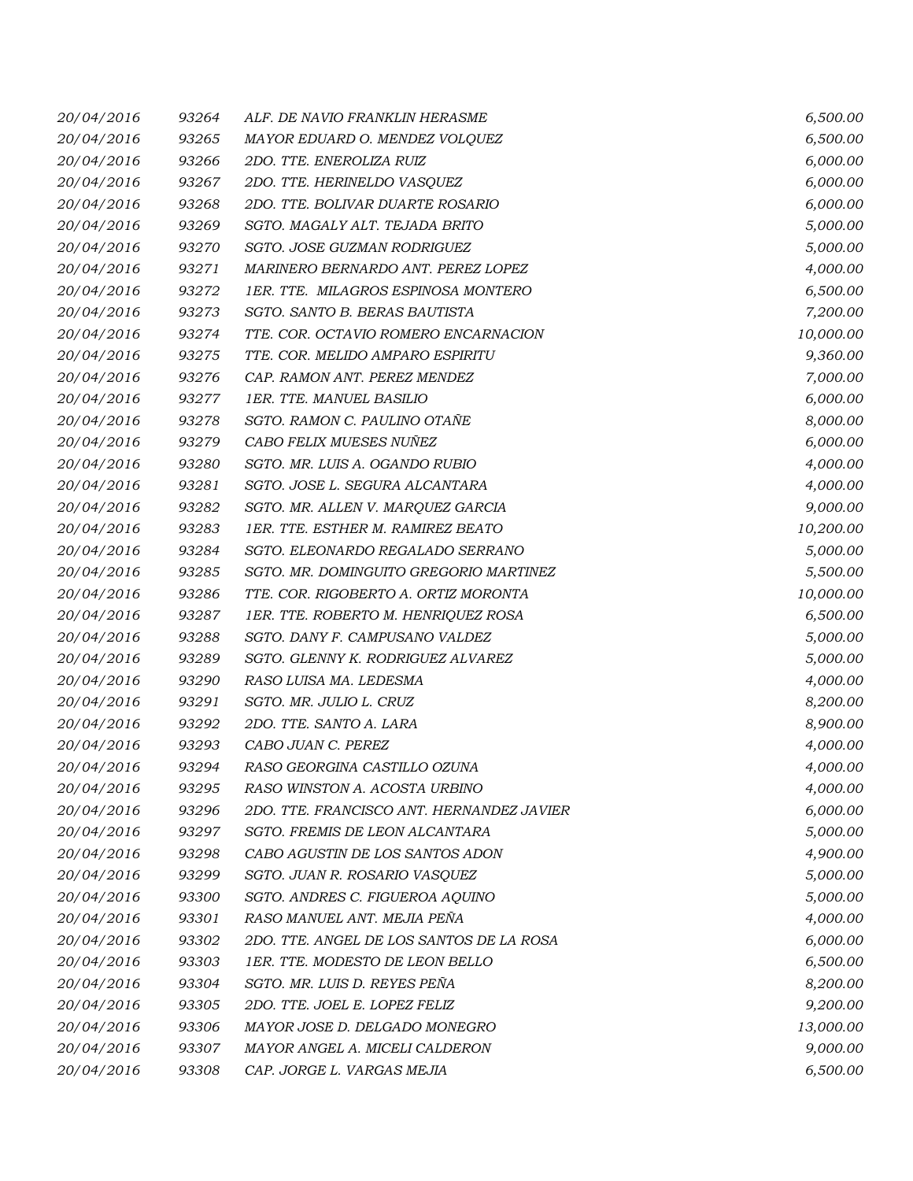| 20/04/2016 | 93264 | ALF. DE NAVIO FRANKLIN HERASME            | 6,500.00  |
|------------|-------|-------------------------------------------|-----------|
| 20/04/2016 | 93265 | MAYOR EDUARD O. MENDEZ VOLQUEZ            | 6,500.00  |
| 20/04/2016 | 93266 | 2DO. TTE. ENEROLIZA RUIZ                  | 6,000.00  |
| 20/04/2016 | 93267 | 2DO. TTE. HERINELDO VASQUEZ               | 6,000.00  |
| 20/04/2016 | 93268 | 2DO. TTE. BOLIVAR DUARTE ROSARIO          | 6,000.00  |
| 20/04/2016 | 93269 | SGTO. MAGALY ALT. TEJADA BRITO            | 5,000.00  |
| 20/04/2016 | 93270 | SGTO. JOSE GUZMAN RODRIGUEZ               | 5,000.00  |
| 20/04/2016 | 93271 | MARINERO BERNARDO ANT. PEREZ LOPEZ        | 4,000.00  |
| 20/04/2016 | 93272 | 1ER. TTE. MILAGROS ESPINOSA MONTERO       | 6,500.00  |
| 20/04/2016 | 93273 | SGTO. SANTO B. BERAS BAUTISTA             | 7,200.00  |
| 20/04/2016 | 93274 | TTE. COR. OCTAVIO ROMERO ENCARNACION      | 10,000.00 |
| 20/04/2016 | 93275 | TTE. COR. MELIDO AMPARO ESPIRITU          | 9,360.00  |
| 20/04/2016 | 93276 | CAP. RAMON ANT. PEREZ MENDEZ              | 7,000.00  |
| 20/04/2016 | 93277 | 1ER. TTE. MANUEL BASILIO                  | 6,000.00  |
| 20/04/2016 | 93278 | SGTO. RAMON C. PAULINO OTAÑE              | 8,000.00  |
| 20/04/2016 | 93279 | CABO FELIX MUESES NUÑEZ                   | 6,000.00  |
| 20/04/2016 | 93280 | SGTO. MR. LUIS A. OGANDO RUBIO            | 4,000.00  |
| 20/04/2016 | 93281 | SGTO. JOSE L. SEGURA ALCANTARA            | 4,000.00  |
| 20/04/2016 | 93282 | SGTO. MR. ALLEN V. MARQUEZ GARCIA         | 9,000.00  |
| 20/04/2016 | 93283 | <b>1ER. TTE. ESTHER M. RAMIREZ BEATO</b>  | 10,200.00 |
| 20/04/2016 | 93284 | SGTO. ELEONARDO REGALADO SERRANO          | 5,000.00  |
| 20/04/2016 | 93285 | SGTO. MR. DOMINGUITO GREGORIO MARTINEZ    | 5,500.00  |
| 20/04/2016 | 93286 | TTE. COR. RIGOBERTO A. ORTIZ MORONTA      | 10,000.00 |
| 20/04/2016 | 93287 | 1ER. TTE. ROBERTO M. HENRIQUEZ ROSA       | 6,500.00  |
| 20/04/2016 | 93288 | SGTO. DANY F. CAMPUSANO VALDEZ            | 5,000.00  |
| 20/04/2016 | 93289 | SGTO. GLENNY K. RODRIGUEZ ALVAREZ         | 5,000.00  |
| 20/04/2016 | 93290 | RASO LUISA MA. LEDESMA                    | 4,000.00  |
| 20/04/2016 | 93291 | SGTO. MR. JULIO L. CRUZ                   | 8,200.00  |
| 20/04/2016 | 93292 | 2DO. TTE. SANTO A. LARA                   | 8,900.00  |
| 20/04/2016 | 93293 | CABO JUAN C. PEREZ                        | 4,000.00  |
| 20/04/2016 | 93294 | RASO GEORGINA CASTILLO OZUNA              | 4,000.00  |
| 20/04/2016 | 93295 | RASO WINSTON A. ACOSTA URBINO             | 4,000.00  |
| 20/04/2016 | 93296 | 2DO. TTE. FRANCISCO ANT. HERNANDEZ JAVIER | 6,000.00  |
| 20/04/2016 | 93297 | SGTO. FREMIS DE LEON ALCANTARA            | 5,000.00  |
| 20/04/2016 | 93298 | CABO AGUSTIN DE LOS SANTOS ADON           | 4,900.00  |
| 20/04/2016 | 93299 | SGTO. JUAN R. ROSARIO VASQUEZ             | 5,000.00  |
| 20/04/2016 | 93300 | SGTO. ANDRES C. FIGUEROA AQUINO           | 5,000.00  |
| 20/04/2016 | 93301 | RASO MANUEL ANT. MEJIA PEÑA               | 4,000.00  |
| 20/04/2016 | 93302 | 2DO. TTE. ANGEL DE LOS SANTOS DE LA ROSA  | 6,000.00  |
| 20/04/2016 | 93303 | 1ER. TTE. MODESTO DE LEON BELLO           | 6,500.00  |
| 20/04/2016 | 93304 | SGTO. MR. LUIS D. REYES PEÑA              | 8,200.00  |
| 20/04/2016 | 93305 | 2DO. TTE. JOEL E. LOPEZ FELIZ             | 9,200.00  |
| 20/04/2016 | 93306 | MAYOR JOSE D. DELGADO MONEGRO             | 13,000.00 |
| 20/04/2016 | 93307 | MAYOR ANGEL A. MICELI CALDERON            | 9,000.00  |
| 20/04/2016 | 93308 | CAP. JORGE L. VARGAS MEJIA                | 6,500.00  |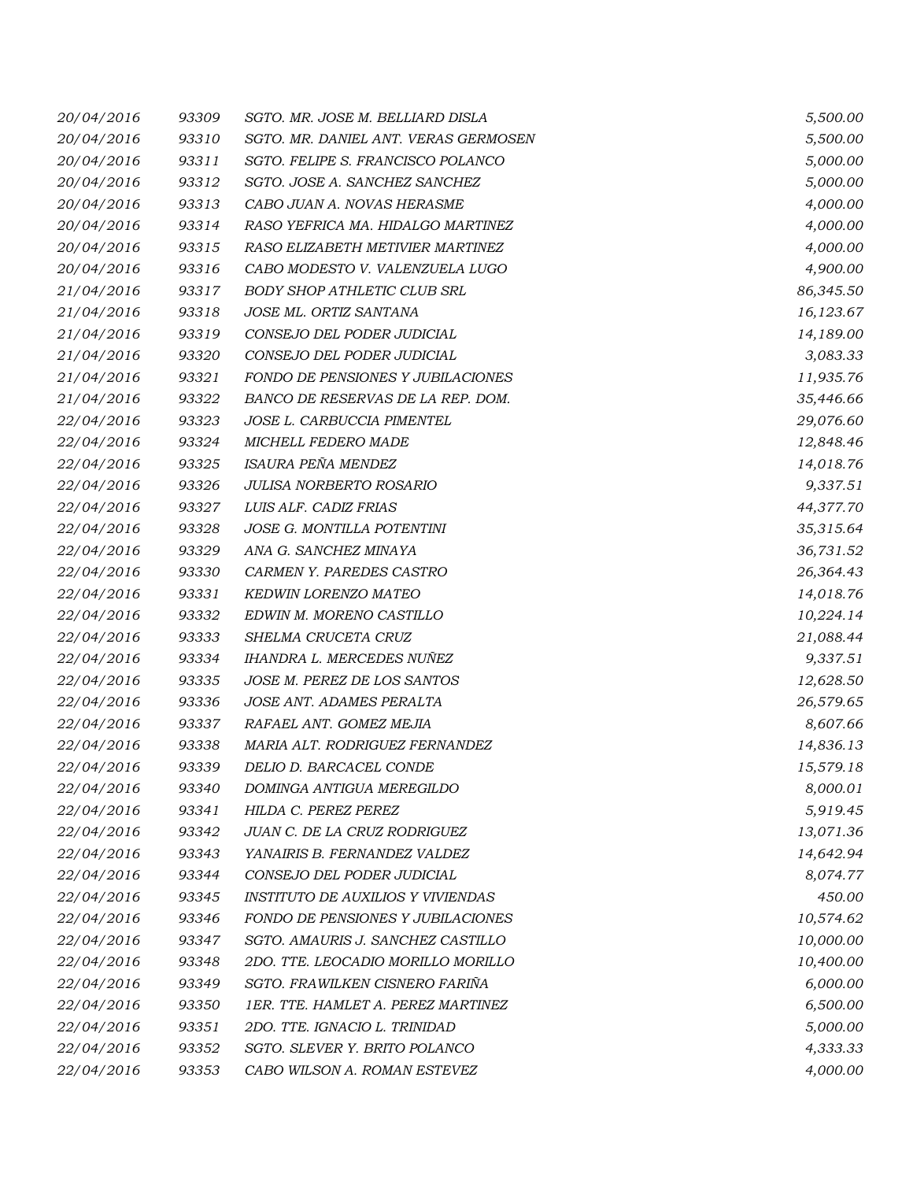| 20/04/2016 | 93309 | SGTO. MR. JOSE M. BELLIARD DISLA         | 5,500.00  |
|------------|-------|------------------------------------------|-----------|
| 20/04/2016 | 93310 | SGTO. MR. DANIEL ANT. VERAS GERMOSEN     | 5,500.00  |
| 20/04/2016 | 93311 | SGTO. FELIPE S. FRANCISCO POLANCO        | 5,000.00  |
| 20/04/2016 | 93312 | SGTO. JOSE A. SANCHEZ SANCHEZ            | 5,000.00  |
| 20/04/2016 | 93313 | CABO JUAN A. NOVAS HERASME               | 4,000.00  |
| 20/04/2016 | 93314 | RASO YEFRICA MA. HIDALGO MARTINEZ        | 4,000.00  |
| 20/04/2016 | 93315 | RASO ELIZABETH METIVIER MARTINEZ         | 4,000.00  |
| 20/04/2016 | 93316 | CABO MODESTO V. VALENZUELA LUGO          | 4,900.00  |
| 21/04/2016 | 93317 | BODY SHOP ATHLETIC CLUB SRL              | 86,345.50 |
| 21/04/2016 | 93318 | JOSE ML. ORTIZ SANTANA                   | 16,123.67 |
| 21/04/2016 | 93319 | CONSEJO DEL PODER JUDICIAL               | 14,189.00 |
| 21/04/2016 | 93320 | CONSEJO DEL PODER JUDICIAL               | 3,083.33  |
| 21/04/2016 | 93321 | FONDO DE PENSIONES Y JUBILACIONES        | 11,935.76 |
| 21/04/2016 | 93322 | BANCO DE RESERVAS DE LA REP. DOM.        | 35,446.66 |
| 22/04/2016 | 93323 | JOSE L. CARBUCCIA PIMENTEL               | 29,076.60 |
| 22/04/2016 | 93324 | MICHELL FEDERO MADE                      | 12,848.46 |
| 22/04/2016 | 93325 | ISAURA PEÑA MENDEZ                       | 14,018.76 |
| 22/04/2016 | 93326 | JULISA NORBERTO ROSARIO                  | 9,337.51  |
| 22/04/2016 | 93327 | LUIS ALF. CADIZ FRIAS                    | 44,377.70 |
| 22/04/2016 | 93328 | JOSE G. MONTILLA POTENTINI               | 35,315.64 |
| 22/04/2016 | 93329 | ANA G. SANCHEZ MINAYA                    | 36,731.52 |
| 22/04/2016 | 93330 | CARMEN Y. PAREDES CASTRO                 | 26,364.43 |
| 22/04/2016 | 93331 | KEDWIN LORENZO MATEO                     | 14,018.76 |
| 22/04/2016 | 93332 | EDWIN M. MORENO CASTILLO                 | 10,224.14 |
| 22/04/2016 | 93333 | SHELMA CRUCETA CRUZ                      | 21,088.44 |
| 22/04/2016 | 93334 | IHANDRA L. MERCEDES NUÑEZ                | 9,337.51  |
| 22/04/2016 | 93335 | JOSE M. PEREZ DE LOS SANTOS              | 12,628.50 |
| 22/04/2016 | 93336 | JOSE ANT. ADAMES PERALTA                 | 26,579.65 |
| 22/04/2016 | 93337 | RAFAEL ANT. GOMEZ MEJIA                  | 8,607.66  |
| 22/04/2016 | 93338 | MARIA ALT. RODRIGUEZ FERNANDEZ           | 14,836.13 |
| 22/04/2016 | 93339 | DELIO D. BARCACEL CONDE                  | 15,579.18 |
| 22/04/2016 | 93340 | DOMINGA ANTIGUA MEREGILDO                | 8,000.01  |
| 22/04/2016 | 93341 | HILDA C. PEREZ PEREZ                     | 5,919.45  |
| 22/04/2016 | 93342 | JUAN C. DE LA CRUZ RODRIGUEZ             | 13,071.36 |
| 22/04/2016 | 93343 | YANAIRIS B. FERNANDEZ VALDEZ             | 14,642.94 |
| 22/04/2016 | 93344 | CONSEJO DEL PODER JUDICIAL               | 8,074.77  |
| 22/04/2016 | 93345 | <b>INSTITUTO DE AUXILIOS Y VIVIENDAS</b> | 450.00    |
| 22/04/2016 | 93346 | FONDO DE PENSIONES Y JUBILACIONES        | 10,574.62 |
| 22/04/2016 | 93347 | SGTO. AMAURIS J. SANCHEZ CASTILLO        | 10,000.00 |
| 22/04/2016 | 93348 | 2DO. TTE. LEOCADIO MORILLO MORILLO       | 10,400.00 |
| 22/04/2016 | 93349 | SGTO. FRAWILKEN CISNERO FARIÑA           | 6,000.00  |
| 22/04/2016 | 93350 | 1ER. TTE. HAMLET A. PEREZ MARTINEZ       | 6,500.00  |
| 22/04/2016 | 93351 | 2DO. TTE. IGNACIO L. TRINIDAD            | 5,000.00  |
| 22/04/2016 | 93352 | SGTO. SLEVER Y. BRITO POLANCO            | 4,333.33  |
| 22/04/2016 | 93353 | CABO WILSON A. ROMAN ESTEVEZ             | 4,000.00  |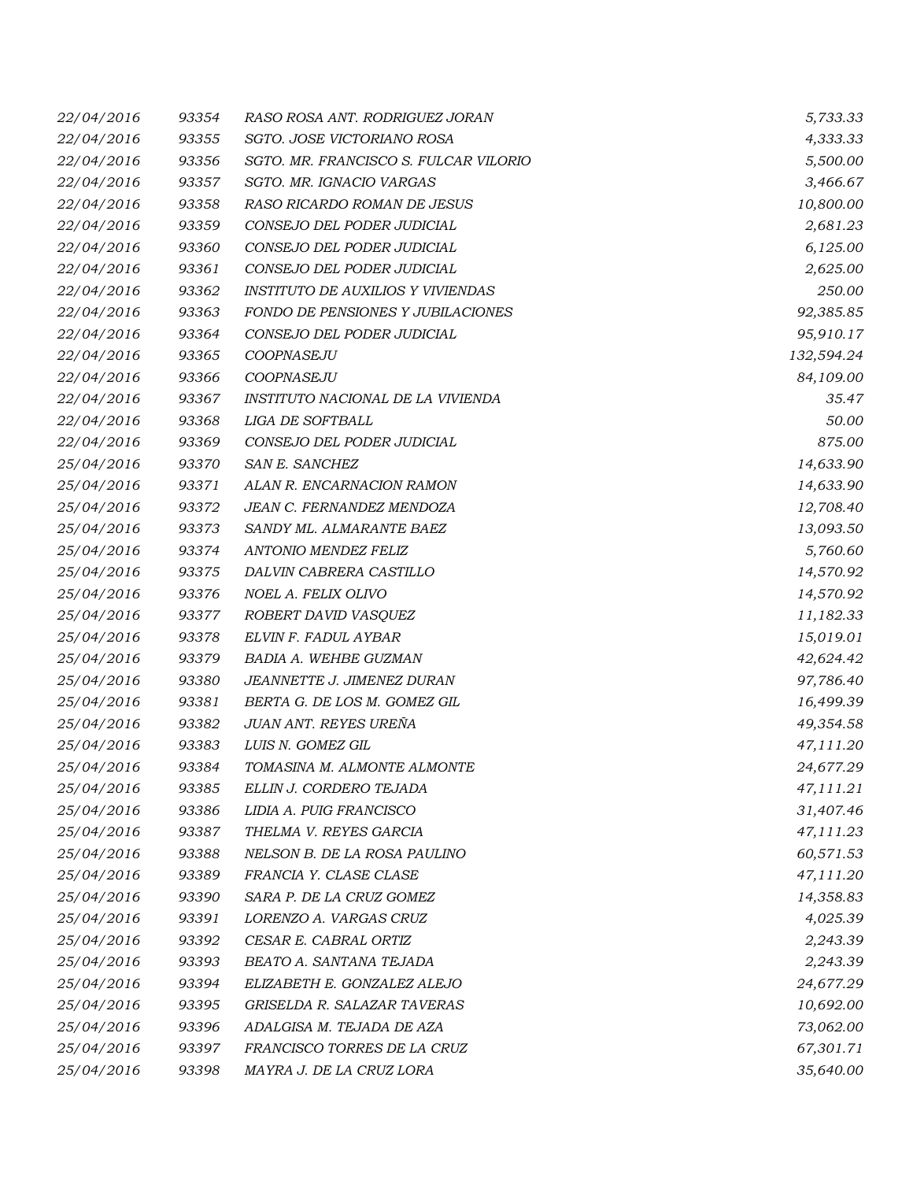| 22/04/2016 | 93354 | RASO ROSA ANT. RODRIGUEZ JORAN           | 5,733.33   |
|------------|-------|------------------------------------------|------------|
| 22/04/2016 | 93355 | SGTO. JOSE VICTORIANO ROSA               | 4,333.33   |
| 22/04/2016 | 93356 | SGTO. MR. FRANCISCO S. FULCAR VILORIO    | 5,500.00   |
| 22/04/2016 | 93357 | SGTO. MR. IGNACIO VARGAS                 | 3,466.67   |
| 22/04/2016 | 93358 | RASO RICARDO ROMAN DE JESUS              | 10,800.00  |
| 22/04/2016 | 93359 | CONSEJO DEL PODER JUDICIAL               | 2,681.23   |
| 22/04/2016 | 93360 | CONSEJO DEL PODER JUDICIAL               | 6,125.00   |
| 22/04/2016 | 93361 | CONSEJO DEL PODER JUDICIAL               | 2,625.00   |
| 22/04/2016 | 93362 | <b>INSTITUTO DE AUXILIOS Y VIVIENDAS</b> | 250.00     |
| 22/04/2016 | 93363 | FONDO DE PENSIONES Y JUBILACIONES        | 92,385.85  |
| 22/04/2016 | 93364 | CONSEJO DEL PODER JUDICIAL               | 95,910.17  |
| 22/04/2016 | 93365 | COOPNASEJU                               | 132,594.24 |
| 22/04/2016 | 93366 | COOPNASEJU                               | 84,109.00  |
| 22/04/2016 | 93367 | INSTITUTO NACIONAL DE LA VIVIENDA        | 35.47      |
| 22/04/2016 | 93368 | <b>LIGA DE SOFTBALL</b>                  | 50.00      |
| 22/04/2016 | 93369 | CONSEJO DEL PODER JUDICIAL               | 875.00     |
| 25/04/2016 | 93370 | SAN E. SANCHEZ                           | 14,633.90  |
| 25/04/2016 | 93371 | ALAN R. ENCARNACION RAMON                | 14,633.90  |
| 25/04/2016 | 93372 | JEAN C. FERNANDEZ MENDOZA                | 12,708.40  |
| 25/04/2016 | 93373 | SANDY ML. ALMARANTE BAEZ                 | 13,093.50  |
| 25/04/2016 | 93374 | ANTONIO MENDEZ FELIZ                     | 5,760.60   |
| 25/04/2016 | 93375 | DALVIN CABRERA CASTILLO                  | 14,570.92  |
| 25/04/2016 | 93376 | NOEL A. FELIX OLIVO                      | 14,570.92  |
| 25/04/2016 | 93377 | ROBERT DAVID VASQUEZ                     | 11,182.33  |
| 25/04/2016 | 93378 | ELVIN F. FADUL AYBAR                     | 15,019.01  |
| 25/04/2016 | 93379 | BADIA A. WEHBE GUZMAN                    | 42,624.42  |
| 25/04/2016 | 93380 | JEANNETTE J. JIMENEZ DURAN               | 97,786.40  |
| 25/04/2016 | 93381 | BERTA G. DE LOS M. GOMEZ GIL             | 16,499.39  |
| 25/04/2016 | 93382 | JUAN ANT. REYES UREÑA                    | 49,354.58  |
| 25/04/2016 | 93383 | LUIS N. GOMEZ GIL                        | 47,111.20  |
| 25/04/2016 | 93384 | TOMASINA M. ALMONTE ALMONTE              | 24,677.29  |
| 25/04/2016 | 93385 | ELLIN J. CORDERO TEJADA                  | 47,111.21  |
| 25/04/2016 | 93386 | LIDIA A. PUIG FRANCISCO                  | 31,407.46  |
| 25/04/2016 | 93387 | THELMA V. REYES GARCIA                   | 47,111.23  |
| 25/04/2016 | 93388 | NELSON B. DE LA ROSA PAULINO             | 60,571.53  |
| 25/04/2016 | 93389 | FRANCIA Y. CLASE CLASE                   | 47,111.20  |
| 25/04/2016 | 93390 | SARA P. DE LA CRUZ GOMEZ                 | 14,358.83  |
| 25/04/2016 | 93391 | LORENZO A. VARGAS CRUZ                   | 4,025.39   |
| 25/04/2016 | 93392 | CESAR E. CABRAL ORTIZ                    | 2,243.39   |
| 25/04/2016 | 93393 | BEATO A. SANTANA TEJADA                  | 2,243.39   |
| 25/04/2016 | 93394 | ELIZABETH E. GONZALEZ ALEJO              | 24,677.29  |
| 25/04/2016 | 93395 | GRISELDA R. SALAZAR TAVERAS              | 10,692.00  |
| 25/04/2016 | 93396 | ADALGISA M. TEJADA DE AZA                | 73,062.00  |
| 25/04/2016 | 93397 | FRANCISCO TORRES DE LA CRUZ              | 67,301.71  |
| 25/04/2016 | 93398 | MAYRA J. DE LA CRUZ LORA                 | 35,640.00  |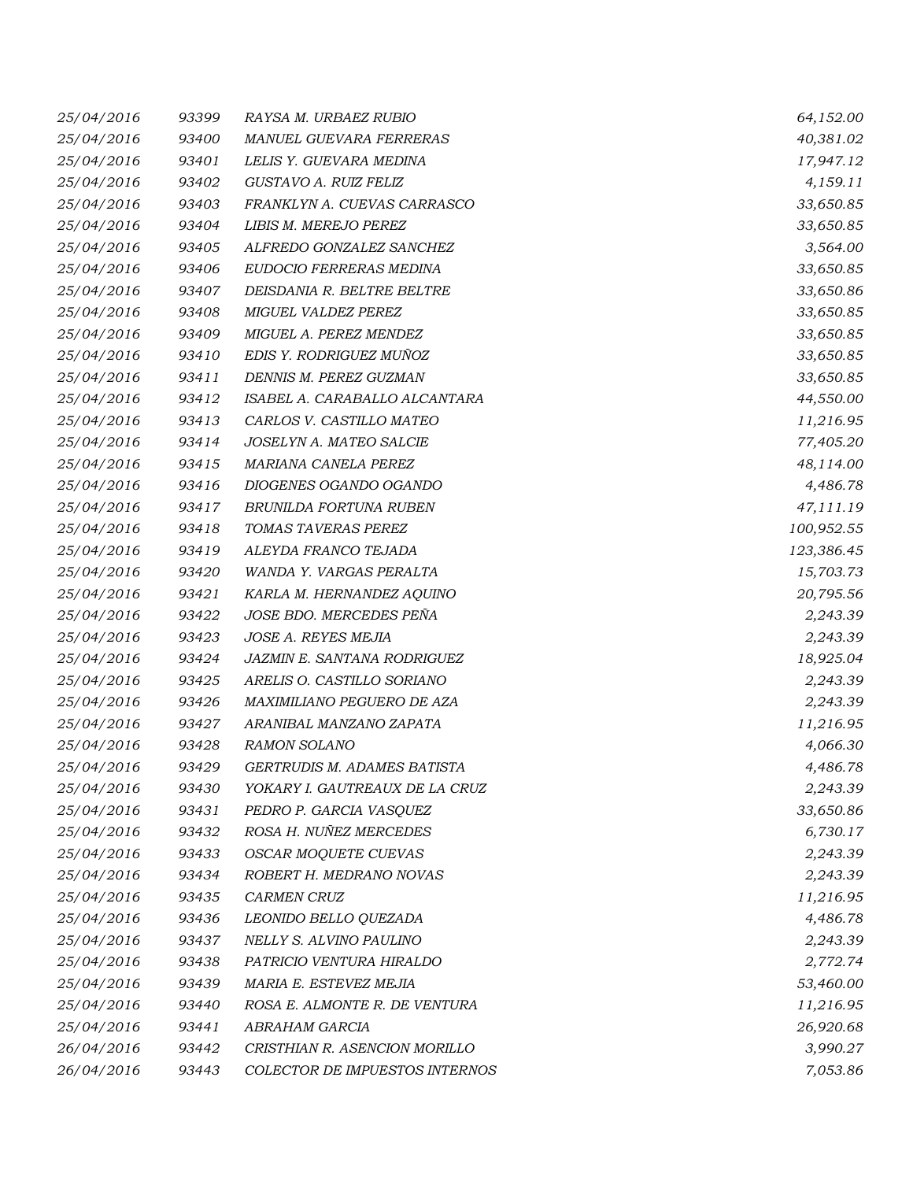| 25/04/2016 | 93399 | RAYSA M. URBAEZ RUBIO              | 64,152.00  |
|------------|-------|------------------------------------|------------|
| 25/04/2016 | 93400 | MANUEL GUEVARA FERRERAS            | 40,381.02  |
| 25/04/2016 | 93401 | LELIS Y. GUEVARA MEDINA            | 17,947.12  |
| 25/04/2016 | 93402 | GUSTAVO A. RUIZ FELIZ              | 4,159.11   |
| 25/04/2016 | 93403 | FRANKLYN A. CUEVAS CARRASCO        | 33,650.85  |
| 25/04/2016 | 93404 | LIBIS M. MEREJO PEREZ              | 33,650.85  |
| 25/04/2016 | 93405 | ALFREDO GONZALEZ SANCHEZ           | 3,564.00   |
| 25/04/2016 | 93406 | EUDOCIO FERRERAS MEDINA            | 33,650.85  |
| 25/04/2016 | 93407 | DEISDANIA R. BELTRE BELTRE         | 33,650.86  |
| 25/04/2016 | 93408 | <b>MIGUEL VALDEZ PEREZ</b>         | 33,650.85  |
| 25/04/2016 | 93409 | MIGUEL A. PEREZ MENDEZ             | 33,650.85  |
| 25/04/2016 | 93410 | EDIS Y. RODRIGUEZ MUÑOZ            | 33,650.85  |
| 25/04/2016 | 93411 | DENNIS M. PEREZ GUZMAN             | 33,650.85  |
| 25/04/2016 | 93412 | ISABEL A. CARABALLO ALCANTARA      | 44,550.00  |
| 25/04/2016 | 93413 | CARLOS V. CASTILLO MATEO           | 11,216.95  |
| 25/04/2016 | 93414 | JOSELYN A. MATEO SALCIE            | 77,405.20  |
| 25/04/2016 | 93415 | MARIANA CANELA PEREZ               | 48,114.00  |
| 25/04/2016 | 93416 | DIOGENES OGANDO OGANDO             | 4,486.78   |
| 25/04/2016 | 93417 | BRUNILDA FORTUNA RUBEN             | 47,111.19  |
| 25/04/2016 | 93418 | TOMAS TAVERAS PEREZ                | 100,952.55 |
| 25/04/2016 | 93419 | ALEYDA FRANCO TEJADA               | 123,386.45 |
| 25/04/2016 | 93420 | WANDA Y. VARGAS PERALTA            | 15,703.73  |
| 25/04/2016 | 93421 | KARLA M. HERNANDEZ AQUINO          | 20,795.56  |
| 25/04/2016 | 93422 | JOSE BDO. MERCEDES PEÑA            | 2,243.39   |
| 25/04/2016 | 93423 | JOSE A. REYES MEJIA                | 2,243.39   |
| 25/04/2016 | 93424 | <b>JAZMIN E. SANTANA RODRIGUEZ</b> | 18,925.04  |
| 25/04/2016 | 93425 | ARELIS O. CASTILLO SORIANO         | 2,243.39   |
| 25/04/2016 | 93426 | MAXIMILIANO PEGUERO DE AZA         | 2,243.39   |
| 25/04/2016 | 93427 | ARANIBAL MANZANO ZAPATA            | 11,216.95  |
| 25/04/2016 | 93428 | <b>RAMON SOLANO</b>                | 4,066.30   |
| 25/04/2016 | 93429 | GERTRUDIS M. ADAMES BATISTA        | 4,486.78   |
| 25/04/2016 | 93430 | YOKARY I. GAUTREAUX DE LA CRUZ     | 2,243.39   |
| 25/04/2016 | 93431 | PEDRO P. GARCIA VASQUEZ            | 33,650.86  |
| 25/04/2016 | 93432 | ROSA H. NUÑEZ MERCEDES             | 6,730.17   |
| 25/04/2016 | 93433 | OSCAR MOQUETE CUEVAS               | 2,243.39   |
| 25/04/2016 | 93434 | ROBERT H. MEDRANO NOVAS            | 2,243.39   |
| 25/04/2016 | 93435 | <b>CARMEN CRUZ</b>                 | 11,216.95  |
| 25/04/2016 | 93436 | LEONIDO BELLO QUEZADA              | 4,486.78   |
| 25/04/2016 | 93437 | NELLY S. ALVINO PAULINO            | 2,243.39   |
| 25/04/2016 | 93438 | PATRICIO VENTURA HIRALDO           | 2,772.74   |
| 25/04/2016 | 93439 | MARIA E. ESTEVEZ MEJIA             | 53,460.00  |
| 25/04/2016 | 93440 | ROSA E. ALMONTE R. DE VENTURA      | 11,216.95  |
| 25/04/2016 | 93441 | ABRAHAM GARCIA                     | 26,920.68  |
| 26/04/2016 | 93442 | CRISTHIAN R. ASENCION MORILLO      | 3,990.27   |
| 26/04/2016 | 93443 | COLECTOR DE IMPUESTOS INTERNOS     | 7,053.86   |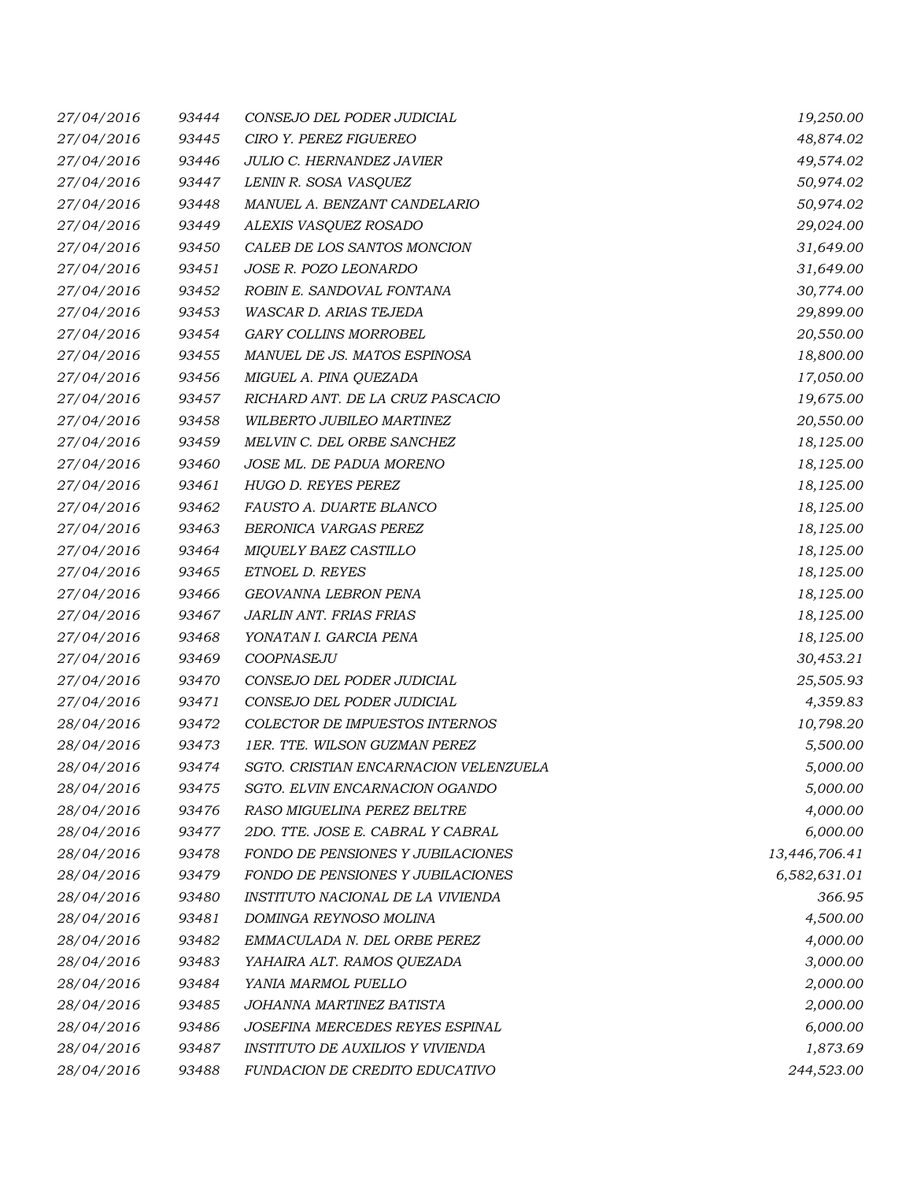| 27/04/2016 | 93444 | CONSEJO DEL PODER JUDICIAL               | 19,250.00     |
|------------|-------|------------------------------------------|---------------|
| 27/04/2016 | 93445 | CIRO Y. PEREZ FIGUEREO                   | 48,874.02     |
| 27/04/2016 | 93446 | JULIO C. HERNANDEZ JAVIER                | 49,574.02     |
| 27/04/2016 | 93447 | LENIN R. SOSA VASQUEZ                    | 50,974.02     |
| 27/04/2016 | 93448 | MANUEL A. BENZANT CANDELARIO             | 50,974.02     |
| 27/04/2016 | 93449 | ALEXIS VASQUEZ ROSADO                    | 29,024.00     |
| 27/04/2016 | 93450 | CALEB DE LOS SANTOS MONCION              | 31,649.00     |
| 27/04/2016 | 93451 | JOSE R. POZO LEONARDO                    | 31,649.00     |
| 27/04/2016 | 93452 | ROBIN E. SANDOVAL FONTANA                | 30,774.00     |
| 27/04/2016 | 93453 | WASCAR D. ARIAS TEJEDA                   | 29,899.00     |
| 27/04/2016 | 93454 | <b>GARY COLLINS MORROBEL</b>             | 20,550.00     |
| 27/04/2016 | 93455 | MANUEL DE JS. MATOS ESPINOSA             | 18,800.00     |
| 27/04/2016 | 93456 | MIGUEL A. PINA QUEZADA                   | 17,050.00     |
| 27/04/2016 | 93457 | RICHARD ANT. DE LA CRUZ PASCACIO         | 19,675.00     |
| 27/04/2016 | 93458 | WILBERTO JUBILEO MARTINEZ                | 20,550.00     |
| 27/04/2016 | 93459 | MELVIN C. DEL ORBE SANCHEZ               | 18,125.00     |
| 27/04/2016 | 93460 | JOSE ML. DE PADUA MORENO                 | 18,125.00     |
| 27/04/2016 | 93461 | HUGO D. REYES PEREZ                      | 18,125.00     |
| 27/04/2016 | 93462 | FAUSTO A. DUARTE BLANCO                  | 18,125.00     |
| 27/04/2016 | 93463 | BERONICA VARGAS PEREZ                    | 18,125.00     |
| 27/04/2016 | 93464 | MIQUELY BAEZ CASTILLO                    | 18,125.00     |
| 27/04/2016 | 93465 | ETNOEL D. REYES                          | 18,125.00     |
| 27/04/2016 | 93466 | GEOVANNA LEBRON PENA                     | 18,125.00     |
| 27/04/2016 | 93467 | JARLIN ANT. FRIAS FRIAS                  | 18,125.00     |
| 27/04/2016 | 93468 | YONATAN I. GARCIA PENA                   | 18,125.00     |
| 27/04/2016 | 93469 | COOPNASEJU                               | 30,453.21     |
| 27/04/2016 | 93470 | CONSEJO DEL PODER JUDICIAL               | 25,505.93     |
| 27/04/2016 | 93471 | CONSEJO DEL PODER JUDICIAL               | 4,359.83      |
| 28/04/2016 | 93472 | COLECTOR DE IMPUESTOS INTERNOS           | 10,798.20     |
| 28/04/2016 | 93473 | 1ER. TTE. WILSON GUZMAN PEREZ            | 5,500.00      |
| 28/04/2016 | 93474 | SGTO. CRISTIAN ENCARNACION VELENZUELA    | 5,000.00      |
| 28/04/2016 | 93475 | SGTO. ELVIN ENCARNACION OGANDO           | 5,000.00      |
| 28/04/2016 | 93476 | RASO MIGUELINA PEREZ BELTRE              | 4,000.00      |
| 28/04/2016 | 93477 | 2DO. TTE. JOSE E. CABRAL Y CABRAL        | 6,000.00      |
| 28/04/2016 | 93478 | FONDO DE PENSIONES Y JUBILACIONES        | 13,446,706.41 |
| 28/04/2016 | 93479 | <b>FONDO DE PENSIONES Y JUBILACIONES</b> | 6,582,631.01  |
| 28/04/2016 | 93480 | INSTITUTO NACIONAL DE LA VIVIENDA        | 366.95        |
| 28/04/2016 | 93481 | DOMINGA REYNOSO MOLINA                   | 4,500.00      |
| 28/04/2016 | 93482 | EMMACULADA N. DEL ORBE PEREZ             | 4,000.00      |
| 28/04/2016 | 93483 | YAHAIRA ALT. RAMOS QUEZADA               | 3,000.00      |
| 28/04/2016 | 93484 | YANIA MARMOL PUELLO                      | 2,000.00      |
| 28/04/2016 | 93485 | JOHANNA MARTINEZ BATISTA                 | 2,000.00      |
| 28/04/2016 | 93486 | JOSEFINA MERCEDES REYES ESPINAL          | 6,000.00      |
| 28/04/2016 | 93487 | INSTITUTO DE AUXILIOS Y VIVIENDA         | 1,873.69      |
| 28/04/2016 | 93488 | FUNDACION DE CREDITO EDUCATIVO           | 244,523.00    |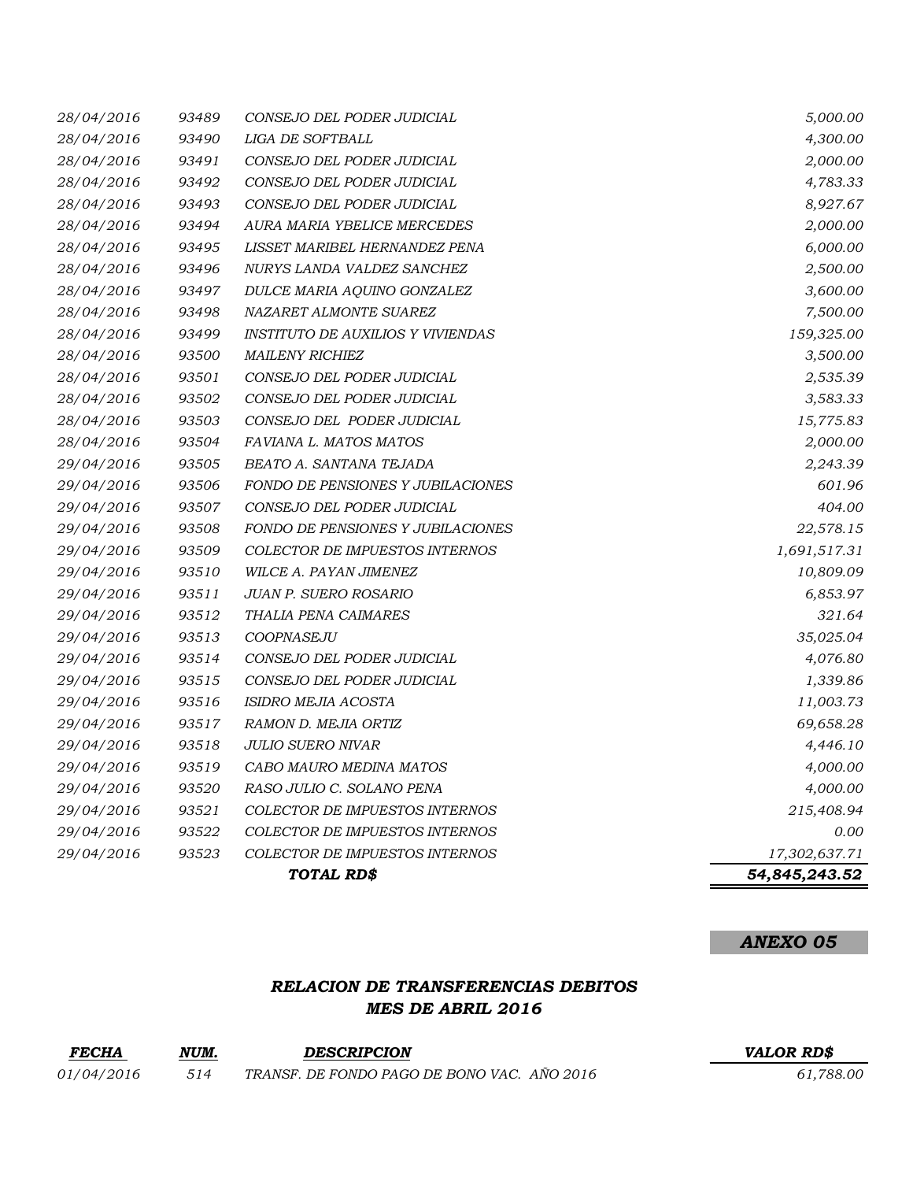| 28/04/2016 | 93490 | LIGA DE SOFTBALL                         | 4,300.00      |
|------------|-------|------------------------------------------|---------------|
| 28/04/2016 | 93491 | CONSEJO DEL PODER JUDICIAL               | 2,000.00      |
| 28/04/2016 | 93492 | CONSEJO DEL PODER JUDICIAL               | 4,783.33      |
| 28/04/2016 | 93493 | CONSEJO DEL PODER JUDICIAL               | 8,927.67      |
| 28/04/2016 | 93494 | AURA MARIA YBELICE MERCEDES              | 2,000.00      |
| 28/04/2016 | 93495 | LISSET MARIBEL HERNANDEZ PENA            | 6,000.00      |
| 28/04/2016 | 93496 | NURYS LANDA VALDEZ SANCHEZ               | 2,500.00      |
| 28/04/2016 | 93497 | DULCE MARIA AQUINO GONZALEZ              | 3,600.00      |
| 28/04/2016 | 93498 | NAZARET ALMONTE SUAREZ                   | 7,500.00      |
| 28/04/2016 | 93499 | <i>INSTITUTO DE AUXILIOS Y VIVIENDAS</i> | 159,325.00    |
| 28/04/2016 | 93500 | <b>MAILENY RICHIEZ</b>                   | 3,500.00      |
| 28/04/2016 | 93501 | CONSEJO DEL PODER JUDICIAL               | 2,535.39      |
| 28/04/2016 | 93502 | CONSEJO DEL PODER JUDICIAL               | 3,583.33      |
| 28/04/2016 | 93503 | CONSEJO DEL PODER JUDICIAL               | 15,775.83     |
| 28/04/2016 | 93504 | FAVIANA L. MATOS MATOS                   | 2,000.00      |
| 29/04/2016 | 93505 | BEATO A. SANTANA TEJADA                  | 2,243.39      |
| 29/04/2016 | 93506 | <b>FONDO DE PENSIONES Y JUBILACIONES</b> | 601.96        |
| 29/04/2016 | 93507 | CONSEJO DEL PODER JUDICIAL               | 404.00        |
| 29/04/2016 | 93508 | FONDO DE PENSIONES Y JUBILACIONES        | 22,578.15     |
| 29/04/2016 | 93509 | COLECTOR DE IMPUESTOS INTERNOS           | 1,691,517.31  |
| 29/04/2016 | 93510 | WILCE A. PAYAN JIMENEZ                   | 10,809.09     |
| 29/04/2016 | 93511 | <b>JUAN P. SUERO ROSARIO</b>             | 6,853.97      |
| 29/04/2016 | 93512 | THALIA PENA CAIMARES                     | 321.64        |
| 29/04/2016 | 93513 | COOPNASEJU                               | 35,025.04     |
| 29/04/2016 | 93514 | CONSEJO DEL PODER JUDICIAL               | 4,076.80      |
| 29/04/2016 | 93515 | CONSEJO DEL PODER JUDICIAL               | 1,339.86      |
| 29/04/2016 | 93516 | ISIDRO MEJIA ACOSTA                      | 11,003.73     |
| 29/04/2016 | 93517 | RAMON D. MEJIA ORTIZ                     | 69,658.28     |
| 29/04/2016 | 93518 | <b>JULIO SUERO NIVAR</b>                 | 4,446.10      |
| 29/04/2016 | 93519 | CABO MAURO MEDINA MATOS                  | 4,000.00      |
| 29/04/2016 | 93520 | RASO JULIO C. SOLANO PENA                | 4,000.00      |
| 29/04/2016 | 93521 | <b>COLECTOR DE IMPUESTOS INTERNOS</b>    | 215,408.94    |
| 29/04/2016 | 93522 | COLECTOR DE IMPUESTOS INTERNOS           | 0.00          |
| 29/04/2016 | 93523 | <b>COLECTOR DE IMPUESTOS INTERNOS</b>    | 17,302,637.71 |
|            |       | TOTAL RD\$                               | 54,845,243.52 |

*ANEXO 05*

## *RELACION DE TRANSFERENCIAS DEBITOS MES DE ABRIL 2016*

| <b>FECHA</b>      | NUM. | <b>DESCRIPCION</b>                          | <b>VALOR RDS</b> |
|-------------------|------|---------------------------------------------|------------------|
| <i>01/04/2016</i> | 514  | TRANSF. DE FONDO PAGO DE BONO VAC. AÑO 2016 | 61.788.00        |